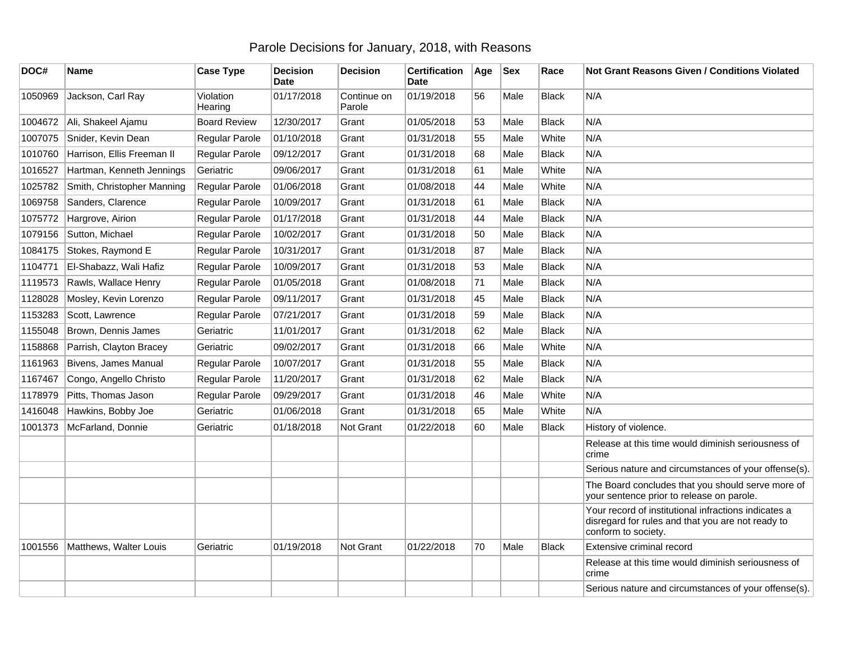## Parole Decisions for January, 2018, with Reasons

| DOC#    | <b>Name</b>                | <b>Case Type</b>     | <b>Decision</b><br><b>Date</b> | <b>Decision</b>       | <b>Certification</b><br><b>Date</b> | Age | <b>Sex</b> | Race         | <b>Not Grant Reasons Given / Conditions Violated</b>                                                                             |
|---------|----------------------------|----------------------|--------------------------------|-----------------------|-------------------------------------|-----|------------|--------------|----------------------------------------------------------------------------------------------------------------------------------|
| 1050969 | Jackson, Carl Ray          | Violation<br>Hearing | 01/17/2018                     | Continue on<br>Parole | 01/19/2018                          | 56  | Male       | <b>Black</b> | N/A                                                                                                                              |
| 1004672 | Ali, Shakeel Ajamu         | <b>Board Review</b>  | 12/30/2017                     | Grant                 | 01/05/2018                          | 53  | Male       | <b>Black</b> | N/A                                                                                                                              |
| 1007075 | Snider, Kevin Dean         | Regular Parole       | 01/10/2018                     | Grant                 | 01/31/2018                          | 55  | Male       | White        | N/A                                                                                                                              |
| 1010760 | Harrison, Ellis Freeman II | Regular Parole       | 09/12/2017                     | Grant                 | 01/31/2018                          | 68  | Male       | <b>Black</b> | N/A                                                                                                                              |
| 1016527 | Hartman, Kenneth Jennings  | Geriatric            | 09/06/2017                     | Grant                 | 01/31/2018                          | 61  | Male       | White        | N/A                                                                                                                              |
| 1025782 | Smith, Christopher Manning | Regular Parole       | 01/06/2018                     | Grant                 | 01/08/2018                          | 44  | Male       | White        | N/A                                                                                                                              |
| 1069758 | Sanders, Clarence          | Regular Parole       | 10/09/2017                     | Grant                 | 01/31/2018                          | 61  | Male       | <b>Black</b> | N/A                                                                                                                              |
| 1075772 | Hargrove, Airion           | Regular Parole       | 01/17/2018                     | Grant                 | 01/31/2018                          | 44  | Male       | <b>Black</b> | N/A                                                                                                                              |
| 1079156 | Sutton, Michael            | Regular Parole       | 10/02/2017                     | Grant                 | 01/31/2018                          | 50  | Male       | <b>Black</b> | N/A                                                                                                                              |
| 1084175 | Stokes, Raymond E          | Regular Parole       | 10/31/2017                     | Grant                 | 01/31/2018                          | 87  | Male       | <b>Black</b> | N/A                                                                                                                              |
| 1104771 | El-Shabazz, Wali Hafiz     | Regular Parole       | 10/09/2017                     | Grant                 | 01/31/2018                          | 53  | Male       | <b>Black</b> | N/A                                                                                                                              |
| 1119573 | Rawls, Wallace Henry       | Regular Parole       | 01/05/2018                     | Grant                 | 01/08/2018                          | 71  | Male       | <b>Black</b> | N/A                                                                                                                              |
| 1128028 | Mosley, Kevin Lorenzo      | Regular Parole       | 09/11/2017                     | Grant                 | 01/31/2018                          | 45  | Male       | <b>Black</b> | N/A                                                                                                                              |
| 1153283 | Scott, Lawrence            | Regular Parole       | 07/21/2017                     | Grant                 | 01/31/2018                          | 59  | Male       | <b>Black</b> | N/A                                                                                                                              |
| 1155048 | Brown, Dennis James        | Geriatric            | 11/01/2017                     | Grant                 | 01/31/2018                          | 62  | Male       | <b>Black</b> | N/A                                                                                                                              |
| 1158868 | Parrish, Clayton Bracey    | Geriatric            | 09/02/2017                     | Grant                 | 01/31/2018                          | 66  | Male       | White        | N/A                                                                                                                              |
| 1161963 | Bivens, James Manual       | Regular Parole       | 10/07/2017                     | Grant                 | 01/31/2018                          | 55  | Male       | <b>Black</b> | N/A                                                                                                                              |
| 1167467 | Congo, Angello Christo     | Regular Parole       | 11/20/2017                     | Grant                 | 01/31/2018                          | 62  | Male       | <b>Black</b> | N/A                                                                                                                              |
| 1178979 | Pitts, Thomas Jason        | Regular Parole       | 09/29/2017                     | Grant                 | 01/31/2018                          | 46  | Male       | White        | N/A                                                                                                                              |
| 1416048 | Hawkins, Bobby Joe         | Geriatric            | 01/06/2018                     | Grant                 | 01/31/2018                          | 65  | Male       | White        | N/A                                                                                                                              |
| 1001373 | McFarland, Donnie          | Geriatric            | 01/18/2018                     | <b>Not Grant</b>      | 01/22/2018                          | 60  | Male       | <b>Black</b> | History of violence.                                                                                                             |
|         |                            |                      |                                |                       |                                     |     |            |              | Release at this time would diminish seriousness of<br>crime                                                                      |
|         |                            |                      |                                |                       |                                     |     |            |              | Serious nature and circumstances of your offense(s).                                                                             |
|         |                            |                      |                                |                       |                                     |     |            |              | The Board concludes that you should serve more of<br>your sentence prior to release on parole.                                   |
|         |                            |                      |                                |                       |                                     |     |            |              | Your record of institutional infractions indicates a<br>disregard for rules and that you are not ready to<br>conform to society. |
| 1001556 | Matthews, Walter Louis     | Geriatric            | 01/19/2018                     | Not Grant             | 01/22/2018                          | 70  | Male       | <b>Black</b> | Extensive criminal record                                                                                                        |
|         |                            |                      |                                |                       |                                     |     |            |              | Release at this time would diminish seriousness of<br>crime                                                                      |
|         |                            |                      |                                |                       |                                     |     |            |              | Serious nature and circumstances of your offense(s).                                                                             |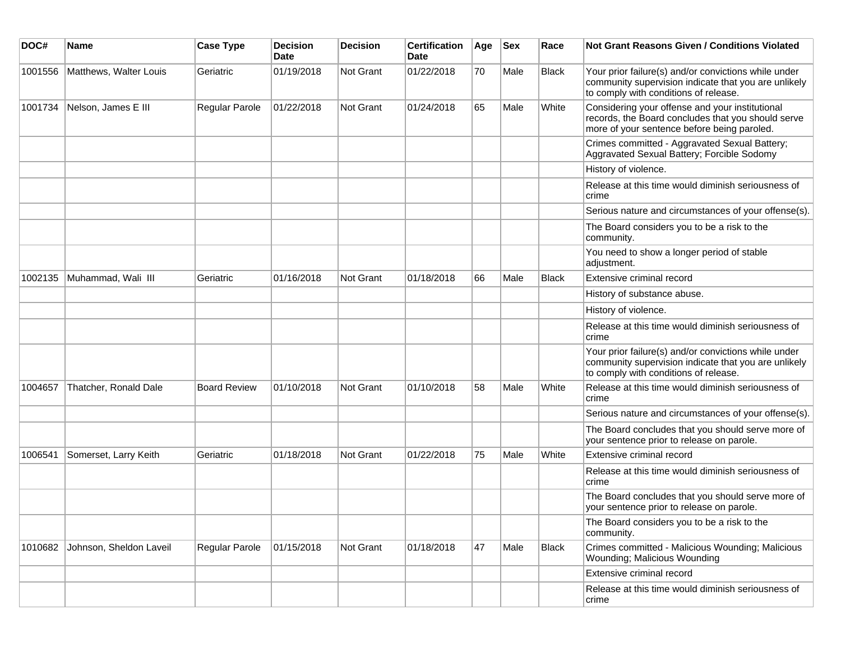| DOC#    | <b>Name</b>             | <b>Case Type</b>    | <b>Decision</b><br><b>Date</b> | Decision  | <b>Certification</b><br>Date | Age | <b>Sex</b> | Race         | Not Grant Reasons Given / Conditions Violated                                                                                                         |
|---------|-------------------------|---------------------|--------------------------------|-----------|------------------------------|-----|------------|--------------|-------------------------------------------------------------------------------------------------------------------------------------------------------|
| 1001556 | Matthews, Walter Louis  | Geriatric           | 01/19/2018                     | Not Grant | 01/22/2018                   | 70  | Male       | <b>Black</b> | Your prior failure(s) and/or convictions while under<br>community supervision indicate that you are unlikely<br>to comply with conditions of release. |
| 1001734 | Nelson, James E III     | Regular Parole      | 01/22/2018                     | Not Grant | 01/24/2018                   | 65  | Male       | White        | Considering your offense and your institutional<br>records, the Board concludes that you should serve<br>more of your sentence before being paroled.  |
|         |                         |                     |                                |           |                              |     |            |              | Crimes committed - Aggravated Sexual Battery;<br>Aggravated Sexual Battery; Forcible Sodomy                                                           |
|         |                         |                     |                                |           |                              |     |            |              | History of violence.                                                                                                                                  |
|         |                         |                     |                                |           |                              |     |            |              | Release at this time would diminish seriousness of<br>crime                                                                                           |
|         |                         |                     |                                |           |                              |     |            |              | Serious nature and circumstances of your offense(s).                                                                                                  |
|         |                         |                     |                                |           |                              |     |            |              | The Board considers you to be a risk to the<br>community.                                                                                             |
|         |                         |                     |                                |           |                              |     |            |              | You need to show a longer period of stable<br>adjustment.                                                                                             |
| 1002135 | Muhammad, Wali III      | Geriatric           | 01/16/2018                     | Not Grant | 01/18/2018                   | 66  | Male       | <b>Black</b> | Extensive criminal record                                                                                                                             |
|         |                         |                     |                                |           |                              |     |            |              | History of substance abuse.                                                                                                                           |
|         |                         |                     |                                |           |                              |     |            |              | History of violence.                                                                                                                                  |
|         |                         |                     |                                |           |                              |     |            |              | Release at this time would diminish seriousness of<br>crime                                                                                           |
|         |                         |                     |                                |           |                              |     |            |              | Your prior failure(s) and/or convictions while under<br>community supervision indicate that you are unlikely<br>to comply with conditions of release. |
| 1004657 | Thatcher, Ronald Dale   | <b>Board Review</b> | 01/10/2018                     | Not Grant | 01/10/2018                   | 58  | Male       | White        | Release at this time would diminish seriousness of<br>crime                                                                                           |
|         |                         |                     |                                |           |                              |     |            |              | Serious nature and circumstances of your offense(s).                                                                                                  |
|         |                         |                     |                                |           |                              |     |            |              | The Board concludes that you should serve more of<br>your sentence prior to release on parole.                                                        |
| 1006541 | Somerset, Larry Keith   | Geriatric           | 01/18/2018                     | Not Grant | 01/22/2018                   | 75  | Male       | White        | Extensive criminal record                                                                                                                             |
|         |                         |                     |                                |           |                              |     |            |              | Release at this time would diminish seriousness of<br>crime                                                                                           |
|         |                         |                     |                                |           |                              |     |            |              | The Board concludes that you should serve more of<br>your sentence prior to release on parole.                                                        |
|         |                         |                     |                                |           |                              |     |            |              | The Board considers you to be a risk to the<br>community.                                                                                             |
| 1010682 | Johnson, Sheldon Laveil | Regular Parole      | 01/15/2018                     | Not Grant | 01/18/2018                   | 47  | Male       | Black        | Crimes committed - Malicious Wounding; Malicious<br>Wounding; Malicious Wounding                                                                      |
|         |                         |                     |                                |           |                              |     |            |              | Extensive criminal record                                                                                                                             |
|         |                         |                     |                                |           |                              |     |            |              | Release at this time would diminish seriousness of<br>crime                                                                                           |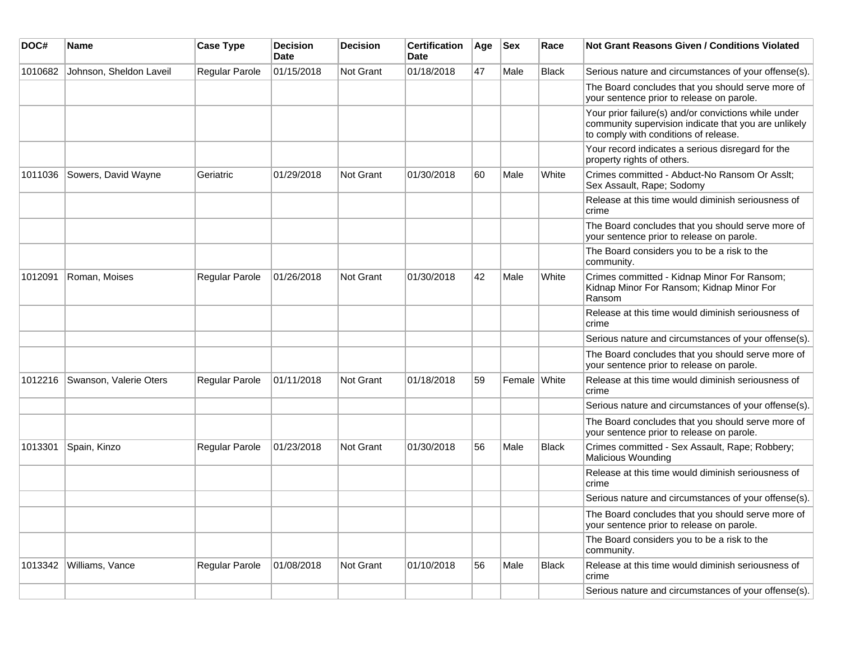| DOC#    | Name                    | <b>Case Type</b>      | <b>Decision</b><br>Date | <b>Decision</b>  | <b>Certification</b><br><b>Date</b> | Age | <b>Sex</b>   | Race  | <b>Not Grant Reasons Given / Conditions Violated</b>                                                                                                  |
|---------|-------------------------|-----------------------|-------------------------|------------------|-------------------------------------|-----|--------------|-------|-------------------------------------------------------------------------------------------------------------------------------------------------------|
| 1010682 | Johnson, Sheldon Laveil | <b>Regular Parole</b> | 01/15/2018              | Not Grant        | 01/18/2018                          | 47  | Male         | Black | Serious nature and circumstances of your offense(s).                                                                                                  |
|         |                         |                       |                         |                  |                                     |     |              |       | The Board concludes that you should serve more of<br>your sentence prior to release on parole.                                                        |
|         |                         |                       |                         |                  |                                     |     |              |       | Your prior failure(s) and/or convictions while under<br>community supervision indicate that you are unlikely<br>to comply with conditions of release. |
|         |                         |                       |                         |                  |                                     |     |              |       | Your record indicates a serious disregard for the<br>property rights of others.                                                                       |
| 1011036 | Sowers, David Wayne     | Geriatric             | 01/29/2018              | <b>Not Grant</b> | 01/30/2018                          | 60  | Male         | White | Crimes committed - Abduct-No Ransom Or Asslt;<br>Sex Assault, Rape; Sodomy                                                                            |
|         |                         |                       |                         |                  |                                     |     |              |       | Release at this time would diminish seriousness of<br>crime                                                                                           |
|         |                         |                       |                         |                  |                                     |     |              |       | The Board concludes that you should serve more of<br>your sentence prior to release on parole.                                                        |
|         |                         |                       |                         |                  |                                     |     |              |       | The Board considers you to be a risk to the<br>community.                                                                                             |
| 1012091 | Roman, Moises           | Regular Parole        | 01/26/2018              | Not Grant        | 01/30/2018                          | 42  | Male         | White | Crimes committed - Kidnap Minor For Ransom;<br>Kidnap Minor For Ransom; Kidnap Minor For<br>Ransom                                                    |
|         |                         |                       |                         |                  |                                     |     |              |       | Release at this time would diminish seriousness of<br>crime                                                                                           |
|         |                         |                       |                         |                  |                                     |     |              |       | Serious nature and circumstances of your offense(s).                                                                                                  |
|         |                         |                       |                         |                  |                                     |     |              |       | The Board concludes that you should serve more of<br>your sentence prior to release on parole.                                                        |
| 1012216 | Swanson, Valerie Oters  | <b>Regular Parole</b> | 01/11/2018              | <b>Not Grant</b> | 01/18/2018                          | 59  | Female White |       | Release at this time would diminish seriousness of<br>crime                                                                                           |
|         |                         |                       |                         |                  |                                     |     |              |       | Serious nature and circumstances of your offense(s).                                                                                                  |
|         |                         |                       |                         |                  |                                     |     |              |       | The Board concludes that you should serve more of<br>your sentence prior to release on parole.                                                        |
| 1013301 | Spain, Kinzo            | <b>Regular Parole</b> | 01/23/2018              | <b>Not Grant</b> | 01/30/2018                          | 56  | Male         | Black | Crimes committed - Sex Assault, Rape; Robbery;<br>Malicious Wounding                                                                                  |
|         |                         |                       |                         |                  |                                     |     |              |       | Release at this time would diminish seriousness of<br>crime                                                                                           |
|         |                         |                       |                         |                  |                                     |     |              |       | Serious nature and circumstances of your offense(s).                                                                                                  |
|         |                         |                       |                         |                  |                                     |     |              |       | The Board concludes that you should serve more of<br>your sentence prior to release on parole.                                                        |
|         |                         |                       |                         |                  |                                     |     |              |       | The Board considers you to be a risk to the<br>community.                                                                                             |
| 1013342 | Williams, Vance         | Regular Parole        | 01/08/2018              | Not Grant        | 01/10/2018                          | 56  | Male         | Black | Release at this time would diminish seriousness of<br>crime                                                                                           |
|         |                         |                       |                         |                  |                                     |     |              |       | Serious nature and circumstances of your offense(s).                                                                                                  |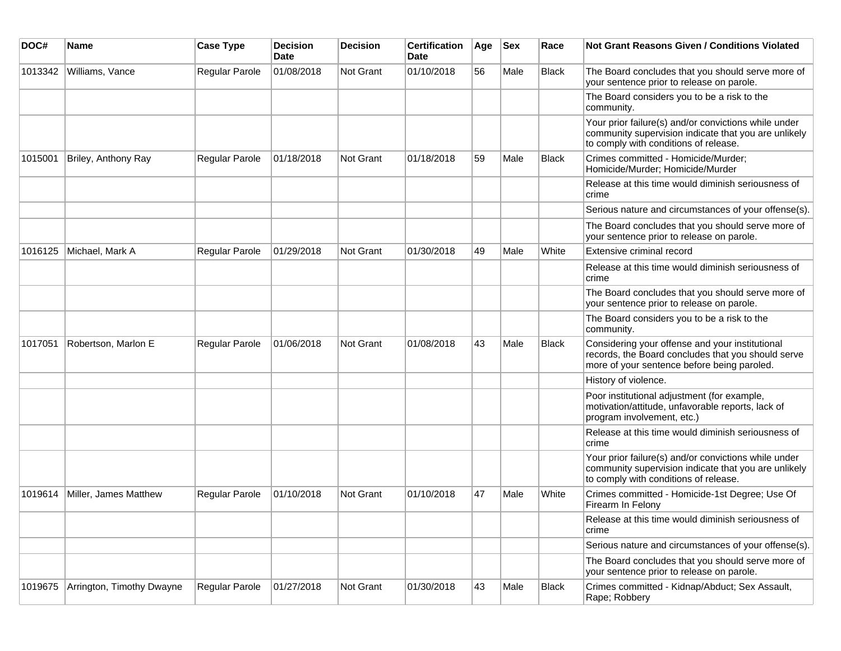| DOC#    | <b>Name</b>               | <b>Case Type</b>      | <b>Decision</b><br>Date | <b>Decision</b> | <b>Certification</b><br>Date | Age | <b>Sex</b> | Race         | Not Grant Reasons Given / Conditions Violated                                                                                                         |
|---------|---------------------------|-----------------------|-------------------------|-----------------|------------------------------|-----|------------|--------------|-------------------------------------------------------------------------------------------------------------------------------------------------------|
| 1013342 | Williams, Vance           | Regular Parole        | 01/08/2018              | Not Grant       | 01/10/2018                   | 56  | Male       | <b>Black</b> | The Board concludes that you should serve more of<br>your sentence prior to release on parole.                                                        |
|         |                           |                       |                         |                 |                              |     |            |              | The Board considers you to be a risk to the<br>community.                                                                                             |
|         |                           |                       |                         |                 |                              |     |            |              | Your prior failure(s) and/or convictions while under<br>community supervision indicate that you are unlikely<br>to comply with conditions of release. |
| 1015001 | Briley, Anthony Ray       | Regular Parole        | 01/18/2018              | Not Grant       | 01/18/2018                   | 59  | Male       | <b>Black</b> | Crimes committed - Homicide/Murder;<br>Homicide/Murder; Homicide/Murder                                                                               |
|         |                           |                       |                         |                 |                              |     |            |              | Release at this time would diminish seriousness of<br>crime                                                                                           |
|         |                           |                       |                         |                 |                              |     |            |              | Serious nature and circumstances of your offense(s).                                                                                                  |
|         |                           |                       |                         |                 |                              |     |            |              | The Board concludes that you should serve more of<br>your sentence prior to release on parole.                                                        |
| 1016125 | Michael, Mark A           | Regular Parole        | 01/29/2018              | Not Grant       | 01/30/2018                   | 49  | Male       | White        | Extensive criminal record                                                                                                                             |
|         |                           |                       |                         |                 |                              |     |            |              | Release at this time would diminish seriousness of<br>crime                                                                                           |
|         |                           |                       |                         |                 |                              |     |            |              | The Board concludes that you should serve more of<br>your sentence prior to release on parole.                                                        |
|         |                           |                       |                         |                 |                              |     |            |              | The Board considers you to be a risk to the<br>community.                                                                                             |
| 1017051 | Robertson, Marlon E       | Regular Parole        | 01/06/2018              | Not Grant       | 01/08/2018                   | 43  | Male       | <b>Black</b> | Considering your offense and your institutional<br>records, the Board concludes that you should serve<br>more of your sentence before being paroled.  |
|         |                           |                       |                         |                 |                              |     |            |              | History of violence.                                                                                                                                  |
|         |                           |                       |                         |                 |                              |     |            |              | Poor institutional adjustment (for example,<br>motivation/attitude, unfavorable reports, lack of<br>program involvement, etc.)                        |
|         |                           |                       |                         |                 |                              |     |            |              | Release at this time would diminish seriousness of<br>crime                                                                                           |
|         |                           |                       |                         |                 |                              |     |            |              | Your prior failure(s) and/or convictions while under<br>community supervision indicate that you are unlikely<br>to comply with conditions of release. |
| 1019614 | Miller, James Matthew     | <b>Regular Parole</b> | 01/10/2018              | Not Grant       | 01/10/2018                   | 47  | Male       | White        | Crimes committed - Homicide-1st Degree; Use Of<br>Firearm In Felony                                                                                   |
|         |                           |                       |                         |                 |                              |     |            |              | Release at this time would diminish seriousness of<br>crime                                                                                           |
|         |                           |                       |                         |                 |                              |     |            |              | Serious nature and circumstances of your offense(s).                                                                                                  |
|         |                           |                       |                         |                 |                              |     |            |              | The Board concludes that you should serve more of<br>your sentence prior to release on parole.                                                        |
| 1019675 | Arrington, Timothy Dwayne | Regular Parole        | 01/27/2018              | Not Grant       | 01/30/2018                   | 43  | Male       | Black        | Crimes committed - Kidnap/Abduct; Sex Assault,<br>Rape; Robbery                                                                                       |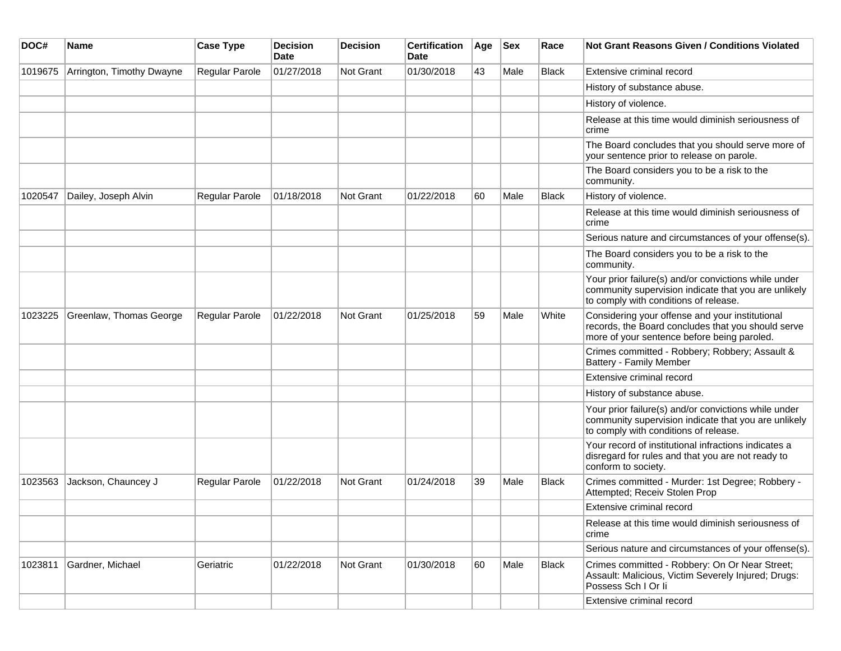| DOC#    | Name                      | <b>Case Type</b>      | <b>Decision</b><br>Date | <b>Decision</b>  | <b>Certification</b><br>Date | Age | <b>Sex</b> | Race         | Not Grant Reasons Given / Conditions Violated                                                                                                         |
|---------|---------------------------|-----------------------|-------------------------|------------------|------------------------------|-----|------------|--------------|-------------------------------------------------------------------------------------------------------------------------------------------------------|
| 1019675 | Arrington, Timothy Dwayne | Regular Parole        | 01/27/2018              | <b>Not Grant</b> | 01/30/2018                   | 43  | Male       | Black        | Extensive criminal record                                                                                                                             |
|         |                           |                       |                         |                  |                              |     |            |              | History of substance abuse.                                                                                                                           |
|         |                           |                       |                         |                  |                              |     |            |              | History of violence.                                                                                                                                  |
|         |                           |                       |                         |                  |                              |     |            |              | Release at this time would diminish seriousness of<br>crime                                                                                           |
|         |                           |                       |                         |                  |                              |     |            |              | The Board concludes that you should serve more of<br>your sentence prior to release on parole.                                                        |
|         |                           |                       |                         |                  |                              |     |            |              | The Board considers you to be a risk to the<br>community.                                                                                             |
| 1020547 | Dailey, Joseph Alvin      | <b>Regular Parole</b> | 01/18/2018              | <b>Not Grant</b> | 01/22/2018                   | 60  | Male       | <b>Black</b> | History of violence.                                                                                                                                  |
|         |                           |                       |                         |                  |                              |     |            |              | Release at this time would diminish seriousness of<br>crime                                                                                           |
|         |                           |                       |                         |                  |                              |     |            |              | Serious nature and circumstances of your offense(s).                                                                                                  |
|         |                           |                       |                         |                  |                              |     |            |              | The Board considers you to be a risk to the<br>community.                                                                                             |
|         |                           |                       |                         |                  |                              |     |            |              | Your prior failure(s) and/or convictions while under<br>community supervision indicate that you are unlikely<br>to comply with conditions of release. |
| 1023225 | Greenlaw, Thomas George   | Regular Parole        | 01/22/2018              | <b>Not Grant</b> | 01/25/2018                   | 59  | Male       | White        | Considering your offense and your institutional<br>records, the Board concludes that you should serve<br>more of your sentence before being paroled.  |
|         |                           |                       |                         |                  |                              |     |            |              | Crimes committed - Robbery; Robbery; Assault &<br><b>Battery - Family Member</b>                                                                      |
|         |                           |                       |                         |                  |                              |     |            |              | Extensive criminal record                                                                                                                             |
|         |                           |                       |                         |                  |                              |     |            |              | History of substance abuse.                                                                                                                           |
|         |                           |                       |                         |                  |                              |     |            |              | Your prior failure(s) and/or convictions while under<br>community supervision indicate that you are unlikely<br>to comply with conditions of release. |
|         |                           |                       |                         |                  |                              |     |            |              | Your record of institutional infractions indicates a<br>disregard for rules and that you are not ready to<br>conform to society.                      |
| 1023563 | Jackson, Chauncey J       | <b>Regular Parole</b> | 01/22/2018              | <b>Not Grant</b> | 01/24/2018                   | 39  | Male       | Black        | Crimes committed - Murder: 1st Degree; Robbery -<br>Attempted; Receiv Stolen Prop                                                                     |
|         |                           |                       |                         |                  |                              |     |            |              | Extensive criminal record                                                                                                                             |
|         |                           |                       |                         |                  |                              |     |            |              | Release at this time would diminish seriousness of<br>crime                                                                                           |
|         |                           |                       |                         |                  |                              |     |            |              | Serious nature and circumstances of your offense(s).                                                                                                  |
| 1023811 | Gardner, Michael          | Geriatric             | 01/22/2018              | Not Grant        | 01/30/2018                   | 60  | Male       | Black        | Crimes committed - Robbery: On Or Near Street;<br>Assault: Malicious, Victim Severely Injured; Drugs:<br>Possess Sch I Or li                          |
|         |                           |                       |                         |                  |                              |     |            |              | Extensive criminal record                                                                                                                             |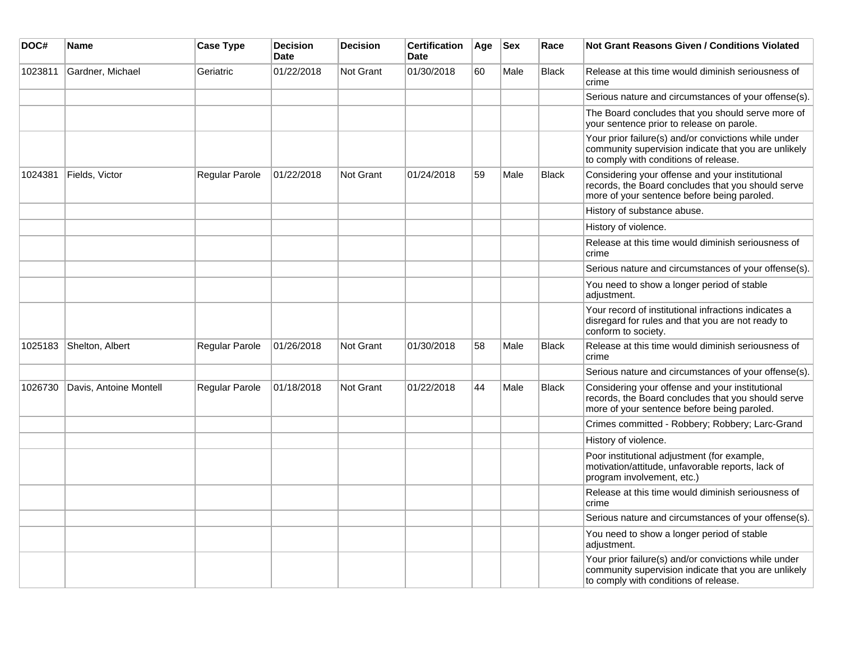| DOC#    | Name                   | <b>Case Type</b> | <b>Decision</b><br><b>Date</b> | <b>Decision</b>  | <b>Certification</b><br><b>Date</b> | Age | <b>Sex</b> | Race         | <b>Not Grant Reasons Given / Conditions Violated</b>                                                                                                  |
|---------|------------------------|------------------|--------------------------------|------------------|-------------------------------------|-----|------------|--------------|-------------------------------------------------------------------------------------------------------------------------------------------------------|
| 1023811 | Gardner, Michael       | Geriatric        | 01/22/2018                     | <b>Not Grant</b> | 01/30/2018                          | 60  | Male       | <b>Black</b> | Release at this time would diminish seriousness of<br>crime                                                                                           |
|         |                        |                  |                                |                  |                                     |     |            |              | Serious nature and circumstances of your offense(s).                                                                                                  |
|         |                        |                  |                                |                  |                                     |     |            |              | The Board concludes that you should serve more of<br>your sentence prior to release on parole.                                                        |
|         |                        |                  |                                |                  |                                     |     |            |              | Your prior failure(s) and/or convictions while under<br>community supervision indicate that you are unlikely<br>to comply with conditions of release. |
| 1024381 | Fields, Victor         | Regular Parole   | 01/22/2018                     | <b>Not Grant</b> | 01/24/2018                          | 59  | Male       | <b>Black</b> | Considering your offense and your institutional<br>records, the Board concludes that you should serve<br>more of your sentence before being paroled.  |
|         |                        |                  |                                |                  |                                     |     |            |              | History of substance abuse.                                                                                                                           |
|         |                        |                  |                                |                  |                                     |     |            |              | History of violence.                                                                                                                                  |
|         |                        |                  |                                |                  |                                     |     |            |              | Release at this time would diminish seriousness of<br>crime                                                                                           |
|         |                        |                  |                                |                  |                                     |     |            |              | Serious nature and circumstances of your offense(s).                                                                                                  |
|         |                        |                  |                                |                  |                                     |     |            |              | You need to show a longer period of stable<br>adjustment.                                                                                             |
|         |                        |                  |                                |                  |                                     |     |            |              | Your record of institutional infractions indicates a<br>disregard for rules and that you are not ready to<br>conform to society.                      |
| 1025183 | Shelton, Albert        | Regular Parole   | 01/26/2018                     | <b>Not Grant</b> | 01/30/2018                          | 58  | Male       | <b>Black</b> | Release at this time would diminish seriousness of<br>crime                                                                                           |
|         |                        |                  |                                |                  |                                     |     |            |              | Serious nature and circumstances of your offense(s).                                                                                                  |
| 1026730 | Davis, Antoine Montell | Regular Parole   | 01/18/2018                     | <b>Not Grant</b> | 01/22/2018                          | 44  | Male       | <b>Black</b> | Considering your offense and your institutional<br>records, the Board concludes that you should serve<br>more of your sentence before being paroled.  |
|         |                        |                  |                                |                  |                                     |     |            |              | Crimes committed - Robbery; Robbery; Larc-Grand                                                                                                       |
|         |                        |                  |                                |                  |                                     |     |            |              | History of violence.                                                                                                                                  |
|         |                        |                  |                                |                  |                                     |     |            |              | Poor institutional adjustment (for example,<br>motivation/attitude, unfavorable reports, lack of<br>program involvement, etc.)                        |
|         |                        |                  |                                |                  |                                     |     |            |              | Release at this time would diminish seriousness of<br>crime                                                                                           |
|         |                        |                  |                                |                  |                                     |     |            |              | Serious nature and circumstances of your offense(s).                                                                                                  |
|         |                        |                  |                                |                  |                                     |     |            |              | You need to show a longer period of stable<br>adjustment.                                                                                             |
|         |                        |                  |                                |                  |                                     |     |            |              | Your prior failure(s) and/or convictions while under<br>community supervision indicate that you are unlikely<br>to comply with conditions of release. |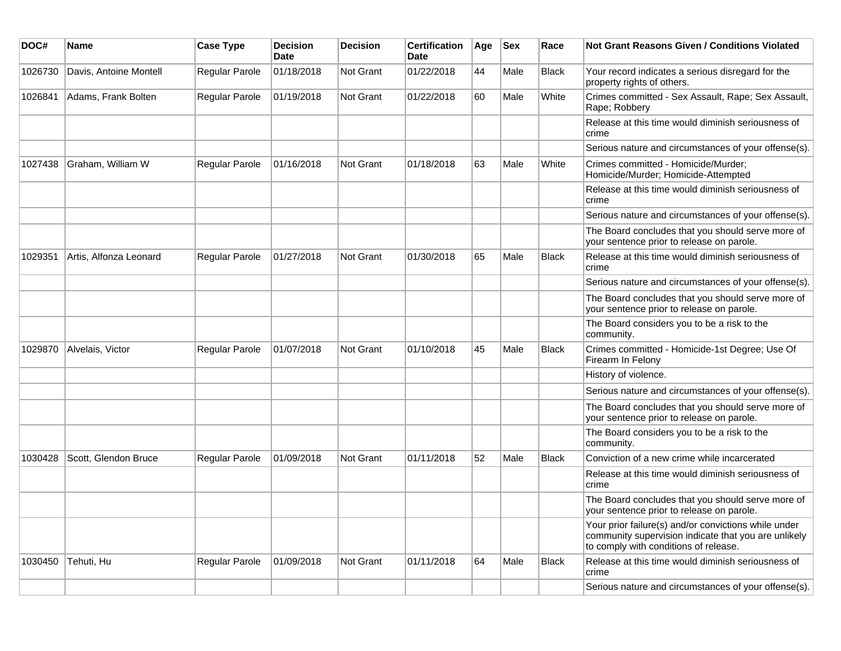| DOC#    | <b>Name</b>            | <b>Case Type</b>      | <b>Decision</b><br>Date | <b>Decision</b>  | <b>Certification</b><br>Date | Age | <b>Sex</b> | Race         | Not Grant Reasons Given / Conditions Violated                                                                                                         |
|---------|------------------------|-----------------------|-------------------------|------------------|------------------------------|-----|------------|--------------|-------------------------------------------------------------------------------------------------------------------------------------------------------|
| 1026730 | Davis, Antoine Montell | Regular Parole        | 01/18/2018              | Not Grant        | 01/22/2018                   | 44  | Male       | <b>Black</b> | Your record indicates a serious disregard for the<br>property rights of others.                                                                       |
| 1026841 | Adams, Frank Bolten    | Regular Parole        | 01/19/2018              | <b>Not Grant</b> | 01/22/2018                   | 60  | Male       | White        | Crimes committed - Sex Assault, Rape; Sex Assault,<br>Rape; Robbery                                                                                   |
|         |                        |                       |                         |                  |                              |     |            |              | Release at this time would diminish seriousness of<br>crime                                                                                           |
|         |                        |                       |                         |                  |                              |     |            |              | Serious nature and circumstances of your offense(s).                                                                                                  |
| 1027438 | Graham, William W      | Regular Parole        | 01/16/2018              | <b>Not Grant</b> | 01/18/2018                   | 63  | Male       | White        | Crimes committed - Homicide/Murder;<br>Homicide/Murder; Homicide-Attempted                                                                            |
|         |                        |                       |                         |                  |                              |     |            |              | Release at this time would diminish seriousness of<br>crime                                                                                           |
|         |                        |                       |                         |                  |                              |     |            |              | Serious nature and circumstances of your offense(s).                                                                                                  |
|         |                        |                       |                         |                  |                              |     |            |              | The Board concludes that you should serve more of<br>your sentence prior to release on parole.                                                        |
| 1029351 | Artis, Alfonza Leonard | <b>Regular Parole</b> | 01/27/2018              | <b>Not Grant</b> | 01/30/2018                   | 65  | Male       | <b>Black</b> | Release at this time would diminish seriousness of<br>crime                                                                                           |
|         |                        |                       |                         |                  |                              |     |            |              | Serious nature and circumstances of your offense(s).                                                                                                  |
|         |                        |                       |                         |                  |                              |     |            |              | The Board concludes that you should serve more of<br>your sentence prior to release on parole.                                                        |
|         |                        |                       |                         |                  |                              |     |            |              | The Board considers you to be a risk to the<br>community.                                                                                             |
| 1029870 | Alvelais, Victor       | Regular Parole        | 01/07/2018              | Not Grant        | 01/10/2018                   | 45  | Male       | Black        | Crimes committed - Homicide-1st Degree; Use Of<br>Firearm In Felony                                                                                   |
|         |                        |                       |                         |                  |                              |     |            |              | History of violence.                                                                                                                                  |
|         |                        |                       |                         |                  |                              |     |            |              | Serious nature and circumstances of your offense(s).                                                                                                  |
|         |                        |                       |                         |                  |                              |     |            |              | The Board concludes that you should serve more of<br>your sentence prior to release on parole.                                                        |
|         |                        |                       |                         |                  |                              |     |            |              | The Board considers you to be a risk to the<br>community.                                                                                             |
| 1030428 | Scott, Glendon Bruce   | Regular Parole        | 01/09/2018              | <b>Not Grant</b> | 01/11/2018                   | 52  | Male       | Black        | Conviction of a new crime while incarcerated                                                                                                          |
|         |                        |                       |                         |                  |                              |     |            |              | Release at this time would diminish seriousness of<br>crime                                                                                           |
|         |                        |                       |                         |                  |                              |     |            |              | The Board concludes that you should serve more of<br>your sentence prior to release on parole.                                                        |
|         |                        |                       |                         |                  |                              |     |            |              | Your prior failure(s) and/or convictions while under<br>community supervision indicate that you are unlikely<br>to comply with conditions of release. |
| 1030450 | Tehuti, Hu             | Regular Parole        | 01/09/2018              | Not Grant        | 01/11/2018                   | 64  | Male       | Black        | Release at this time would diminish seriousness of<br>crime                                                                                           |
|         |                        |                       |                         |                  |                              |     |            |              | Serious nature and circumstances of your offense(s).                                                                                                  |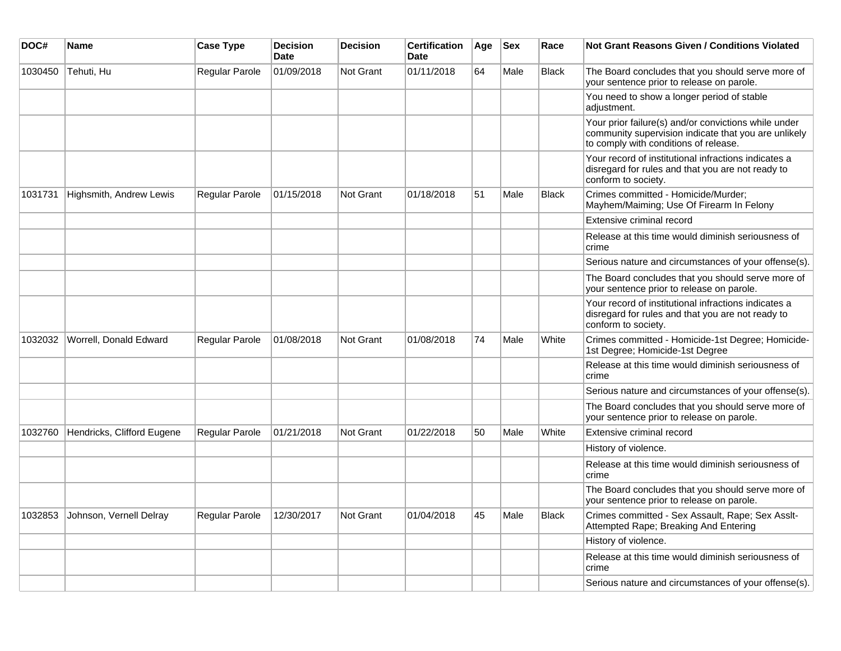| DOC#    | Name                       | <b>Case Type</b>      | <b>Decision</b><br><b>Date</b> | <b>Decision</b> | <b>Certification</b><br><b>Date</b> | Age | <b>Sex</b> | Race         | <b>Not Grant Reasons Given / Conditions Violated</b>                                                                                                  |
|---------|----------------------------|-----------------------|--------------------------------|-----------------|-------------------------------------|-----|------------|--------------|-------------------------------------------------------------------------------------------------------------------------------------------------------|
| 1030450 | Tehuti, Hu                 | <b>Regular Parole</b> | 01/09/2018                     | Not Grant       | 01/11/2018                          | 64  | Male       | <b>Black</b> | The Board concludes that you should serve more of<br>your sentence prior to release on parole.                                                        |
|         |                            |                       |                                |                 |                                     |     |            |              | You need to show a longer period of stable<br>adjustment.                                                                                             |
|         |                            |                       |                                |                 |                                     |     |            |              | Your prior failure(s) and/or convictions while under<br>community supervision indicate that you are unlikely<br>to comply with conditions of release. |
|         |                            |                       |                                |                 |                                     |     |            |              | Your record of institutional infractions indicates a<br>disregard for rules and that you are not ready to<br>conform to society.                      |
| 1031731 | Highsmith, Andrew Lewis    | Regular Parole        | 01/15/2018                     | Not Grant       | 01/18/2018                          | 51  | Male       | <b>Black</b> | Crimes committed - Homicide/Murder;<br>Mayhem/Maiming; Use Of Firearm In Felony                                                                       |
|         |                            |                       |                                |                 |                                     |     |            |              | Extensive criminal record                                                                                                                             |
|         |                            |                       |                                |                 |                                     |     |            |              | Release at this time would diminish seriousness of<br>crime                                                                                           |
|         |                            |                       |                                |                 |                                     |     |            |              | Serious nature and circumstances of your offense(s).                                                                                                  |
|         |                            |                       |                                |                 |                                     |     |            |              | The Board concludes that you should serve more of<br>your sentence prior to release on parole.                                                        |
|         |                            |                       |                                |                 |                                     |     |            |              | Your record of institutional infractions indicates a<br>disregard for rules and that you are not ready to<br>conform to society.                      |
| 1032032 | Worrell, Donald Edward     | Regular Parole        | 01/08/2018                     | Not Grant       | 01/08/2018                          | 74  | Male       | White        | Crimes committed - Homicide-1st Degree; Homicide-<br>1st Degree; Homicide-1st Degree                                                                  |
|         |                            |                       |                                |                 |                                     |     |            |              | Release at this time would diminish seriousness of<br>crime                                                                                           |
|         |                            |                       |                                |                 |                                     |     |            |              | Serious nature and circumstances of your offense(s).                                                                                                  |
|         |                            |                       |                                |                 |                                     |     |            |              | The Board concludes that you should serve more of<br>your sentence prior to release on parole.                                                        |
| 1032760 | Hendricks, Clifford Eugene | <b>Regular Parole</b> | 01/21/2018                     | Not Grant       | 01/22/2018                          | 50  | Male       | White        | Extensive criminal record                                                                                                                             |
|         |                            |                       |                                |                 |                                     |     |            |              | History of violence.                                                                                                                                  |
|         |                            |                       |                                |                 |                                     |     |            |              | Release at this time would diminish seriousness of<br>crime                                                                                           |
|         |                            |                       |                                |                 |                                     |     |            |              | The Board concludes that you should serve more of<br>your sentence prior to release on parole.                                                        |
| 1032853 | Johnson, Vernell Delray    | Regular Parole        | 12/30/2017                     | Not Grant       | 01/04/2018                          | 45  | Male       | <b>Black</b> | Crimes committed - Sex Assault, Rape; Sex Asslt-<br>Attempted Rape; Breaking And Entering                                                             |
|         |                            |                       |                                |                 |                                     |     |            |              | History of violence.                                                                                                                                  |
|         |                            |                       |                                |                 |                                     |     |            |              | Release at this time would diminish seriousness of<br>crime                                                                                           |
|         |                            |                       |                                |                 |                                     |     |            |              | Serious nature and circumstances of your offense(s).                                                                                                  |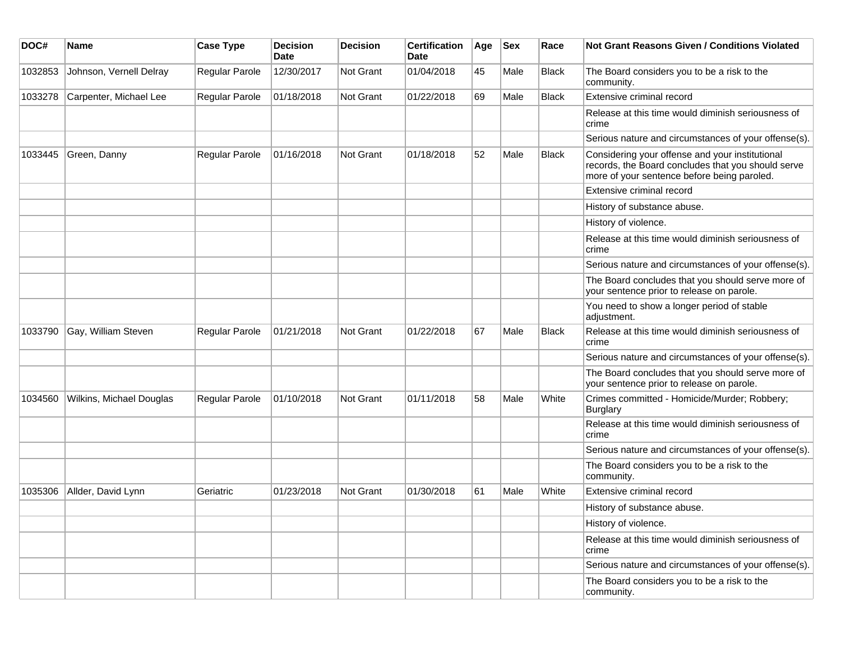| DOC#    | <b>Name</b>              | <b>Case Type</b> | <b>Decision</b><br><b>Date</b> | <b>Decision</b>  | <b>Certification</b><br>Date | Age | <b>Sex</b> | Race         | <b>Not Grant Reasons Given / Conditions Violated</b>                                                                                                 |
|---------|--------------------------|------------------|--------------------------------|------------------|------------------------------|-----|------------|--------------|------------------------------------------------------------------------------------------------------------------------------------------------------|
| 1032853 | Johnson, Vernell Delray  | Regular Parole   | 12/30/2017                     | Not Grant        | 01/04/2018                   | 45  | Male       | <b>Black</b> | The Board considers you to be a risk to the<br>community.                                                                                            |
| 1033278 | Carpenter, Michael Lee   | Regular Parole   | 01/18/2018                     | Not Grant        | 01/22/2018                   | 69  | Male       | Black        | Extensive criminal record                                                                                                                            |
|         |                          |                  |                                |                  |                              |     |            |              | Release at this time would diminish seriousness of<br>crime                                                                                          |
|         |                          |                  |                                |                  |                              |     |            |              | Serious nature and circumstances of your offense(s).                                                                                                 |
| 1033445 | Green, Danny             | Regular Parole   | 01/16/2018                     | <b>Not Grant</b> | 01/18/2018                   | 52  | Male       | <b>Black</b> | Considering your offense and your institutional<br>records, the Board concludes that you should serve<br>more of your sentence before being paroled. |
|         |                          |                  |                                |                  |                              |     |            |              | Extensive criminal record                                                                                                                            |
|         |                          |                  |                                |                  |                              |     |            |              | History of substance abuse.                                                                                                                          |
|         |                          |                  |                                |                  |                              |     |            |              | History of violence.                                                                                                                                 |
|         |                          |                  |                                |                  |                              |     |            |              | Release at this time would diminish seriousness of<br>crime                                                                                          |
|         |                          |                  |                                |                  |                              |     |            |              | Serious nature and circumstances of your offense(s).                                                                                                 |
|         |                          |                  |                                |                  |                              |     |            |              | The Board concludes that you should serve more of<br>your sentence prior to release on parole.                                                       |
|         |                          |                  |                                |                  |                              |     |            |              | You need to show a longer period of stable<br>adjustment.                                                                                            |
| 1033790 | Gay, William Steven      | Regular Parole   | 01/21/2018                     | Not Grant        | 01/22/2018                   | 67  | Male       | <b>Black</b> | Release at this time would diminish seriousness of<br>crime                                                                                          |
|         |                          |                  |                                |                  |                              |     |            |              | Serious nature and circumstances of your offense(s).                                                                                                 |
|         |                          |                  |                                |                  |                              |     |            |              | The Board concludes that you should serve more of<br>your sentence prior to release on parole.                                                       |
| 1034560 | Wilkins, Michael Douglas | Regular Parole   | 01/10/2018                     | Not Grant        | 01/11/2018                   | 58  | Male       | White        | Crimes committed - Homicide/Murder; Robbery;<br><b>Burglary</b>                                                                                      |
|         |                          |                  |                                |                  |                              |     |            |              | Release at this time would diminish seriousness of<br>crime                                                                                          |
|         |                          |                  |                                |                  |                              |     |            |              | Serious nature and circumstances of your offense(s).                                                                                                 |
|         |                          |                  |                                |                  |                              |     |            |              | The Board considers you to be a risk to the<br>community.                                                                                            |
| 1035306 | Allder, David Lynn       | Geriatric        | 01/23/2018                     | Not Grant        | 01/30/2018                   | 61  | Male       | White        | Extensive criminal record                                                                                                                            |
|         |                          |                  |                                |                  |                              |     |            |              | History of substance abuse.                                                                                                                          |
|         |                          |                  |                                |                  |                              |     |            |              | History of violence.                                                                                                                                 |
|         |                          |                  |                                |                  |                              |     |            |              | Release at this time would diminish seriousness of<br>crime                                                                                          |
|         |                          |                  |                                |                  |                              |     |            |              | Serious nature and circumstances of your offense(s).                                                                                                 |
|         |                          |                  |                                |                  |                              |     |            |              | The Board considers you to be a risk to the<br>community.                                                                                            |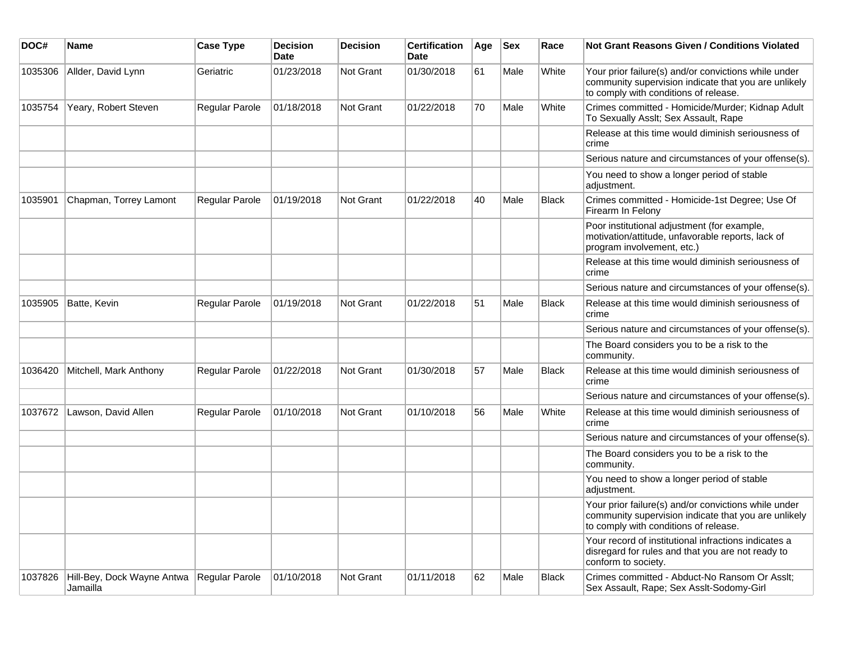| DOC#    | <b>Name</b>                            | <b>Case Type</b>      | <b>Decision</b><br><b>Date</b> | <b>Decision</b> | <b>Certification</b><br>Date | Age | <b>Sex</b> | Race         | Not Grant Reasons Given / Conditions Violated                                                                                                         |
|---------|----------------------------------------|-----------------------|--------------------------------|-----------------|------------------------------|-----|------------|--------------|-------------------------------------------------------------------------------------------------------------------------------------------------------|
| 1035306 | Allder, David Lynn                     | Geriatric             | 01/23/2018                     | Not Grant       | 01/30/2018                   | 61  | Male       | White        | Your prior failure(s) and/or convictions while under<br>community supervision indicate that you are unlikely<br>to comply with conditions of release. |
| 1035754 | Yeary, Robert Steven                   | Regular Parole        | 01/18/2018                     | Not Grant       | 01/22/2018                   | 70  | Male       | White        | Crimes committed - Homicide/Murder; Kidnap Adult<br>To Sexually Asslt; Sex Assault, Rape                                                              |
|         |                                        |                       |                                |                 |                              |     |            |              | Release at this time would diminish seriousness of<br>crime                                                                                           |
|         |                                        |                       |                                |                 |                              |     |            |              | Serious nature and circumstances of your offense(s).                                                                                                  |
|         |                                        |                       |                                |                 |                              |     |            |              | You need to show a longer period of stable<br>adjustment.                                                                                             |
| 1035901 | Chapman, Torrey Lamont                 | <b>Regular Parole</b> | 01/19/2018                     | Not Grant       | 01/22/2018                   | 40  | Male       | <b>Black</b> | Crimes committed - Homicide-1st Degree; Use Of<br>Firearm In Felony                                                                                   |
|         |                                        |                       |                                |                 |                              |     |            |              | Poor institutional adjustment (for example,<br>motivation/attitude, unfavorable reports, lack of<br>program involvement, etc.)                        |
|         |                                        |                       |                                |                 |                              |     |            |              | Release at this time would diminish seriousness of<br>crime                                                                                           |
|         |                                        |                       |                                |                 |                              |     |            |              | Serious nature and circumstances of your offense(s).                                                                                                  |
| 1035905 | Batte, Kevin                           | Regular Parole        | 01/19/2018                     | Not Grant       | 01/22/2018                   | 51  | Male       | <b>Black</b> | Release at this time would diminish seriousness of<br>crime                                                                                           |
|         |                                        |                       |                                |                 |                              |     |            |              | Serious nature and circumstances of your offense(s).                                                                                                  |
|         |                                        |                       |                                |                 |                              |     |            |              | The Board considers you to be a risk to the<br>community.                                                                                             |
| 1036420 | Mitchell, Mark Anthony                 | <b>Regular Parole</b> | 01/22/2018                     | Not Grant       | 01/30/2018                   | 57  | Male       | <b>Black</b> | Release at this time would diminish seriousness of<br>crime                                                                                           |
|         |                                        |                       |                                |                 |                              |     |            |              | Serious nature and circumstances of your offense(s).                                                                                                  |
| 1037672 | Lawson, David Allen                    | <b>Regular Parole</b> | 01/10/2018                     | Not Grant       | 01/10/2018                   | 56  | Male       | White        | Release at this time would diminish seriousness of<br>crime                                                                                           |
|         |                                        |                       |                                |                 |                              |     |            |              | Serious nature and circumstances of your offense(s).                                                                                                  |
|         |                                        |                       |                                |                 |                              |     |            |              | The Board considers you to be a risk to the<br>community.                                                                                             |
|         |                                        |                       |                                |                 |                              |     |            |              | You need to show a longer period of stable<br>adjustment.                                                                                             |
|         |                                        |                       |                                |                 |                              |     |            |              | Your prior failure(s) and/or convictions while under<br>community supervision indicate that you are unlikely<br>to comply with conditions of release. |
|         |                                        |                       |                                |                 |                              |     |            |              | Your record of institutional infractions indicates a<br>disregard for rules and that you are not ready to<br>conform to society.                      |
| 1037826 | Hill-Bey, Dock Wayne Antwa<br>Jamailla | Regular Parole        | 01/10/2018                     | Not Grant       | 01/11/2018                   | 62  | Male       | <b>Black</b> | Crimes committed - Abduct-No Ransom Or Asslt;<br>Sex Assault, Rape; Sex Asslt-Sodomy-Girl                                                             |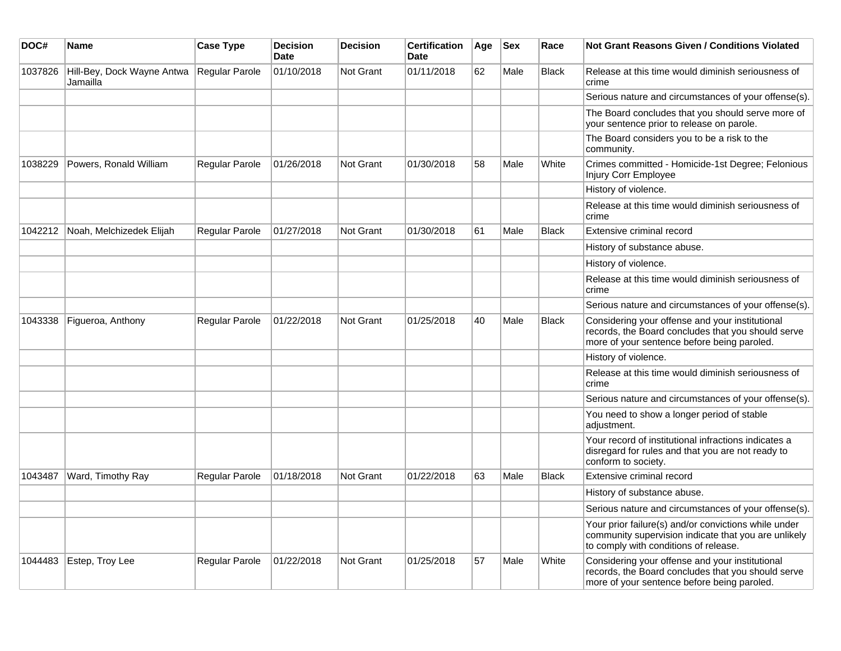| DOC#    | Name                                   | <b>Case Type</b>      | <b>Decision</b><br><b>Date</b> | <b>Decision</b>  | <b>Certification</b><br><b>Date</b> | Age | <b>Sex</b> | Race         | Not Grant Reasons Given / Conditions Violated                                                                                                         |
|---------|----------------------------------------|-----------------------|--------------------------------|------------------|-------------------------------------|-----|------------|--------------|-------------------------------------------------------------------------------------------------------------------------------------------------------|
| 1037826 | Hill-Bey, Dock Wayne Antwa<br>Jamailla | Regular Parole        | 01/10/2018                     | Not Grant        | 01/11/2018                          | 62  | Male       | <b>Black</b> | Release at this time would diminish seriousness of<br>crime                                                                                           |
|         |                                        |                       |                                |                  |                                     |     |            |              | Serious nature and circumstances of your offense(s).                                                                                                  |
|         |                                        |                       |                                |                  |                                     |     |            |              | The Board concludes that you should serve more of<br>your sentence prior to release on parole.                                                        |
|         |                                        |                       |                                |                  |                                     |     |            |              | The Board considers you to be a risk to the<br>community.                                                                                             |
| 1038229 | Powers, Ronald William                 | Regular Parole        | 01/26/2018                     | <b>Not Grant</b> | 01/30/2018                          | 58  | Male       | White        | Crimes committed - Homicide-1st Degree; Felonious<br>Injury Corr Employee                                                                             |
|         |                                        |                       |                                |                  |                                     |     |            |              | History of violence.                                                                                                                                  |
|         |                                        |                       |                                |                  |                                     |     |            |              | Release at this time would diminish seriousness of<br>crime                                                                                           |
| 1042212 | Noah, Melchizedek Elijah               | Regular Parole        | 01/27/2018                     | <b>Not Grant</b> | 01/30/2018                          | 61  | Male       | <b>Black</b> | Extensive criminal record                                                                                                                             |
|         |                                        |                       |                                |                  |                                     |     |            |              | History of substance abuse.                                                                                                                           |
|         |                                        |                       |                                |                  |                                     |     |            |              | History of violence.                                                                                                                                  |
|         |                                        |                       |                                |                  |                                     |     |            |              | Release at this time would diminish seriousness of<br>crime                                                                                           |
|         |                                        |                       |                                |                  |                                     |     |            |              | Serious nature and circumstances of your offense(s).                                                                                                  |
| 1043338 | Figueroa, Anthony                      | <b>Regular Parole</b> | 01/22/2018                     | <b>Not Grant</b> | 01/25/2018                          | 40  | Male       | <b>Black</b> | Considering your offense and your institutional<br>records, the Board concludes that you should serve<br>more of your sentence before being paroled.  |
|         |                                        |                       |                                |                  |                                     |     |            |              | History of violence.                                                                                                                                  |
|         |                                        |                       |                                |                  |                                     |     |            |              | Release at this time would diminish seriousness of<br>crime                                                                                           |
|         |                                        |                       |                                |                  |                                     |     |            |              | Serious nature and circumstances of your offense(s).                                                                                                  |
|         |                                        |                       |                                |                  |                                     |     |            |              | You need to show a longer period of stable<br>adjustment.                                                                                             |
|         |                                        |                       |                                |                  |                                     |     |            |              | Your record of institutional infractions indicates a<br>disregard for rules and that you are not ready to<br>conform to society.                      |
| 1043487 | Ward, Timothy Ray                      | <b>Regular Parole</b> | 01/18/2018                     | Not Grant        | 01/22/2018                          | 63  | Male       | <b>Black</b> | Extensive criminal record                                                                                                                             |
|         |                                        |                       |                                |                  |                                     |     |            |              | History of substance abuse.                                                                                                                           |
|         |                                        |                       |                                |                  |                                     |     |            |              | Serious nature and circumstances of your offense(s).                                                                                                  |
|         |                                        |                       |                                |                  |                                     |     |            |              | Your prior failure(s) and/or convictions while under<br>community supervision indicate that you are unlikely<br>to comply with conditions of release. |
| 1044483 | Estep, Troy Lee                        | Regular Parole        | 01/22/2018                     | Not Grant        | 01/25/2018                          | 57  | Male       | White        | Considering your offense and your institutional<br>records, the Board concludes that you should serve<br>more of your sentence before being paroled.  |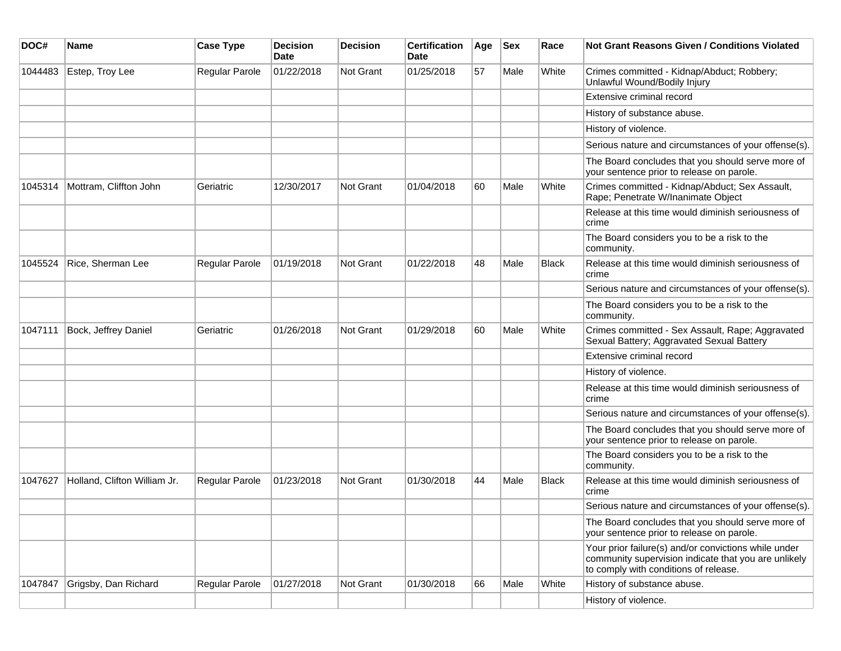| DOC#    | <b>Name</b>                  | <b>Case Type</b>      | <b>Decision</b><br><b>Date</b> | <b>Decision</b>  | <b>Certification</b><br>Date | Age | <b>Sex</b> | Race  | <b>Not Grant Reasons Given / Conditions Violated</b>                                                                                                  |
|---------|------------------------------|-----------------------|--------------------------------|------------------|------------------------------|-----|------------|-------|-------------------------------------------------------------------------------------------------------------------------------------------------------|
| 1044483 | Estep, Troy Lee              | Regular Parole        | 01/22/2018                     | <b>Not Grant</b> | 01/25/2018                   | 57  | Male       | White | Crimes committed - Kidnap/Abduct; Robbery;<br>Unlawful Wound/Bodily Injury                                                                            |
|         |                              |                       |                                |                  |                              |     |            |       | Extensive criminal record                                                                                                                             |
|         |                              |                       |                                |                  |                              |     |            |       | History of substance abuse.                                                                                                                           |
|         |                              |                       |                                |                  |                              |     |            |       | History of violence.                                                                                                                                  |
|         |                              |                       |                                |                  |                              |     |            |       | Serious nature and circumstances of your offense(s).                                                                                                  |
|         |                              |                       |                                |                  |                              |     |            |       | The Board concludes that you should serve more of<br>your sentence prior to release on parole.                                                        |
| 1045314 | Mottram, Cliffton John       | Geriatric             | 12/30/2017                     | Not Grant        | 01/04/2018                   | 60  | Male       | White | Crimes committed - Kidnap/Abduct; Sex Assault,<br>Rape; Penetrate W/Inanimate Object                                                                  |
|         |                              |                       |                                |                  |                              |     |            |       | Release at this time would diminish seriousness of<br>crime                                                                                           |
|         |                              |                       |                                |                  |                              |     |            |       | The Board considers you to be a risk to the<br>community.                                                                                             |
| 1045524 | Rice, Sherman Lee            | <b>Regular Parole</b> | 01/19/2018                     | Not Grant        | 01/22/2018                   | 48  | Male       | Black | Release at this time would diminish seriousness of<br>crime                                                                                           |
|         |                              |                       |                                |                  |                              |     |            |       | Serious nature and circumstances of your offense(s).                                                                                                  |
|         |                              |                       |                                |                  |                              |     |            |       | The Board considers you to be a risk to the<br>community.                                                                                             |
| 1047111 | Bock, Jeffrey Daniel         | Geriatric             | 01/26/2018                     | <b>Not Grant</b> | 01/29/2018                   | 60  | Male       | White | Crimes committed - Sex Assault, Rape; Aggravated<br>Sexual Battery; Aggravated Sexual Battery                                                         |
|         |                              |                       |                                |                  |                              |     |            |       | Extensive criminal record                                                                                                                             |
|         |                              |                       |                                |                  |                              |     |            |       | History of violence.                                                                                                                                  |
|         |                              |                       |                                |                  |                              |     |            |       | Release at this time would diminish seriousness of<br>crime                                                                                           |
|         |                              |                       |                                |                  |                              |     |            |       | Serious nature and circumstances of your offense(s).                                                                                                  |
|         |                              |                       |                                |                  |                              |     |            |       | The Board concludes that you should serve more of<br>your sentence prior to release on parole.                                                        |
|         |                              |                       |                                |                  |                              |     |            |       | The Board considers you to be a risk to the<br>community.                                                                                             |
| 1047627 | Holland, Clifton William Jr. | <b>Regular Parole</b> | 01/23/2018                     | <b>Not Grant</b> | 01/30/2018                   | 44  | Male       | Black | Release at this time would diminish seriousness of<br>crime                                                                                           |
|         |                              |                       |                                |                  |                              |     |            |       | Serious nature and circumstances of your offense(s).                                                                                                  |
|         |                              |                       |                                |                  |                              |     |            |       | The Board concludes that you should serve more of<br>your sentence prior to release on parole.                                                        |
|         |                              |                       |                                |                  |                              |     |            |       | Your prior failure(s) and/or convictions while under<br>community supervision indicate that you are unlikely<br>to comply with conditions of release. |
| 1047847 | Grigsby, Dan Richard         | Regular Parole        | 01/27/2018                     | <b>Not Grant</b> | 01/30/2018                   | 66  | Male       | White | History of substance abuse.                                                                                                                           |
|         |                              |                       |                                |                  |                              |     |            |       | History of violence.                                                                                                                                  |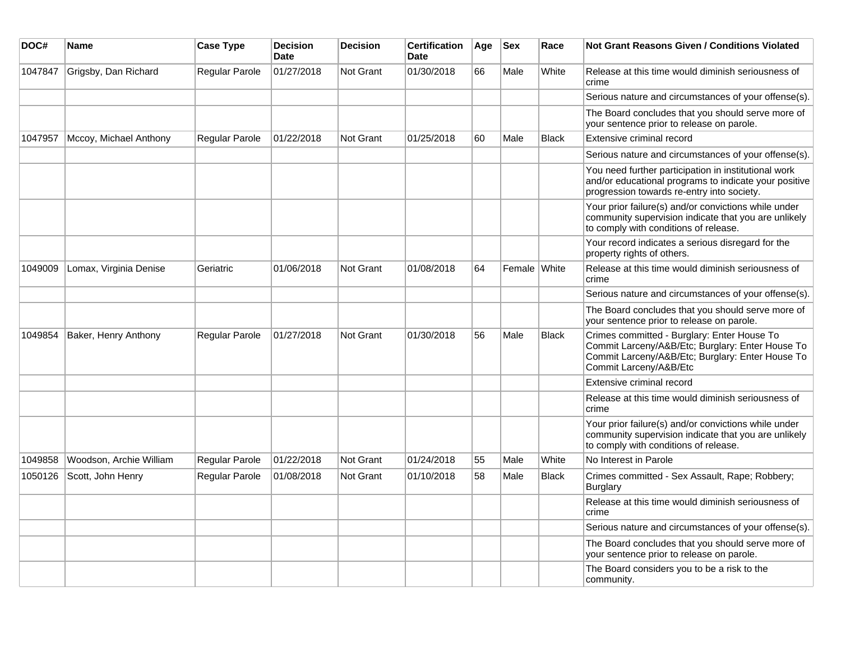| DOC#    | <b>Name</b>             | <b>Case Type</b>      | <b>Decision</b><br><b>Date</b> | <b>Decision</b>  | <b>Certification</b><br>Date | Age | <b>Sex</b>   | Race         | Not Grant Reasons Given / Conditions Violated                                                                                                                                 |
|---------|-------------------------|-----------------------|--------------------------------|------------------|------------------------------|-----|--------------|--------------|-------------------------------------------------------------------------------------------------------------------------------------------------------------------------------|
| 1047847 | Grigsby, Dan Richard    | Regular Parole        | 01/27/2018                     | <b>Not Grant</b> | 01/30/2018                   | 66  | Male         | White        | Release at this time would diminish seriousness of<br>crime                                                                                                                   |
|         |                         |                       |                                |                  |                              |     |              |              | Serious nature and circumstances of your offense(s).                                                                                                                          |
|         |                         |                       |                                |                  |                              |     |              |              | The Board concludes that you should serve more of<br>your sentence prior to release on parole.                                                                                |
| 1047957 | Mccoy, Michael Anthony  | Regular Parole        | 01/22/2018                     | Not Grant        | 01/25/2018                   | 60  | Male         | <b>Black</b> | Extensive criminal record                                                                                                                                                     |
|         |                         |                       |                                |                  |                              |     |              |              | Serious nature and circumstances of your offense(s).                                                                                                                          |
|         |                         |                       |                                |                  |                              |     |              |              | You need further participation in institutional work<br>and/or educational programs to indicate your positive<br>progression towards re-entry into society.                   |
|         |                         |                       |                                |                  |                              |     |              |              | Your prior failure(s) and/or convictions while under<br>community supervision indicate that you are unlikely<br>to comply with conditions of release.                         |
|         |                         |                       |                                |                  |                              |     |              |              | Your record indicates a serious disregard for the<br>property rights of others.                                                                                               |
| 1049009 | Lomax, Virginia Denise  | Geriatric             | 01/06/2018                     | Not Grant        | 01/08/2018                   | 64  | Female White |              | Release at this time would diminish seriousness of<br>crime                                                                                                                   |
|         |                         |                       |                                |                  |                              |     |              |              | Serious nature and circumstances of your offense(s).                                                                                                                          |
|         |                         |                       |                                |                  |                              |     |              |              | The Board concludes that you should serve more of<br>your sentence prior to release on parole.                                                                                |
| 1049854 | Baker, Henry Anthony    | <b>Regular Parole</b> | 01/27/2018                     | Not Grant        | 01/30/2018                   | 56  | Male         | <b>Black</b> | Crimes committed - Burglary: Enter House To<br>Commit Larceny/A&B/Etc; Burglary: Enter House To<br>Commit Larceny/A&B/Etc; Burglary: Enter House To<br>Commit Larceny/A&B/Etc |
|         |                         |                       |                                |                  |                              |     |              |              | Extensive criminal record                                                                                                                                                     |
|         |                         |                       |                                |                  |                              |     |              |              | Release at this time would diminish seriousness of<br>crime                                                                                                                   |
|         |                         |                       |                                |                  |                              |     |              |              | Your prior failure(s) and/or convictions while under<br>community supervision indicate that you are unlikely<br>to comply with conditions of release.                         |
| 1049858 | Woodson, Archie William | Regular Parole        | 01/22/2018                     | Not Grant        | 01/24/2018                   | 55  | Male         | White        | No Interest in Parole                                                                                                                                                         |
| 1050126 | Scott, John Henry       | Regular Parole        | 01/08/2018                     | <b>Not Grant</b> | 01/10/2018                   | 58  | Male         | <b>Black</b> | Crimes committed - Sex Assault, Rape; Robbery;<br>Burglary                                                                                                                    |
|         |                         |                       |                                |                  |                              |     |              |              | Release at this time would diminish seriousness of<br>crime                                                                                                                   |
|         |                         |                       |                                |                  |                              |     |              |              | Serious nature and circumstances of your offense(s).                                                                                                                          |
|         |                         |                       |                                |                  |                              |     |              |              | The Board concludes that you should serve more of<br>your sentence prior to release on parole.                                                                                |
|         |                         |                       |                                |                  |                              |     |              |              | The Board considers you to be a risk to the<br>community.                                                                                                                     |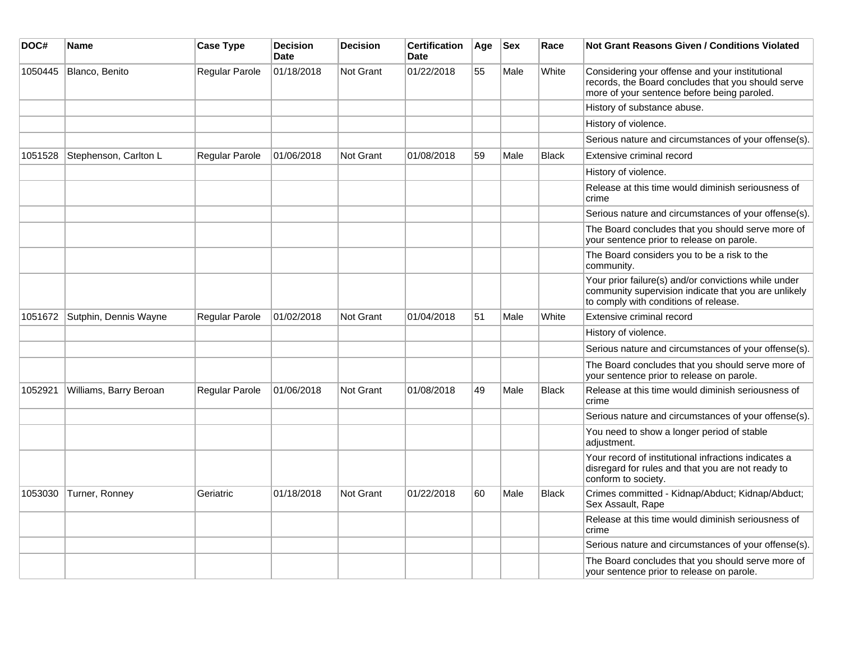| DOC#    | Name                   | <b>Case Type</b>      | <b>Decision</b><br><b>Date</b> | <b>Decision</b>  | <b>Certification</b><br><b>Date</b> | Age | <b>Sex</b> | Race         | <b>Not Grant Reasons Given / Conditions Violated</b>                                                                                                  |
|---------|------------------------|-----------------------|--------------------------------|------------------|-------------------------------------|-----|------------|--------------|-------------------------------------------------------------------------------------------------------------------------------------------------------|
| 1050445 | Blanco, Benito         | Regular Parole        | 01/18/2018                     | <b>Not Grant</b> | 01/22/2018                          | 55  | Male       | White        | Considering your offense and your institutional<br>records, the Board concludes that you should serve<br>more of your sentence before being paroled.  |
|         |                        |                       |                                |                  |                                     |     |            |              | History of substance abuse.                                                                                                                           |
|         |                        |                       |                                |                  |                                     |     |            |              | History of violence.                                                                                                                                  |
|         |                        |                       |                                |                  |                                     |     |            |              | Serious nature and circumstances of your offense(s).                                                                                                  |
| 1051528 | Stephenson, Carlton L  | <b>Regular Parole</b> | 01/06/2018                     | Not Grant        | 01/08/2018                          | 59  | Male       | <b>Black</b> | Extensive criminal record                                                                                                                             |
|         |                        |                       |                                |                  |                                     |     |            |              | History of violence.                                                                                                                                  |
|         |                        |                       |                                |                  |                                     |     |            |              | Release at this time would diminish seriousness of<br>crime                                                                                           |
|         |                        |                       |                                |                  |                                     |     |            |              | Serious nature and circumstances of your offense(s).                                                                                                  |
|         |                        |                       |                                |                  |                                     |     |            |              | The Board concludes that you should serve more of<br>your sentence prior to release on parole.                                                        |
|         |                        |                       |                                |                  |                                     |     |            |              | The Board considers you to be a risk to the<br>community.                                                                                             |
|         |                        |                       |                                |                  |                                     |     |            |              | Your prior failure(s) and/or convictions while under<br>community supervision indicate that you are unlikely<br>to comply with conditions of release. |
| 1051672 | Sutphin, Dennis Wayne  | Regular Parole        | 01/02/2018                     | <b>Not Grant</b> | 01/04/2018                          | 51  | Male       | White        | Extensive criminal record                                                                                                                             |
|         |                        |                       |                                |                  |                                     |     |            |              | History of violence.                                                                                                                                  |
|         |                        |                       |                                |                  |                                     |     |            |              | Serious nature and circumstances of your offense(s).                                                                                                  |
|         |                        |                       |                                |                  |                                     |     |            |              | The Board concludes that you should serve more of<br>your sentence prior to release on parole.                                                        |
| 1052921 | Williams, Barry Beroan | Regular Parole        | 01/06/2018                     | Not Grant        | 01/08/2018                          | 49  | Male       | <b>Black</b> | Release at this time would diminish seriousness of<br>crime                                                                                           |
|         |                        |                       |                                |                  |                                     |     |            |              | Serious nature and circumstances of your offense(s).                                                                                                  |
|         |                        |                       |                                |                  |                                     |     |            |              | You need to show a longer period of stable<br>adjustment.                                                                                             |
|         |                        |                       |                                |                  |                                     |     |            |              | Your record of institutional infractions indicates a<br>disregard for rules and that you are not ready to<br>conform to society.                      |
| 1053030 | Turner, Ronney         | Geriatric             | 01/18/2018                     | <b>Not Grant</b> | 01/22/2018                          | 60  | Male       | Black        | Crimes committed - Kidnap/Abduct; Kidnap/Abduct;<br>Sex Assault, Rape                                                                                 |
|         |                        |                       |                                |                  |                                     |     |            |              | Release at this time would diminish seriousness of<br>crime                                                                                           |
|         |                        |                       |                                |                  |                                     |     |            |              | Serious nature and circumstances of your offense(s).                                                                                                  |
|         |                        |                       |                                |                  |                                     |     |            |              | The Board concludes that you should serve more of<br>your sentence prior to release on parole.                                                        |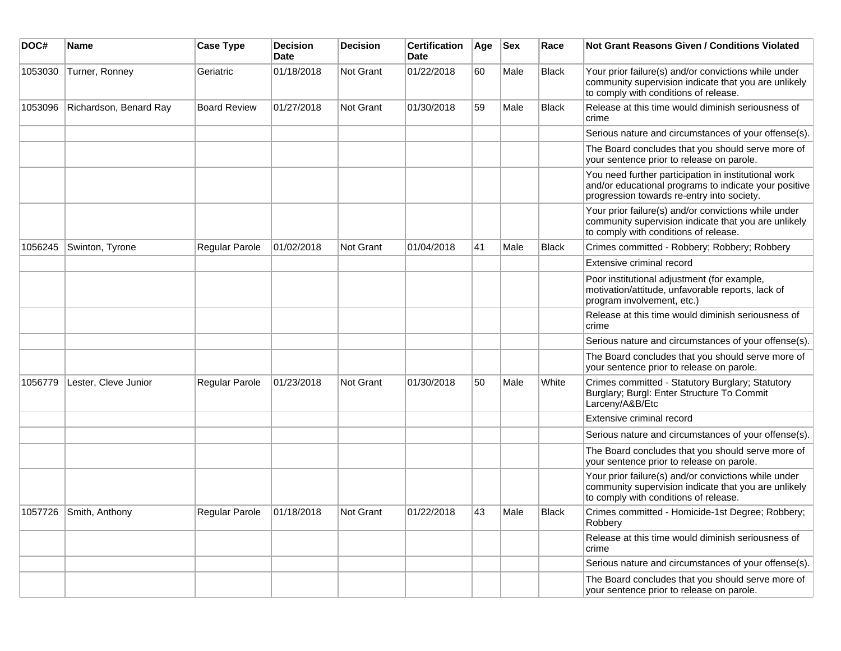| DOC#    | <b>Name</b>            | <b>Case Type</b>    | Decision<br><b>Date</b> | <b>Decision</b> | <b>Certification</b><br>Date | Age | <b>Sex</b> | Race         | <b>Not Grant Reasons Given / Conditions Violated</b>                                                                                                        |
|---------|------------------------|---------------------|-------------------------|-----------------|------------------------------|-----|------------|--------------|-------------------------------------------------------------------------------------------------------------------------------------------------------------|
| 1053030 | Turner, Ronney         | Geriatric           | 01/18/2018              | Not Grant       | 01/22/2018                   | 60  | Male       | <b>Black</b> | Your prior failure(s) and/or convictions while under<br>community supervision indicate that you are unlikely<br>to comply with conditions of release.       |
| 1053096 | Richardson, Benard Ray | <b>Board Review</b> | 01/27/2018              | Not Grant       | 01/30/2018                   | 59  | Male       | <b>Black</b> | Release at this time would diminish seriousness of<br>crime                                                                                                 |
|         |                        |                     |                         |                 |                              |     |            |              | Serious nature and circumstances of your offense(s).                                                                                                        |
|         |                        |                     |                         |                 |                              |     |            |              | The Board concludes that you should serve more of<br>your sentence prior to release on parole.                                                              |
|         |                        |                     |                         |                 |                              |     |            |              | You need further participation in institutional work<br>and/or educational programs to indicate your positive<br>progression towards re-entry into society. |
|         |                        |                     |                         |                 |                              |     |            |              | Your prior failure(s) and/or convictions while under<br>community supervision indicate that you are unlikely<br>to comply with conditions of release.       |
| 1056245 | Swinton, Tyrone        | Regular Parole      | 01/02/2018              | Not Grant       | 01/04/2018                   | 41  | Male       | <b>Black</b> | Crimes committed - Robbery; Robbery; Robbery                                                                                                                |
|         |                        |                     |                         |                 |                              |     |            |              | Extensive criminal record                                                                                                                                   |
|         |                        |                     |                         |                 |                              |     |            |              | Poor institutional adjustment (for example,<br>motivation/attitude, unfavorable reports, lack of<br>program involvement, etc.)                              |
|         |                        |                     |                         |                 |                              |     |            |              | Release at this time would diminish seriousness of<br>crime                                                                                                 |
|         |                        |                     |                         |                 |                              |     |            |              | Serious nature and circumstances of your offense(s).                                                                                                        |
|         |                        |                     |                         |                 |                              |     |            |              | The Board concludes that you should serve more of<br>your sentence prior to release on parole.                                                              |
| 1056779 | Lester, Cleve Junior   | Regular Parole      | 01/23/2018              | Not Grant       | 01/30/2018                   | 50  | Male       | White        | Crimes committed - Statutory Burglary; Statutory<br>Burglary; Burgl: Enter Structure To Commit<br>Larceny/A&B/Etc                                           |
|         |                        |                     |                         |                 |                              |     |            |              | Extensive criminal record                                                                                                                                   |
|         |                        |                     |                         |                 |                              |     |            |              | Serious nature and circumstances of your offense(s).                                                                                                        |
|         |                        |                     |                         |                 |                              |     |            |              | The Board concludes that you should serve more of<br>your sentence prior to release on parole.                                                              |
|         |                        |                     |                         |                 |                              |     |            |              | Your prior failure(s) and/or convictions while under<br>community supervision indicate that you are unlikely<br>to comply with conditions of release.       |
|         | 1057726 Smith, Anthony | Regular Parole      | 01/18/2018              | Not Grant       | 01/22/2018                   | 43  | Male       | <b>Black</b> | Crimes committed - Homicide-1st Degree; Robbery;<br>Robbery                                                                                                 |
|         |                        |                     |                         |                 |                              |     |            |              | Release at this time would diminish seriousness of<br>crime                                                                                                 |
|         |                        |                     |                         |                 |                              |     |            |              | Serious nature and circumstances of your offense(s).                                                                                                        |
|         |                        |                     |                         |                 |                              |     |            |              | The Board concludes that you should serve more of<br>your sentence prior to release on parole.                                                              |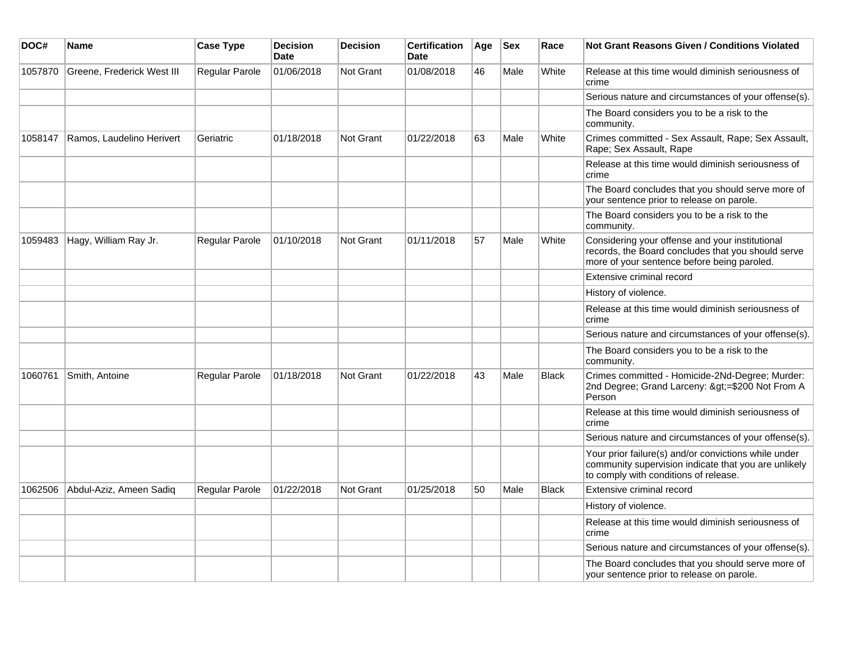| DOC#    | <b>Name</b>                | <b>Case Type</b> | <b>Decision</b><br><b>Date</b> | <b>Decision</b>  | <b>Certification</b><br><b>Date</b> | Age | <b>Sex</b> | Race         | <b>Not Grant Reasons Given / Conditions Violated</b>                                                                                                  |
|---------|----------------------------|------------------|--------------------------------|------------------|-------------------------------------|-----|------------|--------------|-------------------------------------------------------------------------------------------------------------------------------------------------------|
| 1057870 | Greene, Frederick West III | Regular Parole   | 01/06/2018                     | <b>Not Grant</b> | 01/08/2018                          | 46  | Male       | White        | Release at this time would diminish seriousness of<br>crime                                                                                           |
|         |                            |                  |                                |                  |                                     |     |            |              | Serious nature and circumstances of your offense(s).                                                                                                  |
|         |                            |                  |                                |                  |                                     |     |            |              | The Board considers you to be a risk to the<br>community.                                                                                             |
| 1058147 | Ramos, Laudelino Herivert  | Geriatric        | 01/18/2018                     | <b>Not Grant</b> | 01/22/2018                          | 63  | Male       | White        | Crimes committed - Sex Assault, Rape; Sex Assault,<br>Rape; Sex Assault, Rape                                                                         |
|         |                            |                  |                                |                  |                                     |     |            |              | Release at this time would diminish seriousness of<br>crime                                                                                           |
|         |                            |                  |                                |                  |                                     |     |            |              | The Board concludes that you should serve more of<br>your sentence prior to release on parole.                                                        |
|         |                            |                  |                                |                  |                                     |     |            |              | The Board considers you to be a risk to the<br>community.                                                                                             |
| 1059483 | Hagy, William Ray Jr.      | Regular Parole   | 01/10/2018                     | <b>Not Grant</b> | 01/11/2018                          | 57  | Male       | White        | Considering your offense and your institutional<br>records, the Board concludes that you should serve<br>more of your sentence before being paroled.  |
|         |                            |                  |                                |                  |                                     |     |            |              | Extensive criminal record                                                                                                                             |
|         |                            |                  |                                |                  |                                     |     |            |              | History of violence.                                                                                                                                  |
|         |                            |                  |                                |                  |                                     |     |            |              | Release at this time would diminish seriousness of<br>crime                                                                                           |
|         |                            |                  |                                |                  |                                     |     |            |              | Serious nature and circumstances of your offense(s).                                                                                                  |
|         |                            |                  |                                |                  |                                     |     |            |              | The Board considers you to be a risk to the<br>community.                                                                                             |
| 1060761 | Smith, Antoine             | Regular Parole   | 01/18/2018                     | <b>Not Grant</b> | 01/22/2018                          | 43  | Male       | <b>Black</b> | Crimes committed - Homicide-2Nd-Degree; Murder:<br>2nd Degree; Grand Larceny: >=\$200 Not From A<br>Person                                            |
|         |                            |                  |                                |                  |                                     |     |            |              | Release at this time would diminish seriousness of<br>crime                                                                                           |
|         |                            |                  |                                |                  |                                     |     |            |              | Serious nature and circumstances of your offense(s).                                                                                                  |
|         |                            |                  |                                |                  |                                     |     |            |              | Your prior failure(s) and/or convictions while under<br>community supervision indicate that you are unlikely<br>to comply with conditions of release. |
| 1062506 | Abdul-Aziz, Ameen Sadiq    | Regular Parole   | 01/22/2018                     | <b>Not Grant</b> | 01/25/2018                          | 50  | Male       | <b>Black</b> | Extensive criminal record                                                                                                                             |
|         |                            |                  |                                |                  |                                     |     |            |              | History of violence.                                                                                                                                  |
|         |                            |                  |                                |                  |                                     |     |            |              | Release at this time would diminish seriousness of<br>crime                                                                                           |
|         |                            |                  |                                |                  |                                     |     |            |              | Serious nature and circumstances of your offense(s).                                                                                                  |
|         |                            |                  |                                |                  |                                     |     |            |              | The Board concludes that you should serve more of<br>your sentence prior to release on parole.                                                        |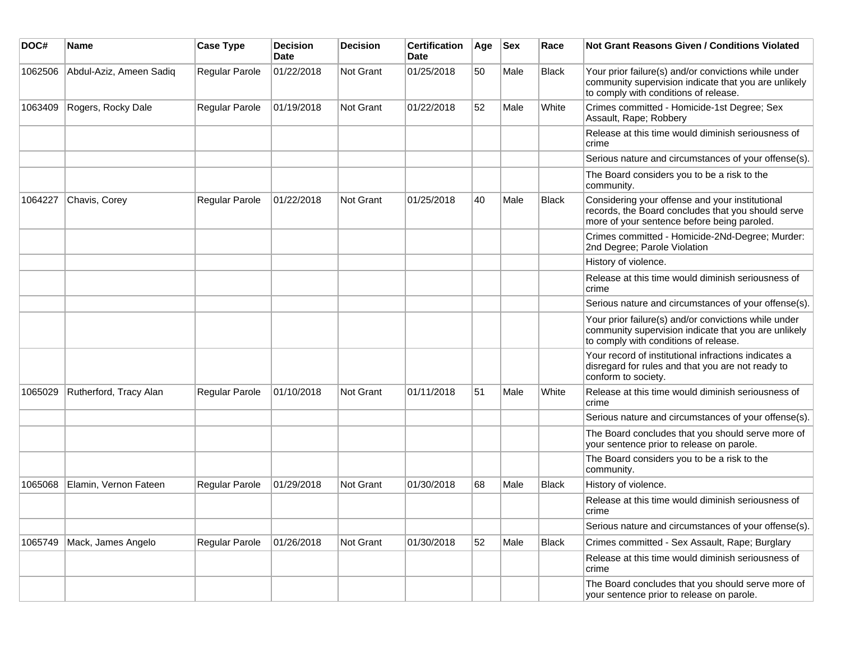| DOC#    | <b>Name</b>             | <b>Case Type</b> | <b>Decision</b><br><b>Date</b> | <b>Decision</b> | <b>Certification</b><br>Date | Age | <b>Sex</b> | Race         | Not Grant Reasons Given / Conditions Violated                                                                                                         |
|---------|-------------------------|------------------|--------------------------------|-----------------|------------------------------|-----|------------|--------------|-------------------------------------------------------------------------------------------------------------------------------------------------------|
| 1062506 | Abdul-Aziz, Ameen Sadiq | Regular Parole   | 01/22/2018                     | Not Grant       | 01/25/2018                   | 50  | Male       | <b>Black</b> | Your prior failure(s) and/or convictions while under<br>community supervision indicate that you are unlikely<br>to comply with conditions of release. |
| 1063409 | Rogers, Rocky Dale      | Regular Parole   | 01/19/2018                     | Not Grant       | 01/22/2018                   | 52  | Male       | White        | Crimes committed - Homicide-1st Degree; Sex<br>Assault, Rape; Robbery                                                                                 |
|         |                         |                  |                                |                 |                              |     |            |              | Release at this time would diminish seriousness of<br>crime                                                                                           |
|         |                         |                  |                                |                 |                              |     |            |              | Serious nature and circumstances of your offense(s).                                                                                                  |
|         |                         |                  |                                |                 |                              |     |            |              | The Board considers you to be a risk to the<br>community.                                                                                             |
| 1064227 | Chavis, Corey           | Regular Parole   | 01/22/2018                     | Not Grant       | 01/25/2018                   | 40  | Male       | <b>Black</b> | Considering your offense and your institutional<br>records, the Board concludes that you should serve<br>more of your sentence before being paroled.  |
|         |                         |                  |                                |                 |                              |     |            |              | Crimes committed - Homicide-2Nd-Degree; Murder:<br>2nd Degree; Parole Violation                                                                       |
|         |                         |                  |                                |                 |                              |     |            |              | History of violence.                                                                                                                                  |
|         |                         |                  |                                |                 |                              |     |            |              | Release at this time would diminish seriousness of<br>crime                                                                                           |
|         |                         |                  |                                |                 |                              |     |            |              | Serious nature and circumstances of your offense(s).                                                                                                  |
|         |                         |                  |                                |                 |                              |     |            |              | Your prior failure(s) and/or convictions while under<br>community supervision indicate that you are unlikely<br>to comply with conditions of release. |
|         |                         |                  |                                |                 |                              |     |            |              | Your record of institutional infractions indicates a<br>disregard for rules and that you are not ready to<br>conform to society.                      |
| 1065029 | Rutherford, Tracy Alan  | Regular Parole   | 01/10/2018                     | Not Grant       | 01/11/2018                   | 51  | Male       | White        | Release at this time would diminish seriousness of<br>crime                                                                                           |
|         |                         |                  |                                |                 |                              |     |            |              | Serious nature and circumstances of your offense(s).                                                                                                  |
|         |                         |                  |                                |                 |                              |     |            |              | The Board concludes that you should serve more of<br>your sentence prior to release on parole.                                                        |
|         |                         |                  |                                |                 |                              |     |            |              | The Board considers you to be a risk to the<br>community.                                                                                             |
| 1065068 | Elamin, Vernon Fateen   | Regular Parole   | 01/29/2018                     | Not Grant       | 01/30/2018                   | 68  | Male       | <b>Black</b> | History of violence.                                                                                                                                  |
|         |                         |                  |                                |                 |                              |     |            |              | Release at this time would diminish seriousness of<br>crime                                                                                           |
|         |                         |                  |                                |                 |                              |     |            |              | Serious nature and circumstances of your offense(s).                                                                                                  |
| 1065749 | Mack, James Angelo      | Regular Parole   | 01/26/2018                     | Not Grant       | 01/30/2018                   | 52  | Male       | Black        | Crimes committed - Sex Assault, Rape; Burglary                                                                                                        |
|         |                         |                  |                                |                 |                              |     |            |              | Release at this time would diminish seriousness of<br>crime                                                                                           |
|         |                         |                  |                                |                 |                              |     |            |              | The Board concludes that you should serve more of<br>your sentence prior to release on parole.                                                        |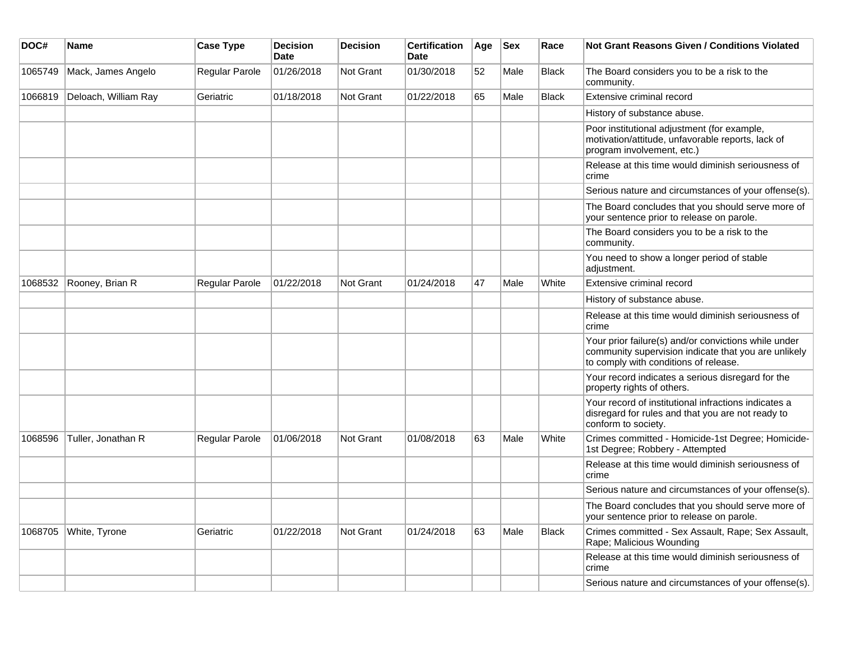| DOC#    | <b>Name</b>          | <b>Case Type</b> | <b>Decision</b><br><b>Date</b> | <b>Decision</b>  | <b>Certification</b><br><b>Date</b> | Age | <b>Sex</b> | Race         | Not Grant Reasons Given / Conditions Violated                                                                                                         |
|---------|----------------------|------------------|--------------------------------|------------------|-------------------------------------|-----|------------|--------------|-------------------------------------------------------------------------------------------------------------------------------------------------------|
| 1065749 | Mack, James Angelo   | Regular Parole   | 01/26/2018                     | Not Grant        | 01/30/2018                          | 52  | Male       | <b>Black</b> | The Board considers you to be a risk to the<br>community.                                                                                             |
| 1066819 | Deloach, William Ray | Geriatric        | 01/18/2018                     | <b>Not Grant</b> | 01/22/2018                          | 65  | Male       | <b>Black</b> | Extensive criminal record                                                                                                                             |
|         |                      |                  |                                |                  |                                     |     |            |              | History of substance abuse.                                                                                                                           |
|         |                      |                  |                                |                  |                                     |     |            |              | Poor institutional adjustment (for example,<br>motivation/attitude, unfavorable reports, lack of<br>program involvement, etc.)                        |
|         |                      |                  |                                |                  |                                     |     |            |              | Release at this time would diminish seriousness of<br>crime                                                                                           |
|         |                      |                  |                                |                  |                                     |     |            |              | Serious nature and circumstances of your offense(s).                                                                                                  |
|         |                      |                  |                                |                  |                                     |     |            |              | The Board concludes that you should serve more of<br>your sentence prior to release on parole.                                                        |
|         |                      |                  |                                |                  |                                     |     |            |              | The Board considers you to be a risk to the<br>community.                                                                                             |
|         |                      |                  |                                |                  |                                     |     |            |              | You need to show a longer period of stable<br>adjustment.                                                                                             |
| 1068532 | Rooney, Brian R      | Regular Parole   | 01/22/2018                     | <b>Not Grant</b> | 01/24/2018                          | 47  | Male       | White        | Extensive criminal record                                                                                                                             |
|         |                      |                  |                                |                  |                                     |     |            |              | History of substance abuse.                                                                                                                           |
|         |                      |                  |                                |                  |                                     |     |            |              | Release at this time would diminish seriousness of<br>crime                                                                                           |
|         |                      |                  |                                |                  |                                     |     |            |              | Your prior failure(s) and/or convictions while under<br>community supervision indicate that you are unlikely<br>to comply with conditions of release. |
|         |                      |                  |                                |                  |                                     |     |            |              | Your record indicates a serious disregard for the<br>property rights of others.                                                                       |
|         |                      |                  |                                |                  |                                     |     |            |              | Your record of institutional infractions indicates a<br>disregard for rules and that you are not ready to<br>conform to society.                      |
| 1068596 | Tuller, Jonathan R   | Regular Parole   | 01/06/2018                     | <b>Not Grant</b> | 01/08/2018                          | 63  | Male       | White        | Crimes committed - Homicide-1st Degree; Homicide-<br>1st Degree; Robbery - Attempted                                                                  |
|         |                      |                  |                                |                  |                                     |     |            |              | Release at this time would diminish seriousness of<br>crime                                                                                           |
|         |                      |                  |                                |                  |                                     |     |            |              | Serious nature and circumstances of your offense(s).                                                                                                  |
|         |                      |                  |                                |                  |                                     |     |            |              | The Board concludes that you should serve more of<br>your sentence prior to release on parole.                                                        |
| 1068705 | White, Tyrone        | Geriatric        | 01/22/2018                     | Not Grant        | 01/24/2018                          | 63  | Male       | Black        | Crimes committed - Sex Assault, Rape; Sex Assault,<br>Rape; Malicious Wounding                                                                        |
|         |                      |                  |                                |                  |                                     |     |            |              | Release at this time would diminish seriousness of<br>crime                                                                                           |
|         |                      |                  |                                |                  |                                     |     |            |              | Serious nature and circumstances of your offense(s).                                                                                                  |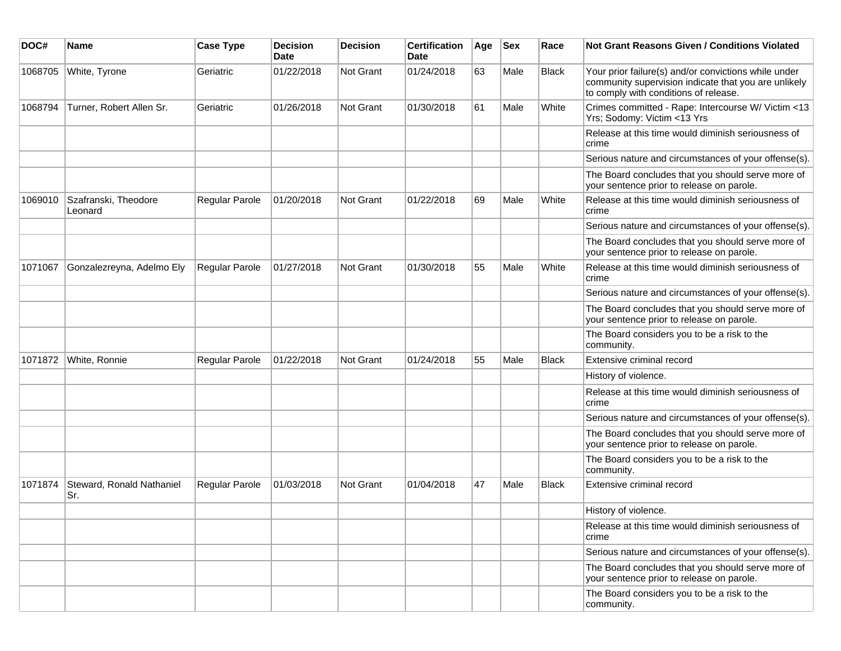| DOC#    | <b>Name</b>                      | <b>Case Type</b>      | <b>Decision</b><br><b>Date</b> | <b>Decision</b> | <b>Certification</b><br>Date | Age | <b>Sex</b> | Race         | Not Grant Reasons Given / Conditions Violated                                                                                                         |
|---------|----------------------------------|-----------------------|--------------------------------|-----------------|------------------------------|-----|------------|--------------|-------------------------------------------------------------------------------------------------------------------------------------------------------|
| 1068705 | White, Tyrone                    | Geriatric             | 01/22/2018                     | Not Grant       | 01/24/2018                   | 63  | Male       | <b>Black</b> | Your prior failure(s) and/or convictions while under<br>community supervision indicate that you are unlikely<br>to comply with conditions of release. |
| 1068794 | Turner, Robert Allen Sr.         | Geriatric             | 01/26/2018                     | Not Grant       | 01/30/2018                   | 61  | Male       | White        | Crimes committed - Rape: Intercourse W/ Victim <13<br>Yrs; Sodomy: Victim <13 Yrs                                                                     |
|         |                                  |                       |                                |                 |                              |     |            |              | Release at this time would diminish seriousness of<br>crime                                                                                           |
|         |                                  |                       |                                |                 |                              |     |            |              | Serious nature and circumstances of your offense(s).                                                                                                  |
|         |                                  |                       |                                |                 |                              |     |            |              | The Board concludes that you should serve more of<br>your sentence prior to release on parole.                                                        |
| 1069010 | Szafranski, Theodore<br>Leonard  | Regular Parole        | 01/20/2018                     | Not Grant       | 01/22/2018                   | 69  | Male       | White        | Release at this time would diminish seriousness of<br>crime                                                                                           |
|         |                                  |                       |                                |                 |                              |     |            |              | Serious nature and circumstances of your offense(s).                                                                                                  |
|         |                                  |                       |                                |                 |                              |     |            |              | The Board concludes that you should serve more of<br>your sentence prior to release on parole.                                                        |
| 1071067 | Gonzalezreyna, Adelmo Ely        | <b>Regular Parole</b> | 01/27/2018                     | Not Grant       | 01/30/2018                   | 55  | Male       | White        | Release at this time would diminish seriousness of<br>crime                                                                                           |
|         |                                  |                       |                                |                 |                              |     |            |              | Serious nature and circumstances of your offense(s).                                                                                                  |
|         |                                  |                       |                                |                 |                              |     |            |              | The Board concludes that you should serve more of<br>your sentence prior to release on parole.                                                        |
|         |                                  |                       |                                |                 |                              |     |            |              | The Board considers you to be a risk to the<br>community.                                                                                             |
| 1071872 | White, Ronnie                    | Regular Parole        | 01/22/2018                     | Not Grant       | 01/24/2018                   | 55  | Male       | <b>Black</b> | Extensive criminal record                                                                                                                             |
|         |                                  |                       |                                |                 |                              |     |            |              | History of violence.                                                                                                                                  |
|         |                                  |                       |                                |                 |                              |     |            |              | Release at this time would diminish seriousness of<br>crime                                                                                           |
|         |                                  |                       |                                |                 |                              |     |            |              | Serious nature and circumstances of your offense(s).                                                                                                  |
|         |                                  |                       |                                |                 |                              |     |            |              | The Board concludes that you should serve more of<br>your sentence prior to release on parole.                                                        |
|         |                                  |                       |                                |                 |                              |     |            |              | The Board considers you to be a risk to the<br>community.                                                                                             |
| 1071874 | Steward, Ronald Nathaniel<br>Sr. | Regular Parole        | 01/03/2018                     | Not Grant       | 01/04/2018                   | 47  | Male       | <b>Black</b> | Extensive criminal record                                                                                                                             |
|         |                                  |                       |                                |                 |                              |     |            |              | History of violence.                                                                                                                                  |
|         |                                  |                       |                                |                 |                              |     |            |              | Release at this time would diminish seriousness of<br>crime                                                                                           |
|         |                                  |                       |                                |                 |                              |     |            |              | Serious nature and circumstances of your offense(s).                                                                                                  |
|         |                                  |                       |                                |                 |                              |     |            |              | The Board concludes that you should serve more of<br>your sentence prior to release on parole.                                                        |
|         |                                  |                       |                                |                 |                              |     |            |              | The Board considers you to be a risk to the<br>community.                                                                                             |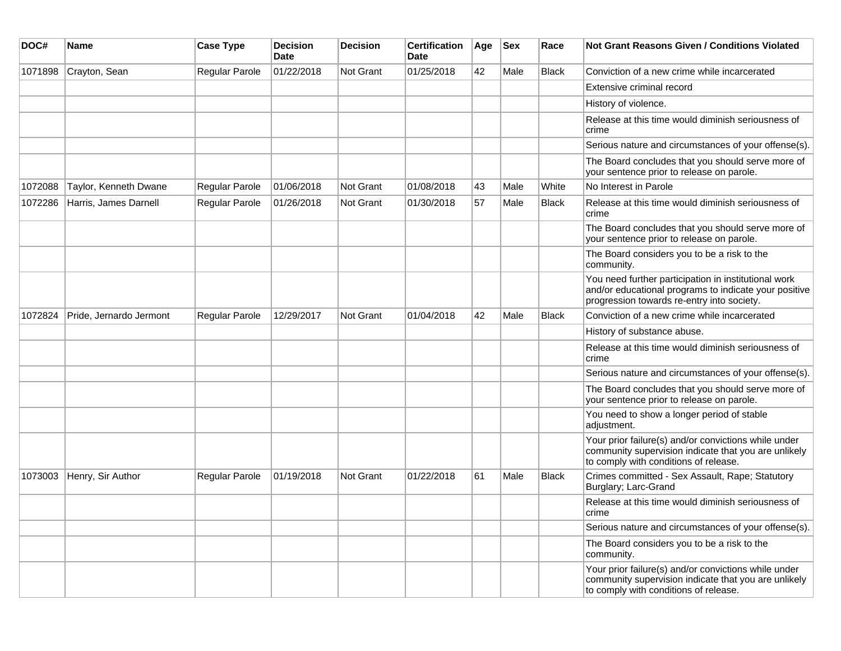| DOC#    | Name                    | <b>Case Type</b>      | <b>Decision</b><br><b>Date</b> | <b>Decision</b>  | <b>Certification</b><br><b>Date</b> | Age | <b>Sex</b> | Race         | <b>Not Grant Reasons Given / Conditions Violated</b>                                                                                                        |
|---------|-------------------------|-----------------------|--------------------------------|------------------|-------------------------------------|-----|------------|--------------|-------------------------------------------------------------------------------------------------------------------------------------------------------------|
| 1071898 | Crayton, Sean           | Regular Parole        | 01/22/2018                     | <b>Not Grant</b> | 01/25/2018                          | 42  | Male       | <b>Black</b> | Conviction of a new crime while incarcerated                                                                                                                |
|         |                         |                       |                                |                  |                                     |     |            |              | Extensive criminal record                                                                                                                                   |
|         |                         |                       |                                |                  |                                     |     |            |              | History of violence.                                                                                                                                        |
|         |                         |                       |                                |                  |                                     |     |            |              | Release at this time would diminish seriousness of<br>crime                                                                                                 |
|         |                         |                       |                                |                  |                                     |     |            |              | Serious nature and circumstances of your offense(s).                                                                                                        |
|         |                         |                       |                                |                  |                                     |     |            |              | The Board concludes that you should serve more of<br>your sentence prior to release on parole.                                                              |
| 1072088 | Taylor, Kenneth Dwane   | <b>Regular Parole</b> | 01/06/2018                     | Not Grant        | 01/08/2018                          | 43  | Male       | White        | No Interest in Parole                                                                                                                                       |
| 1072286 | Harris, James Darnell   | Regular Parole        | 01/26/2018                     | Not Grant        | 01/30/2018                          | 57  | Male       | <b>Black</b> | Release at this time would diminish seriousness of<br>crime                                                                                                 |
|         |                         |                       |                                |                  |                                     |     |            |              | The Board concludes that you should serve more of<br>your sentence prior to release on parole.                                                              |
|         |                         |                       |                                |                  |                                     |     |            |              | The Board considers you to be a risk to the<br>community.                                                                                                   |
|         |                         |                       |                                |                  |                                     |     |            |              | You need further participation in institutional work<br>and/or educational programs to indicate your positive<br>progression towards re-entry into society. |
| 1072824 | Pride, Jernardo Jermont | Regular Parole        | 12/29/2017                     | <b>Not Grant</b> | 01/04/2018                          | 42  | Male       | Black        | Conviction of a new crime while incarcerated                                                                                                                |
|         |                         |                       |                                |                  |                                     |     |            |              | History of substance abuse.                                                                                                                                 |
|         |                         |                       |                                |                  |                                     |     |            |              | Release at this time would diminish seriousness of<br>crime                                                                                                 |
|         |                         |                       |                                |                  |                                     |     |            |              | Serious nature and circumstances of your offense(s).                                                                                                        |
|         |                         |                       |                                |                  |                                     |     |            |              | The Board concludes that you should serve more of<br>your sentence prior to release on parole.                                                              |
|         |                         |                       |                                |                  |                                     |     |            |              | You need to show a longer period of stable<br>adjustment.                                                                                                   |
|         |                         |                       |                                |                  |                                     |     |            |              | Your prior failure(s) and/or convictions while under<br>community supervision indicate that you are unlikely<br>to comply with conditions of release.       |
| 1073003 | Henry, Sir Author       | Regular Parole        | 01/19/2018                     | <b>Not Grant</b> | 01/22/2018                          | 61  | Male       | <b>Black</b> | Crimes committed - Sex Assault, Rape; Statutory<br>Burglary; Larc-Grand                                                                                     |
|         |                         |                       |                                |                  |                                     |     |            |              | Release at this time would diminish seriousness of<br>crime                                                                                                 |
|         |                         |                       |                                |                  |                                     |     |            |              | Serious nature and circumstances of your offense(s).                                                                                                        |
|         |                         |                       |                                |                  |                                     |     |            |              | The Board considers you to be a risk to the<br>community.                                                                                                   |
|         |                         |                       |                                |                  |                                     |     |            |              | Your prior failure(s) and/or convictions while under<br>community supervision indicate that you are unlikely<br>to comply with conditions of release.       |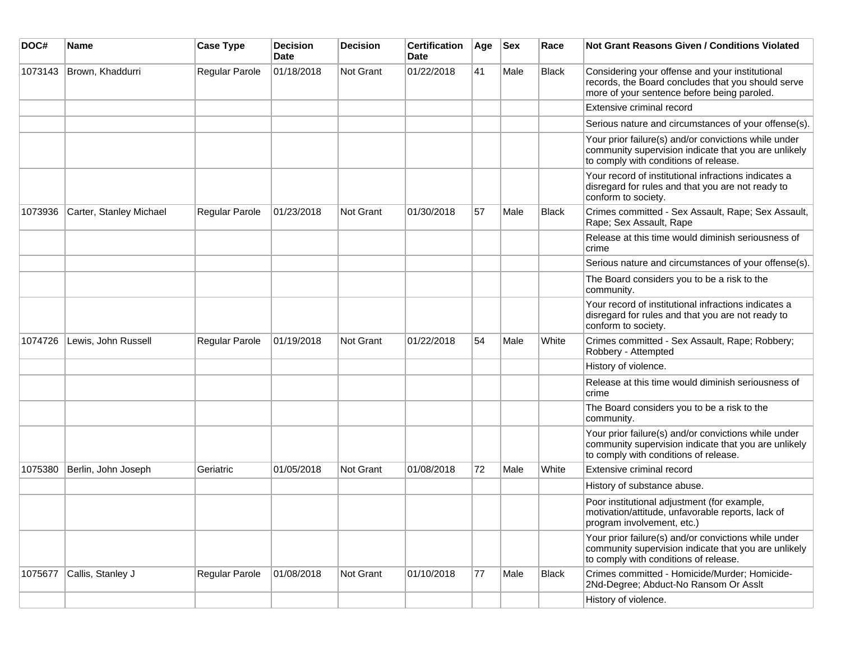| DOC#    | <b>Name</b>             | <b>Case Type</b> | <b>Decision</b><br><b>Date</b> | <b>Decision</b>  | <b>Certification</b><br>Date | Age | <b>Sex</b> | Race         | <b>Not Grant Reasons Given / Conditions Violated</b>                                                                                                  |
|---------|-------------------------|------------------|--------------------------------|------------------|------------------------------|-----|------------|--------------|-------------------------------------------------------------------------------------------------------------------------------------------------------|
| 1073143 | Brown, Khaddurri        | Regular Parole   | 01/18/2018                     | <b>Not Grant</b> | 01/22/2018                   | 41  | Male       | Black        | Considering your offense and your institutional<br>records, the Board concludes that you should serve<br>more of your sentence before being paroled.  |
|         |                         |                  |                                |                  |                              |     |            |              | Extensive criminal record                                                                                                                             |
|         |                         |                  |                                |                  |                              |     |            |              | Serious nature and circumstances of your offense(s).                                                                                                  |
|         |                         |                  |                                |                  |                              |     |            |              | Your prior failure(s) and/or convictions while under<br>community supervision indicate that you are unlikely<br>to comply with conditions of release. |
|         |                         |                  |                                |                  |                              |     |            |              | Your record of institutional infractions indicates a<br>disregard for rules and that you are not ready to<br>conform to society.                      |
| 1073936 | Carter, Stanley Michael | Regular Parole   | 01/23/2018                     | Not Grant        | 01/30/2018                   | 57  | Male       | <b>Black</b> | Crimes committed - Sex Assault, Rape; Sex Assault,<br>Rape; Sex Assault, Rape                                                                         |
|         |                         |                  |                                |                  |                              |     |            |              | Release at this time would diminish seriousness of<br>crime                                                                                           |
|         |                         |                  |                                |                  |                              |     |            |              | Serious nature and circumstances of your offense(s).                                                                                                  |
|         |                         |                  |                                |                  |                              |     |            |              | The Board considers you to be a risk to the<br>community.                                                                                             |
|         |                         |                  |                                |                  |                              |     |            |              | Your record of institutional infractions indicates a<br>disregard for rules and that you are not ready to<br>conform to society.                      |
| 1074726 | Lewis, John Russell     | Regular Parole   | 01/19/2018                     | <b>Not Grant</b> | 01/22/2018                   | 54  | Male       | White        | Crimes committed - Sex Assault, Rape; Robbery;<br>Robbery - Attempted                                                                                 |
|         |                         |                  |                                |                  |                              |     |            |              | History of violence.                                                                                                                                  |
|         |                         |                  |                                |                  |                              |     |            |              | Release at this time would diminish seriousness of<br>crime                                                                                           |
|         |                         |                  |                                |                  |                              |     |            |              | The Board considers you to be a risk to the<br>community.                                                                                             |
|         |                         |                  |                                |                  |                              |     |            |              | Your prior failure(s) and/or convictions while under<br>community supervision indicate that you are unlikely<br>to comply with conditions of release. |
| 1075380 | Berlin, John Joseph     | Geriatric        | 01/05/2018                     | <b>Not Grant</b> | 01/08/2018                   | 72  | Male       | White        | Extensive criminal record                                                                                                                             |
|         |                         |                  |                                |                  |                              |     |            |              | History of substance abuse.                                                                                                                           |
|         |                         |                  |                                |                  |                              |     |            |              | Poor institutional adjustment (for example,<br>motivation/attitude, unfavorable reports, lack of<br>program involvement, etc.)                        |
|         |                         |                  |                                |                  |                              |     |            |              | Your prior failure(s) and/or convictions while under<br>community supervision indicate that you are unlikely<br>to comply with conditions of release. |
| 1075677 | Callis, Stanley J       | Regular Parole   | 01/08/2018                     | Not Grant        | 01/10/2018                   | 77  | Male       | <b>Black</b> | Crimes committed - Homicide/Murder; Homicide-<br>2Nd-Degree; Abduct-No Ransom Or Assit                                                                |
|         |                         |                  |                                |                  |                              |     |            |              | History of violence.                                                                                                                                  |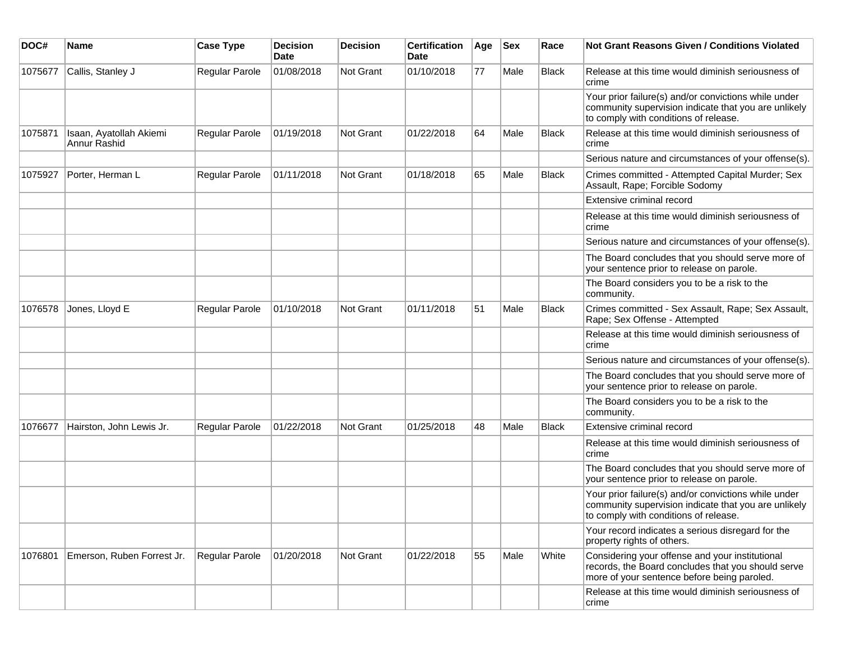| DOC#    | <b>Name</b>                             | <b>Case Type</b>      | <b>Decision</b><br><b>Date</b> | <b>Decision</b>  | <b>Certification</b><br><b>Date</b> | Age | <b>Sex</b> | Race  | <b>Not Grant Reasons Given / Conditions Violated</b>                                                                                                  |
|---------|-----------------------------------------|-----------------------|--------------------------------|------------------|-------------------------------------|-----|------------|-------|-------------------------------------------------------------------------------------------------------------------------------------------------------|
| 1075677 | Callis, Stanley J                       | Regular Parole        | 01/08/2018                     | Not Grant        | 01/10/2018                          | 77  | Male       | Black | Release at this time would diminish seriousness of<br>crime                                                                                           |
|         |                                         |                       |                                |                  |                                     |     |            |       | Your prior failure(s) and/or convictions while under<br>community supervision indicate that you are unlikely<br>to comply with conditions of release. |
| 1075871 | Isaan, Ayatollah Akiemi<br>Annur Rashid | Regular Parole        | 01/19/2018                     | Not Grant        | 01/22/2018                          | 64  | Male       | Black | Release at this time would diminish seriousness of<br>crime                                                                                           |
|         |                                         |                       |                                |                  |                                     |     |            |       | Serious nature and circumstances of your offense(s).                                                                                                  |
| 1075927 | Porter, Herman L                        | Regular Parole        | 01/11/2018                     | <b>Not Grant</b> | 01/18/2018                          | 65  | Male       | Black | Crimes committed - Attempted Capital Murder; Sex<br>Assault, Rape; Forcible Sodomy                                                                    |
|         |                                         |                       |                                |                  |                                     |     |            |       | Extensive criminal record                                                                                                                             |
|         |                                         |                       |                                |                  |                                     |     |            |       | Release at this time would diminish seriousness of<br>crime                                                                                           |
|         |                                         |                       |                                |                  |                                     |     |            |       | Serious nature and circumstances of your offense(s).                                                                                                  |
|         |                                         |                       |                                |                  |                                     |     |            |       | The Board concludes that you should serve more of<br>your sentence prior to release on parole.                                                        |
|         |                                         |                       |                                |                  |                                     |     |            |       | The Board considers you to be a risk to the<br>community.                                                                                             |
| 1076578 | Jones, Lloyd E                          | <b>Regular Parole</b> | 01/10/2018                     | <b>Not Grant</b> | 01/11/2018                          | 51  | Male       | Black | Crimes committed - Sex Assault, Rape; Sex Assault,<br>Rape; Sex Offense - Attempted                                                                   |
|         |                                         |                       |                                |                  |                                     |     |            |       | Release at this time would diminish seriousness of<br>crime                                                                                           |
|         |                                         |                       |                                |                  |                                     |     |            |       | Serious nature and circumstances of your offense(s).                                                                                                  |
|         |                                         |                       |                                |                  |                                     |     |            |       | The Board concludes that you should serve more of<br>your sentence prior to release on parole.                                                        |
|         |                                         |                       |                                |                  |                                     |     |            |       | The Board considers you to be a risk to the<br>community.                                                                                             |
| 1076677 | Hairston, John Lewis Jr.                | Regular Parole        | 01/22/2018                     | Not Grant        | 01/25/2018                          | 48  | Male       | Black | Extensive criminal record                                                                                                                             |
|         |                                         |                       |                                |                  |                                     |     |            |       | Release at this time would diminish seriousness of<br>crime                                                                                           |
|         |                                         |                       |                                |                  |                                     |     |            |       | The Board concludes that you should serve more of<br>your sentence prior to release on parole.                                                        |
|         |                                         |                       |                                |                  |                                     |     |            |       | Your prior failure(s) and/or convictions while under<br>community supervision indicate that you are unlikely<br>to comply with conditions of release. |
|         |                                         |                       |                                |                  |                                     |     |            |       | Your record indicates a serious disregard for the<br>property rights of others.                                                                       |
| 1076801 | Emerson, Ruben Forrest Jr.              | Regular Parole        | 01/20/2018                     | Not Grant        | 01/22/2018                          | 55  | Male       | White | Considering your offense and your institutional<br>records, the Board concludes that you should serve<br>more of your sentence before being paroled.  |
|         |                                         |                       |                                |                  |                                     |     |            |       | Release at this time would diminish seriousness of<br>crime                                                                                           |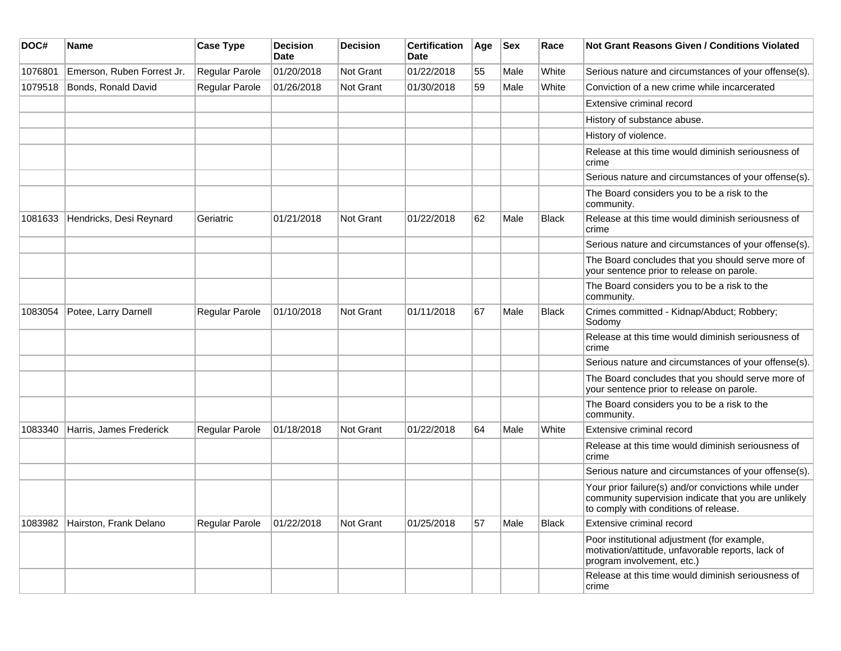| DOC#    | <b>Name</b>                | <b>Case Type</b>      | <b>Decision</b><br><b>Date</b> | <b>Decision</b>  | <b>Certification</b><br><b>Date</b> | Age | <b>Sex</b> | Race         | <b>Not Grant Reasons Given / Conditions Violated</b>                                                                                                  |
|---------|----------------------------|-----------------------|--------------------------------|------------------|-------------------------------------|-----|------------|--------------|-------------------------------------------------------------------------------------------------------------------------------------------------------|
| 1076801 | Emerson, Ruben Forrest Jr. | Regular Parole        | 01/20/2018                     | Not Grant        | 01/22/2018                          | 55  | Male       | White        | Serious nature and circumstances of your offense(s).                                                                                                  |
| 1079518 | Bonds, Ronald David        | Regular Parole        | 01/26/2018                     | Not Grant        | 01/30/2018                          | 59  | Male       | White        | Conviction of a new crime while incarcerated                                                                                                          |
|         |                            |                       |                                |                  |                                     |     |            |              | Extensive criminal record                                                                                                                             |
|         |                            |                       |                                |                  |                                     |     |            |              | History of substance abuse.                                                                                                                           |
|         |                            |                       |                                |                  |                                     |     |            |              | History of violence.                                                                                                                                  |
|         |                            |                       |                                |                  |                                     |     |            |              | Release at this time would diminish seriousness of<br>crime                                                                                           |
|         |                            |                       |                                |                  |                                     |     |            |              | Serious nature and circumstances of your offense(s).                                                                                                  |
|         |                            |                       |                                |                  |                                     |     |            |              | The Board considers you to be a risk to the<br>community.                                                                                             |
| 1081633 | Hendricks, Desi Reynard    | Geriatric             | 01/21/2018                     | Not Grant        | 01/22/2018                          | 62  | Male       | <b>Black</b> | Release at this time would diminish seriousness of<br>crime                                                                                           |
|         |                            |                       |                                |                  |                                     |     |            |              | Serious nature and circumstances of your offense(s).                                                                                                  |
|         |                            |                       |                                |                  |                                     |     |            |              | The Board concludes that you should serve more of<br>your sentence prior to release on parole.                                                        |
|         |                            |                       |                                |                  |                                     |     |            |              | The Board considers you to be a risk to the<br>community.                                                                                             |
| 1083054 | Potee, Larry Darnell       | Regular Parole        | 01/10/2018                     | <b>Not Grant</b> | 01/11/2018                          | 67  | Male       | <b>Black</b> | Crimes committed - Kidnap/Abduct; Robbery;<br>Sodomy                                                                                                  |
|         |                            |                       |                                |                  |                                     |     |            |              | Release at this time would diminish seriousness of<br>crime                                                                                           |
|         |                            |                       |                                |                  |                                     |     |            |              | Serious nature and circumstances of your offense(s).                                                                                                  |
|         |                            |                       |                                |                  |                                     |     |            |              | The Board concludes that you should serve more of<br>your sentence prior to release on parole.                                                        |
|         |                            |                       |                                |                  |                                     |     |            |              | The Board considers you to be a risk to the<br>community.                                                                                             |
| 1083340 | Harris, James Frederick    | Regular Parole        | 01/18/2018                     | <b>Not Grant</b> | 01/22/2018                          | 64  | Male       | White        | Extensive criminal record                                                                                                                             |
|         |                            |                       |                                |                  |                                     |     |            |              | Release at this time would diminish seriousness of<br>crime                                                                                           |
|         |                            |                       |                                |                  |                                     |     |            |              | Serious nature and circumstances of your offense(s).                                                                                                  |
|         |                            |                       |                                |                  |                                     |     |            |              | Your prior failure(s) and/or convictions while under<br>community supervision indicate that you are unlikely<br>to comply with conditions of release. |
| 1083982 | Hairston, Frank Delano     | <b>Regular Parole</b> | 01/22/2018                     | Not Grant        | 01/25/2018                          | 57  | Male       | <b>Black</b> | Extensive criminal record                                                                                                                             |
|         |                            |                       |                                |                  |                                     |     |            |              | Poor institutional adjustment (for example,<br>motivation/attitude, unfavorable reports, lack of<br>program involvement, etc.)                        |
|         |                            |                       |                                |                  |                                     |     |            |              | Release at this time would diminish seriousness of<br>crime                                                                                           |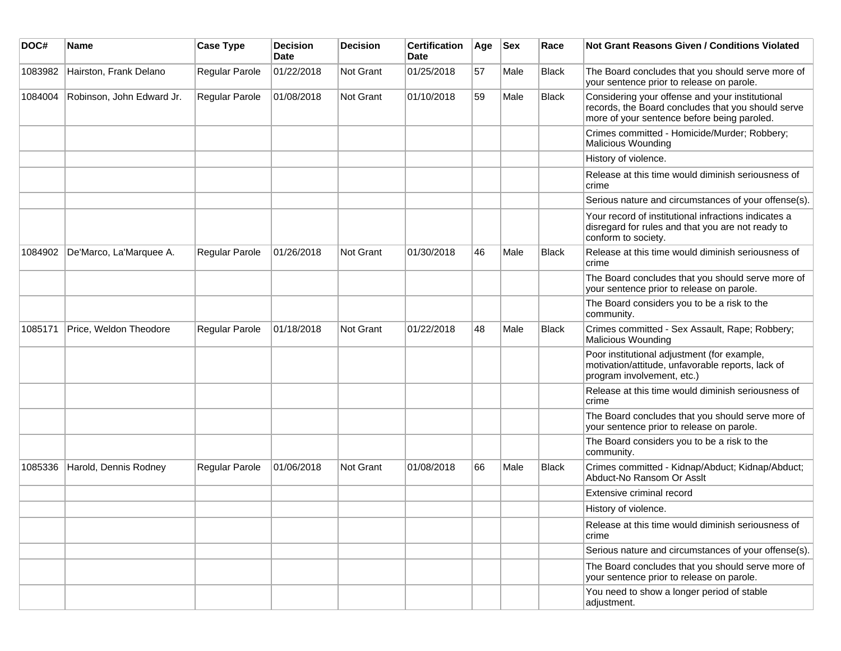| DOC#    | <b>Name</b>               | <b>Case Type</b> | <b>Decision</b><br><b>Date</b> | <b>Decision</b> | <b>Certification</b><br><b>Date</b> | Age | <b>Sex</b> | Race         | Not Grant Reasons Given / Conditions Violated                                                                                                        |
|---------|---------------------------|------------------|--------------------------------|-----------------|-------------------------------------|-----|------------|--------------|------------------------------------------------------------------------------------------------------------------------------------------------------|
| 1083982 | Hairston, Frank Delano    | Regular Parole   | 01/22/2018                     | Not Grant       | 01/25/2018                          | 57  | Male       | <b>Black</b> | The Board concludes that you should serve more of<br>your sentence prior to release on parole.                                                       |
| 1084004 | Robinson, John Edward Jr. | Regular Parole   | 01/08/2018                     | Not Grant       | 01/10/2018                          | 59  | Male       | <b>Black</b> | Considering your offense and your institutional<br>records, the Board concludes that you should serve<br>more of your sentence before being paroled. |
|         |                           |                  |                                |                 |                                     |     |            |              | Crimes committed - Homicide/Murder; Robbery;<br><b>Malicious Wounding</b>                                                                            |
|         |                           |                  |                                |                 |                                     |     |            |              | History of violence.                                                                                                                                 |
|         |                           |                  |                                |                 |                                     |     |            |              | Release at this time would diminish seriousness of<br>crime                                                                                          |
|         |                           |                  |                                |                 |                                     |     |            |              | Serious nature and circumstances of your offense(s).                                                                                                 |
|         |                           |                  |                                |                 |                                     |     |            |              | Your record of institutional infractions indicates a<br>disregard for rules and that you are not ready to<br>conform to society.                     |
| 1084902 | De'Marco, La'Marquee A.   | Regular Parole   | 01/26/2018                     | Not Grant       | 01/30/2018                          | 46  | Male       | <b>Black</b> | Release at this time would diminish seriousness of<br>crime                                                                                          |
|         |                           |                  |                                |                 |                                     |     |            |              | The Board concludes that you should serve more of<br>your sentence prior to release on parole.                                                       |
|         |                           |                  |                                |                 |                                     |     |            |              | The Board considers you to be a risk to the<br>community.                                                                                            |
| 1085171 | Price, Weldon Theodore    | Regular Parole   | 01/18/2018                     | Not Grant       | 01/22/2018                          | 48  | Male       | <b>Black</b> | Crimes committed - Sex Assault, Rape; Robbery;<br>Malicious Wounding                                                                                 |
|         |                           |                  |                                |                 |                                     |     |            |              | Poor institutional adjustment (for example,<br>motivation/attitude, unfavorable reports, lack of<br>program involvement, etc.)                       |
|         |                           |                  |                                |                 |                                     |     |            |              | Release at this time would diminish seriousness of<br>crime                                                                                          |
|         |                           |                  |                                |                 |                                     |     |            |              | The Board concludes that you should serve more of<br>your sentence prior to release on parole.                                                       |
|         |                           |                  |                                |                 |                                     |     |            |              | The Board considers you to be a risk to the<br>community.                                                                                            |
| 1085336 | Harold, Dennis Rodney     | Regular Parole   | 01/06/2018                     | Not Grant       | 01/08/2018                          | 66  | Male       | <b>Black</b> | Crimes committed - Kidnap/Abduct; Kidnap/Abduct;<br>Abduct-No Ransom Or Asslt                                                                        |
|         |                           |                  |                                |                 |                                     |     |            |              | Extensive criminal record                                                                                                                            |
|         |                           |                  |                                |                 |                                     |     |            |              | History of violence.                                                                                                                                 |
|         |                           |                  |                                |                 |                                     |     |            |              | Release at this time would diminish seriousness of<br>crime                                                                                          |
|         |                           |                  |                                |                 |                                     |     |            |              | Serious nature and circumstances of your offense(s).                                                                                                 |
|         |                           |                  |                                |                 |                                     |     |            |              | The Board concludes that you should serve more of<br>your sentence prior to release on parole.                                                       |
|         |                           |                  |                                |                 |                                     |     |            |              | You need to show a longer period of stable<br>adjustment.                                                                                            |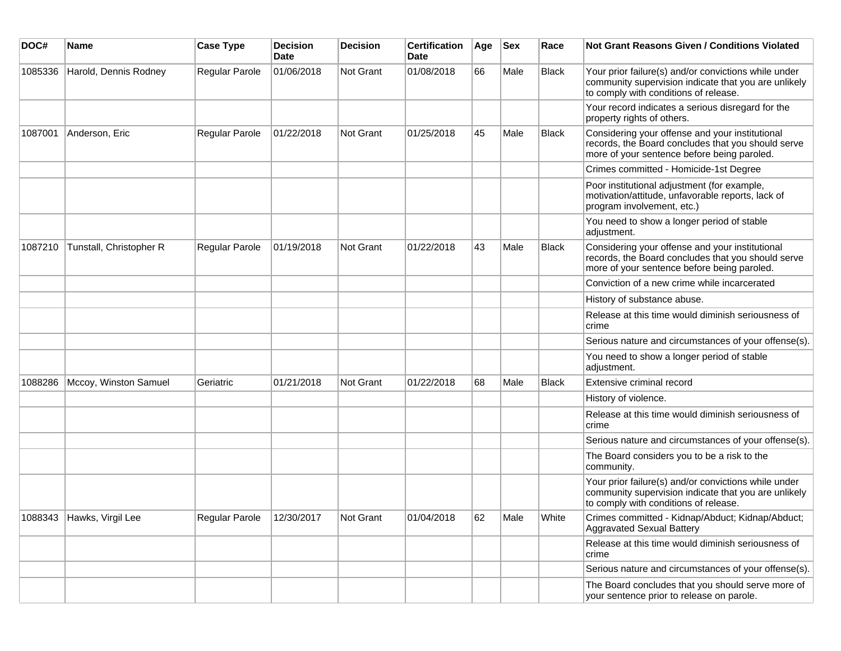| DOC#    | <b>Name</b>               | <b>Case Type</b> | <b>Decision</b><br><b>Date</b> | <b>Decision</b>  | <b>Certification</b><br><b>Date</b> | Age | <b>Sex</b> | Race         | <b>Not Grant Reasons Given / Conditions Violated</b>                                                                                                  |
|---------|---------------------------|------------------|--------------------------------|------------------|-------------------------------------|-----|------------|--------------|-------------------------------------------------------------------------------------------------------------------------------------------------------|
| 1085336 | Harold, Dennis Rodney     | Regular Parole   | 01/06/2018                     | Not Grant        | 01/08/2018                          | 66  | Male       | Black        | Your prior failure(s) and/or convictions while under<br>community supervision indicate that you are unlikely<br>to comply with conditions of release. |
|         |                           |                  |                                |                  |                                     |     |            |              | Your record indicates a serious disregard for the<br>property rights of others.                                                                       |
| 1087001 | Anderson, Eric            | Regular Parole   | 01/22/2018                     | Not Grant        | 01/25/2018                          | 45  | Male       | Black        | Considering your offense and your institutional<br>records, the Board concludes that you should serve<br>more of your sentence before being paroled.  |
|         |                           |                  |                                |                  |                                     |     |            |              | Crimes committed - Homicide-1st Degree                                                                                                                |
|         |                           |                  |                                |                  |                                     |     |            |              | Poor institutional adjustment (for example,<br>motivation/attitude, unfavorable reports, lack of<br>program involvement, etc.)                        |
|         |                           |                  |                                |                  |                                     |     |            |              | You need to show a longer period of stable<br>adjustment.                                                                                             |
| 1087210 | Tunstall, Christopher R   | Regular Parole   | 01/19/2018                     | <b>Not Grant</b> | 01/22/2018                          | 43  | Male       | <b>Black</b> | Considering your offense and your institutional<br>records, the Board concludes that you should serve<br>more of your sentence before being paroled.  |
|         |                           |                  |                                |                  |                                     |     |            |              | Conviction of a new crime while incarcerated                                                                                                          |
|         |                           |                  |                                |                  |                                     |     |            |              | History of substance abuse.                                                                                                                           |
|         |                           |                  |                                |                  |                                     |     |            |              | Release at this time would diminish seriousness of<br>crime                                                                                           |
|         |                           |                  |                                |                  |                                     |     |            |              | Serious nature and circumstances of your offense(s).                                                                                                  |
|         |                           |                  |                                |                  |                                     |     |            |              | You need to show a longer period of stable<br>adjustment.                                                                                             |
| 1088286 | Mccoy, Winston Samuel     | Geriatric        | 01/21/2018                     | <b>Not Grant</b> | 01/22/2018                          | 68  | Male       | <b>Black</b> | Extensive criminal record                                                                                                                             |
|         |                           |                  |                                |                  |                                     |     |            |              | History of violence.                                                                                                                                  |
|         |                           |                  |                                |                  |                                     |     |            |              | Release at this time would diminish seriousness of<br>crime                                                                                           |
|         |                           |                  |                                |                  |                                     |     |            |              | Serious nature and circumstances of your offense(s).                                                                                                  |
|         |                           |                  |                                |                  |                                     |     |            |              | The Board considers you to be a risk to the<br>community.                                                                                             |
|         |                           |                  |                                |                  |                                     |     |            |              | Your prior failure(s) and/or convictions while under<br>community supervision indicate that you are unlikely<br>to comply with conditions of release. |
|         | 1088343 Hawks, Virgil Lee | Regular Parole   | 12/30/2017                     | Not Grant        | 01/04/2018                          | 62  | Male       | White        | Crimes committed - Kidnap/Abduct; Kidnap/Abduct;<br><b>Aggravated Sexual Battery</b>                                                                  |
|         |                           |                  |                                |                  |                                     |     |            |              | Release at this time would diminish seriousness of<br>crime                                                                                           |
|         |                           |                  |                                |                  |                                     |     |            |              | Serious nature and circumstances of your offense(s).                                                                                                  |
|         |                           |                  |                                |                  |                                     |     |            |              | The Board concludes that you should serve more of<br>your sentence prior to release on parole.                                                        |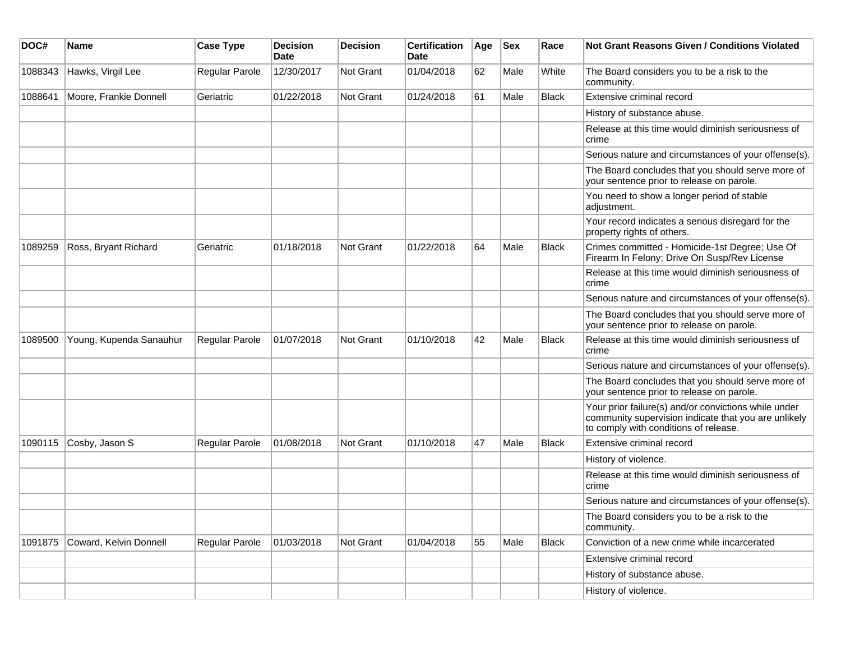| DOC#    | Name                    | <b>Case Type</b> | <b>Decision</b><br>Date | <b>Decision</b> | <b>Certification</b><br><b>Date</b> | Age | <b>Sex</b> | Race         | Not Grant Reasons Given / Conditions Violated                                                                                                         |
|---------|-------------------------|------------------|-------------------------|-----------------|-------------------------------------|-----|------------|--------------|-------------------------------------------------------------------------------------------------------------------------------------------------------|
| 1088343 | Hawks, Virgil Lee       | Regular Parole   | 12/30/2017              | Not Grant       | 01/04/2018                          | 62  | Male       | White        | The Board considers you to be a risk to the<br>community.                                                                                             |
| 1088641 | Moore, Frankie Donnell  | Geriatric        | 01/22/2018              | Not Grant       | 01/24/2018                          | 61  | Male       | Black        | Extensive criminal record                                                                                                                             |
|         |                         |                  |                         |                 |                                     |     |            |              | History of substance abuse.                                                                                                                           |
|         |                         |                  |                         |                 |                                     |     |            |              | Release at this time would diminish seriousness of<br>crime                                                                                           |
|         |                         |                  |                         |                 |                                     |     |            |              | Serious nature and circumstances of your offense(s).                                                                                                  |
|         |                         |                  |                         |                 |                                     |     |            |              | The Board concludes that you should serve more of<br>your sentence prior to release on parole.                                                        |
|         |                         |                  |                         |                 |                                     |     |            |              | You need to show a longer period of stable<br>adjustment.                                                                                             |
|         |                         |                  |                         |                 |                                     |     |            |              | Your record indicates a serious disregard for the<br>property rights of others.                                                                       |
| 1089259 | Ross, Bryant Richard    | Geriatric        | 01/18/2018              | Not Grant       | 01/22/2018                          | 64  | Male       | <b>Black</b> | Crimes committed - Homicide-1st Degree; Use Of<br>Firearm In Felony; Drive On Susp/Rev License                                                        |
|         |                         |                  |                         |                 |                                     |     |            |              | Release at this time would diminish seriousness of<br>crime                                                                                           |
|         |                         |                  |                         |                 |                                     |     |            |              | Serious nature and circumstances of your offense(s).                                                                                                  |
|         |                         |                  |                         |                 |                                     |     |            |              | The Board concludes that you should serve more of<br>your sentence prior to release on parole.                                                        |
| 1089500 | Young, Kupenda Sanauhur | Regular Parole   | 01/07/2018              | Not Grant       | 01/10/2018                          | 42  | Male       | <b>Black</b> | Release at this time would diminish seriousness of<br>crime                                                                                           |
|         |                         |                  |                         |                 |                                     |     |            |              | Serious nature and circumstances of your offense(s).                                                                                                  |
|         |                         |                  |                         |                 |                                     |     |            |              | The Board concludes that you should serve more of<br>your sentence prior to release on parole.                                                        |
|         |                         |                  |                         |                 |                                     |     |            |              | Your prior failure(s) and/or convictions while under<br>community supervision indicate that you are unlikely<br>to comply with conditions of release. |
| 1090115 | Cosby, Jason S          | Regular Parole   | 01/08/2018              | Not Grant       | 01/10/2018                          | 47  | Male       | Black        | Extensive criminal record                                                                                                                             |
|         |                         |                  |                         |                 |                                     |     |            |              | History of violence.                                                                                                                                  |
|         |                         |                  |                         |                 |                                     |     |            |              | Release at this time would diminish seriousness of<br>crime                                                                                           |
|         |                         |                  |                         |                 |                                     |     |            |              | Serious nature and circumstances of your offense(s).                                                                                                  |
|         |                         |                  |                         |                 |                                     |     |            |              | The Board considers you to be a risk to the<br>community.                                                                                             |
| 1091875 | Coward, Kelvin Donnell  | Regular Parole   | 01/03/2018              | Not Grant       | 01/04/2018                          | 55  | Male       | Black        | Conviction of a new crime while incarcerated                                                                                                          |
|         |                         |                  |                         |                 |                                     |     |            |              | Extensive criminal record                                                                                                                             |
|         |                         |                  |                         |                 |                                     |     |            |              | History of substance abuse.                                                                                                                           |
|         |                         |                  |                         |                 |                                     |     |            |              | History of violence.                                                                                                                                  |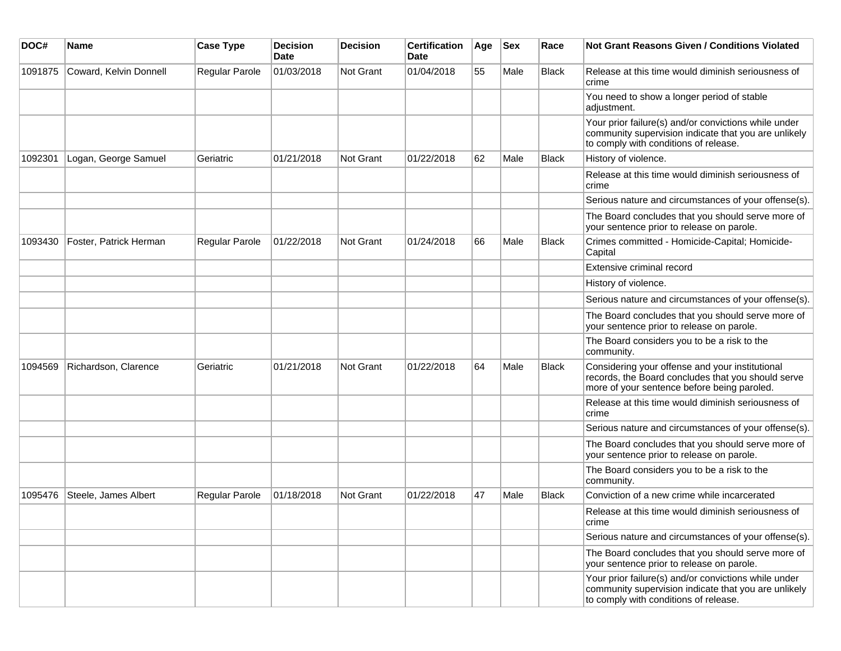| DOC#    | <b>Name</b>            | <b>Case Type</b> | Decision<br><b>Date</b> | <b>Decision</b>  | <b>Certification</b><br>Date | Age | <b>Sex</b> | Race         | Not Grant Reasons Given / Conditions Violated                                                                                                         |
|---------|------------------------|------------------|-------------------------|------------------|------------------------------|-----|------------|--------------|-------------------------------------------------------------------------------------------------------------------------------------------------------|
| 1091875 | Coward, Kelvin Donnell | Regular Parole   | 01/03/2018              | Not Grant        | 01/04/2018                   | 55  | Male       | Black        | Release at this time would diminish seriousness of<br>crime                                                                                           |
|         |                        |                  |                         |                  |                              |     |            |              | You need to show a longer period of stable<br>adjustment.                                                                                             |
|         |                        |                  |                         |                  |                              |     |            |              | Your prior failure(s) and/or convictions while under<br>community supervision indicate that you are unlikely<br>to comply with conditions of release. |
| 1092301 | Logan, George Samuel   | Geriatric        | 01/21/2018              | <b>Not Grant</b> | 01/22/2018                   | 62  | Male       | <b>Black</b> | History of violence.                                                                                                                                  |
|         |                        |                  |                         |                  |                              |     |            |              | Release at this time would diminish seriousness of<br>crime                                                                                           |
|         |                        |                  |                         |                  |                              |     |            |              | Serious nature and circumstances of your offense(s).                                                                                                  |
|         |                        |                  |                         |                  |                              |     |            |              | The Board concludes that you should serve more of<br>your sentence prior to release on parole.                                                        |
| 1093430 | Foster, Patrick Herman | Regular Parole   | 01/22/2018              | <b>Not Grant</b> | 01/24/2018                   | 66  | Male       | <b>Black</b> | Crimes committed - Homicide-Capital; Homicide-<br>Capital                                                                                             |
|         |                        |                  |                         |                  |                              |     |            |              | Extensive criminal record                                                                                                                             |
|         |                        |                  |                         |                  |                              |     |            |              | History of violence.                                                                                                                                  |
|         |                        |                  |                         |                  |                              |     |            |              | Serious nature and circumstances of your offense(s).                                                                                                  |
|         |                        |                  |                         |                  |                              |     |            |              | The Board concludes that you should serve more of<br>your sentence prior to release on parole.                                                        |
|         |                        |                  |                         |                  |                              |     |            |              | The Board considers you to be a risk to the<br>community.                                                                                             |
| 1094569 | Richardson, Clarence   | Geriatric        | 01/21/2018              | <b>Not Grant</b> | 01/22/2018                   | 64  | Male       | <b>Black</b> | Considering your offense and your institutional<br>records, the Board concludes that you should serve<br>more of your sentence before being paroled.  |
|         |                        |                  |                         |                  |                              |     |            |              | Release at this time would diminish seriousness of<br>crime                                                                                           |
|         |                        |                  |                         |                  |                              |     |            |              | Serious nature and circumstances of your offense(s).                                                                                                  |
|         |                        |                  |                         |                  |                              |     |            |              | The Board concludes that you should serve more of<br>your sentence prior to release on parole.                                                        |
|         |                        |                  |                         |                  |                              |     |            |              | The Board considers you to be a risk to the<br>community.                                                                                             |
| 1095476 | Steele, James Albert   | Regular Parole   | 01/18/2018              | <b>Not Grant</b> | 01/22/2018                   | 47  | Male       | <b>Black</b> | Conviction of a new crime while incarcerated                                                                                                          |
|         |                        |                  |                         |                  |                              |     |            |              | Release at this time would diminish seriousness of<br>crime                                                                                           |
|         |                        |                  |                         |                  |                              |     |            |              | Serious nature and circumstances of your offense(s).                                                                                                  |
|         |                        |                  |                         |                  |                              |     |            |              | The Board concludes that you should serve more of<br>your sentence prior to release on parole.                                                        |
|         |                        |                  |                         |                  |                              |     |            |              | Your prior failure(s) and/or convictions while under<br>community supervision indicate that you are unlikely<br>to comply with conditions of release. |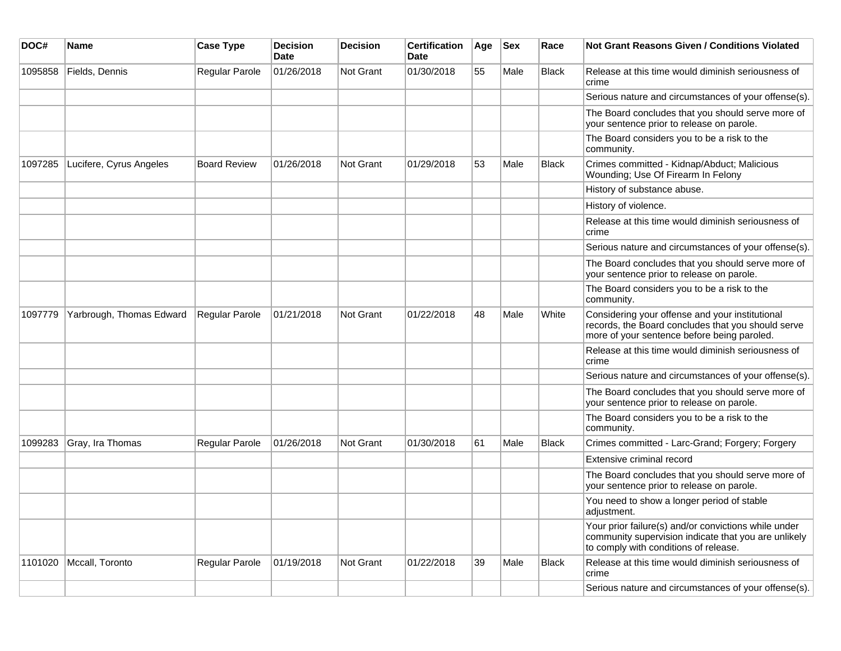| DOC#    | Name                     | <b>Case Type</b>      | <b>Decision</b><br>Date | <b>Decision</b> | <b>Certification</b><br>Date | Age | <b>Sex</b> | Race         | Not Grant Reasons Given / Conditions Violated                                                                                                         |
|---------|--------------------------|-----------------------|-------------------------|-----------------|------------------------------|-----|------------|--------------|-------------------------------------------------------------------------------------------------------------------------------------------------------|
| 1095858 | Fields, Dennis           | Regular Parole        | 01/26/2018              | Not Grant       | 01/30/2018                   | 55  | Male       | <b>Black</b> | Release at this time would diminish seriousness of<br>crime                                                                                           |
|         |                          |                       |                         |                 |                              |     |            |              | Serious nature and circumstances of your offense(s).                                                                                                  |
|         |                          |                       |                         |                 |                              |     |            |              | The Board concludes that you should serve more of<br>your sentence prior to release on parole.                                                        |
|         |                          |                       |                         |                 |                              |     |            |              | The Board considers you to be a risk to the<br>community.                                                                                             |
| 1097285 | Lucifere, Cyrus Angeles  | <b>Board Review</b>   | 01/26/2018              | Not Grant       | 01/29/2018                   | 53  | Male       | <b>Black</b> | Crimes committed - Kidnap/Abduct; Malicious<br>Wounding; Use Of Firearm In Felony                                                                     |
|         |                          |                       |                         |                 |                              |     |            |              | History of substance abuse.                                                                                                                           |
|         |                          |                       |                         |                 |                              |     |            |              | History of violence.                                                                                                                                  |
|         |                          |                       |                         |                 |                              |     |            |              | Release at this time would diminish seriousness of<br>crime                                                                                           |
|         |                          |                       |                         |                 |                              |     |            |              | Serious nature and circumstances of your offense(s).                                                                                                  |
|         |                          |                       |                         |                 |                              |     |            |              | The Board concludes that you should serve more of<br>your sentence prior to release on parole.                                                        |
|         |                          |                       |                         |                 |                              |     |            |              | The Board considers you to be a risk to the<br>community.                                                                                             |
| 1097779 | Yarbrough, Thomas Edward | <b>Regular Parole</b> | 01/21/2018              | Not Grant       | 01/22/2018                   | 48  | Male       | White        | Considering your offense and your institutional<br>records, the Board concludes that you should serve<br>more of your sentence before being paroled.  |
|         |                          |                       |                         |                 |                              |     |            |              | Release at this time would diminish seriousness of<br>crime                                                                                           |
|         |                          |                       |                         |                 |                              |     |            |              | Serious nature and circumstances of your offense(s).                                                                                                  |
|         |                          |                       |                         |                 |                              |     |            |              | The Board concludes that you should serve more of<br>your sentence prior to release on parole.                                                        |
|         |                          |                       |                         |                 |                              |     |            |              | The Board considers you to be a risk to the<br>community.                                                                                             |
| 1099283 | Gray, Ira Thomas         | Regular Parole        | 01/26/2018              | Not Grant       | 01/30/2018                   | 61  | Male       | <b>Black</b> | Crimes committed - Larc-Grand; Forgery; Forgery                                                                                                       |
|         |                          |                       |                         |                 |                              |     |            |              | Extensive criminal record                                                                                                                             |
|         |                          |                       |                         |                 |                              |     |            |              | The Board concludes that you should serve more of<br>your sentence prior to release on parole.                                                        |
|         |                          |                       |                         |                 |                              |     |            |              | You need to show a longer period of stable<br>adjustment.                                                                                             |
|         |                          |                       |                         |                 |                              |     |            |              | Your prior failure(s) and/or convictions while under<br>community supervision indicate that you are unlikely<br>to comply with conditions of release. |
| 1101020 | Mccall, Toronto          | Regular Parole        | 01/19/2018              | Not Grant       | 01/22/2018                   | 39  | Male       | <b>Black</b> | Release at this time would diminish seriousness of<br>crime                                                                                           |
|         |                          |                       |                         |                 |                              |     |            |              | Serious nature and circumstances of your offense(s).                                                                                                  |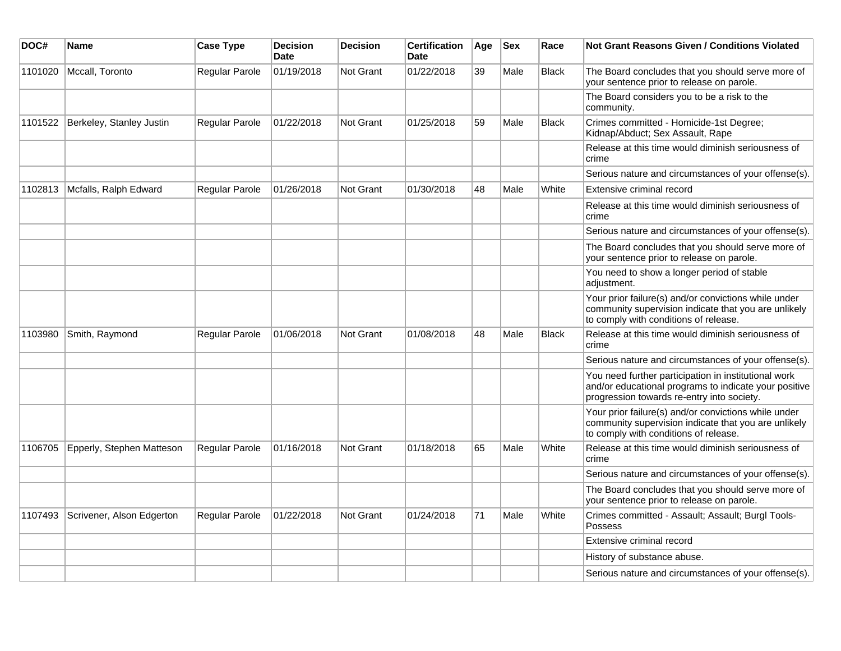| DOC#    | Name                      | <b>Case Type</b>      | <b>Decision</b><br>Date | <b>Decision</b>  | <b>Certification</b><br><b>Date</b> | Age | <b>Sex</b> | Race         | <b>Not Grant Reasons Given / Conditions Violated</b>                                                                                                        |
|---------|---------------------------|-----------------------|-------------------------|------------------|-------------------------------------|-----|------------|--------------|-------------------------------------------------------------------------------------------------------------------------------------------------------------|
| 1101020 | Mccall, Toronto           | Regular Parole        | 01/19/2018              | Not Grant        | 01/22/2018                          | 39  | Male       | <b>Black</b> | The Board concludes that you should serve more of<br>your sentence prior to release on parole.                                                              |
|         |                           |                       |                         |                  |                                     |     |            |              | The Board considers you to be a risk to the<br>community.                                                                                                   |
| 1101522 | Berkeley, Stanley Justin  | <b>Regular Parole</b> | 01/22/2018              | Not Grant        | 01/25/2018                          | 59  | Male       | <b>Black</b> | Crimes committed - Homicide-1st Degree;<br>Kidnap/Abduct; Sex Assault, Rape                                                                                 |
|         |                           |                       |                         |                  |                                     |     |            |              | Release at this time would diminish seriousness of<br>crime                                                                                                 |
|         |                           |                       |                         |                  |                                     |     |            |              | Serious nature and circumstances of your offense(s).                                                                                                        |
| 1102813 | Mcfalls, Ralph Edward     | Regular Parole        | 01/26/2018              | <b>Not Grant</b> | 01/30/2018                          | 48  | Male       | White        | Extensive criminal record                                                                                                                                   |
|         |                           |                       |                         |                  |                                     |     |            |              | Release at this time would diminish seriousness of<br>crime                                                                                                 |
|         |                           |                       |                         |                  |                                     |     |            |              | Serious nature and circumstances of your offense(s).                                                                                                        |
|         |                           |                       |                         |                  |                                     |     |            |              | The Board concludes that you should serve more of<br>your sentence prior to release on parole.                                                              |
|         |                           |                       |                         |                  |                                     |     |            |              | You need to show a longer period of stable<br>adjustment.                                                                                                   |
|         |                           |                       |                         |                  |                                     |     |            |              | Your prior failure(s) and/or convictions while under<br>community supervision indicate that you are unlikely<br>to comply with conditions of release.       |
| 1103980 | Smith, Raymond            | Regular Parole        | 01/06/2018              | Not Grant        | 01/08/2018                          | 48  | Male       | <b>Black</b> | Release at this time would diminish seriousness of<br>crime                                                                                                 |
|         |                           |                       |                         |                  |                                     |     |            |              | Serious nature and circumstances of your offense(s).                                                                                                        |
|         |                           |                       |                         |                  |                                     |     |            |              | You need further participation in institutional work<br>and/or educational programs to indicate your positive<br>progression towards re-entry into society. |
|         |                           |                       |                         |                  |                                     |     |            |              | Your prior failure(s) and/or convictions while under<br>community supervision indicate that you are unlikely<br>to comply with conditions of release.       |
| 1106705 | Epperly, Stephen Matteson | Regular Parole        | 01/16/2018              | Not Grant        | 01/18/2018                          | 65  | Male       | White        | Release at this time would diminish seriousness of<br>crime                                                                                                 |
|         |                           |                       |                         |                  |                                     |     |            |              | Serious nature and circumstances of your offense(s).                                                                                                        |
|         |                           |                       |                         |                  |                                     |     |            |              | The Board concludes that you should serve more of<br>your sentence prior to release on parole.                                                              |
| 1107493 | Scrivener, Alson Edgerton | Regular Parole        | 01/22/2018              | <b>Not Grant</b> | 01/24/2018                          | 71  | Male       | White        | Crimes committed - Assault; Assault; Burgl Tools-<br>Possess                                                                                                |
|         |                           |                       |                         |                  |                                     |     |            |              | Extensive criminal record                                                                                                                                   |
|         |                           |                       |                         |                  |                                     |     |            |              | History of substance abuse.                                                                                                                                 |
|         |                           |                       |                         |                  |                                     |     |            |              | Serious nature and circumstances of your offense(s).                                                                                                        |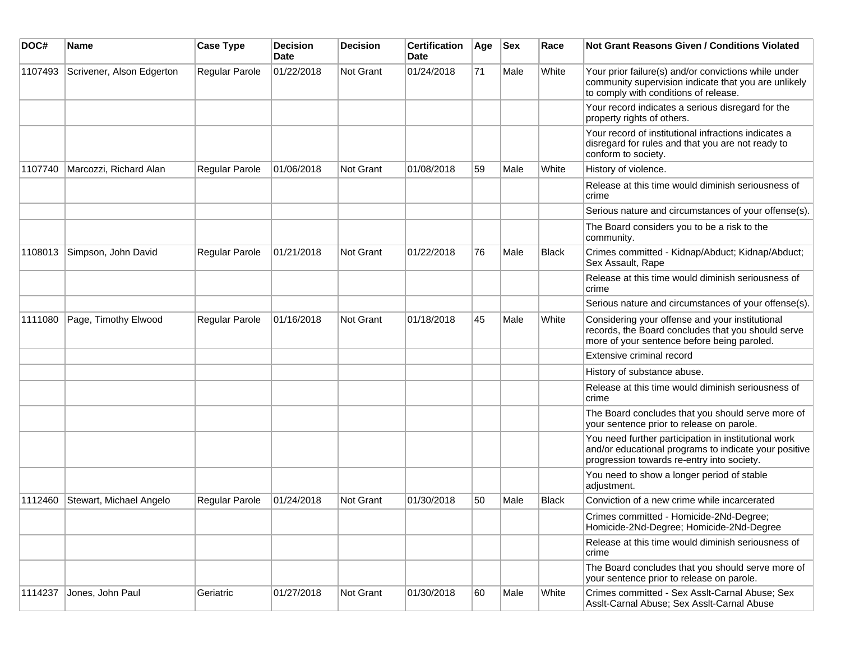| DOC#    | <b>Name</b>               | <b>Case Type</b> | <b>Decision</b><br><b>Date</b> | <b>Decision</b> | <b>Certification</b><br>Date | Age | <b>Sex</b> | Race         | Not Grant Reasons Given / Conditions Violated                                                                                                               |
|---------|---------------------------|------------------|--------------------------------|-----------------|------------------------------|-----|------------|--------------|-------------------------------------------------------------------------------------------------------------------------------------------------------------|
| 1107493 | Scrivener, Alson Edgerton | Regular Parole   | 01/22/2018                     | Not Grant       | 01/24/2018                   | 71  | Male       | White        | Your prior failure(s) and/or convictions while under<br>community supervision indicate that you are unlikely<br>to comply with conditions of release.       |
|         |                           |                  |                                |                 |                              |     |            |              | Your record indicates a serious disregard for the<br>property rights of others.                                                                             |
|         |                           |                  |                                |                 |                              |     |            |              | Your record of institutional infractions indicates a<br>disregard for rules and that you are not ready to<br>conform to society.                            |
| 1107740 | Marcozzi, Richard Alan    | Regular Parole   | 01/06/2018                     | Not Grant       | 01/08/2018                   | 59  | Male       | White        | History of violence.                                                                                                                                        |
|         |                           |                  |                                |                 |                              |     |            |              | Release at this time would diminish seriousness of<br>crime                                                                                                 |
|         |                           |                  |                                |                 |                              |     |            |              | Serious nature and circumstances of your offense(s).                                                                                                        |
|         |                           |                  |                                |                 |                              |     |            |              | The Board considers you to be a risk to the<br>community.                                                                                                   |
| 1108013 | Simpson, John David       | Regular Parole   | 01/21/2018                     | Not Grant       | 01/22/2018                   | 76  | Male       | <b>Black</b> | Crimes committed - Kidnap/Abduct; Kidnap/Abduct;<br>Sex Assault, Rape                                                                                       |
|         |                           |                  |                                |                 |                              |     |            |              | Release at this time would diminish seriousness of<br>crime                                                                                                 |
|         |                           |                  |                                |                 |                              |     |            |              | Serious nature and circumstances of your offense(s).                                                                                                        |
| 1111080 | Page, Timothy Elwood      | Regular Parole   | 01/16/2018                     | Not Grant       | 01/18/2018                   | 45  | Male       | White        | Considering your offense and your institutional<br>records, the Board concludes that you should serve<br>more of your sentence before being paroled.        |
|         |                           |                  |                                |                 |                              |     |            |              | Extensive criminal record                                                                                                                                   |
|         |                           |                  |                                |                 |                              |     |            |              | History of substance abuse.                                                                                                                                 |
|         |                           |                  |                                |                 |                              |     |            |              | Release at this time would diminish seriousness of<br>crime                                                                                                 |
|         |                           |                  |                                |                 |                              |     |            |              | The Board concludes that you should serve more of<br>your sentence prior to release on parole.                                                              |
|         |                           |                  |                                |                 |                              |     |            |              | You need further participation in institutional work<br>and/or educational programs to indicate your positive<br>progression towards re-entry into society. |
|         |                           |                  |                                |                 |                              |     |            |              | You need to show a longer period of stable<br>adjustment.                                                                                                   |
| 1112460 | Stewart, Michael Angelo   | Regular Parole   | 01/24/2018                     | Not Grant       | 01/30/2018                   | 50  | Male       | <b>Black</b> | Conviction of a new crime while incarcerated                                                                                                                |
|         |                           |                  |                                |                 |                              |     |            |              | Crimes committed - Homicide-2Nd-Degree;<br>Homicide-2Nd-Degree; Homicide-2Nd-Degree                                                                         |
|         |                           |                  |                                |                 |                              |     |            |              | Release at this time would diminish seriousness of<br>crime                                                                                                 |
|         |                           |                  |                                |                 |                              |     |            |              | The Board concludes that you should serve more of<br>your sentence prior to release on parole.                                                              |
| 1114237 | Jones, John Paul          | Geriatric        | 01/27/2018                     | Not Grant       | 01/30/2018                   | 60  | Male       | White        | Crimes committed - Sex Asslt-Carnal Abuse; Sex<br>Asslt-Carnal Abuse; Sex Asslt-Carnal Abuse                                                                |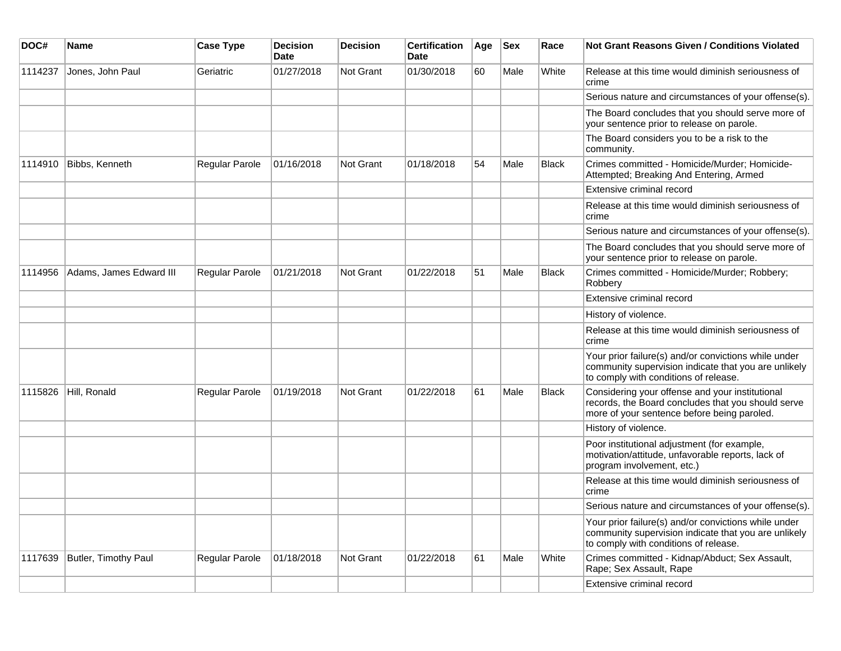| DOC#    | <b>Name</b>             | <b>Case Type</b>      | <b>Decision</b><br><b>Date</b> | <b>Decision</b> | <b>Certification</b><br><b>Date</b> | Age | <b>Sex</b> | Race         | <b>Not Grant Reasons Given / Conditions Violated</b>                                                                                                  |
|---------|-------------------------|-----------------------|--------------------------------|-----------------|-------------------------------------|-----|------------|--------------|-------------------------------------------------------------------------------------------------------------------------------------------------------|
| 1114237 | Jones, John Paul        | Geriatric             | 01/27/2018                     | Not Grant       | 01/30/2018                          | 60  | Male       | White        | Release at this time would diminish seriousness of<br>crime                                                                                           |
|         |                         |                       |                                |                 |                                     |     |            |              | Serious nature and circumstances of your offense(s).                                                                                                  |
|         |                         |                       |                                |                 |                                     |     |            |              | The Board concludes that you should serve more of<br>your sentence prior to release on parole.                                                        |
|         |                         |                       |                                |                 |                                     |     |            |              | The Board considers you to be a risk to the<br>community.                                                                                             |
| 1114910 | Bibbs, Kenneth          | Regular Parole        | 01/16/2018                     | Not Grant       | 01/18/2018                          | 54  | Male       | Black        | Crimes committed - Homicide/Murder; Homicide-<br>Attempted; Breaking And Entering, Armed                                                              |
|         |                         |                       |                                |                 |                                     |     |            |              | Extensive criminal record                                                                                                                             |
|         |                         |                       |                                |                 |                                     |     |            |              | Release at this time would diminish seriousness of<br>crime                                                                                           |
|         |                         |                       |                                |                 |                                     |     |            |              | Serious nature and circumstances of your offense(s).                                                                                                  |
|         |                         |                       |                                |                 |                                     |     |            |              | The Board concludes that you should serve more of<br>your sentence prior to release on parole.                                                        |
| 1114956 | Adams, James Edward III | Regular Parole        | 01/21/2018                     | Not Grant       | 01/22/2018                          | 51  | Male       | <b>Black</b> | Crimes committed - Homicide/Murder; Robbery;<br>Robbery                                                                                               |
|         |                         |                       |                                |                 |                                     |     |            |              | Extensive criminal record                                                                                                                             |
|         |                         |                       |                                |                 |                                     |     |            |              | History of violence.                                                                                                                                  |
|         |                         |                       |                                |                 |                                     |     |            |              | Release at this time would diminish seriousness of<br>crime                                                                                           |
|         |                         |                       |                                |                 |                                     |     |            |              | Your prior failure(s) and/or convictions while under<br>community supervision indicate that you are unlikely<br>to comply with conditions of release. |
| 1115826 | Hill, Ronald            | Regular Parole        | 01/19/2018                     | Not Grant       | 01/22/2018                          | 61  | Male       | <b>Black</b> | Considering your offense and your institutional<br>records, the Board concludes that you should serve<br>more of your sentence before being paroled.  |
|         |                         |                       |                                |                 |                                     |     |            |              | History of violence.                                                                                                                                  |
|         |                         |                       |                                |                 |                                     |     |            |              | Poor institutional adjustment (for example,<br>motivation/attitude, unfavorable reports, lack of<br>program involvement, etc.)                        |
|         |                         |                       |                                |                 |                                     |     |            |              | Release at this time would diminish seriousness of<br>crime                                                                                           |
|         |                         |                       |                                |                 |                                     |     |            |              | Serious nature and circumstances of your offense(s).                                                                                                  |
|         |                         |                       |                                |                 |                                     |     |            |              | Your prior failure(s) and/or convictions while under<br>community supervision indicate that you are unlikely<br>to comply with conditions of release. |
| 1117639 | Butler, Timothy Paul    | <b>Regular Parole</b> | 01/18/2018                     | Not Grant       | 01/22/2018                          | 61  | Male       | White        | Crimes committed - Kidnap/Abduct; Sex Assault,<br>Rape; Sex Assault, Rape                                                                             |
|         |                         |                       |                                |                 |                                     |     |            |              | Extensive criminal record                                                                                                                             |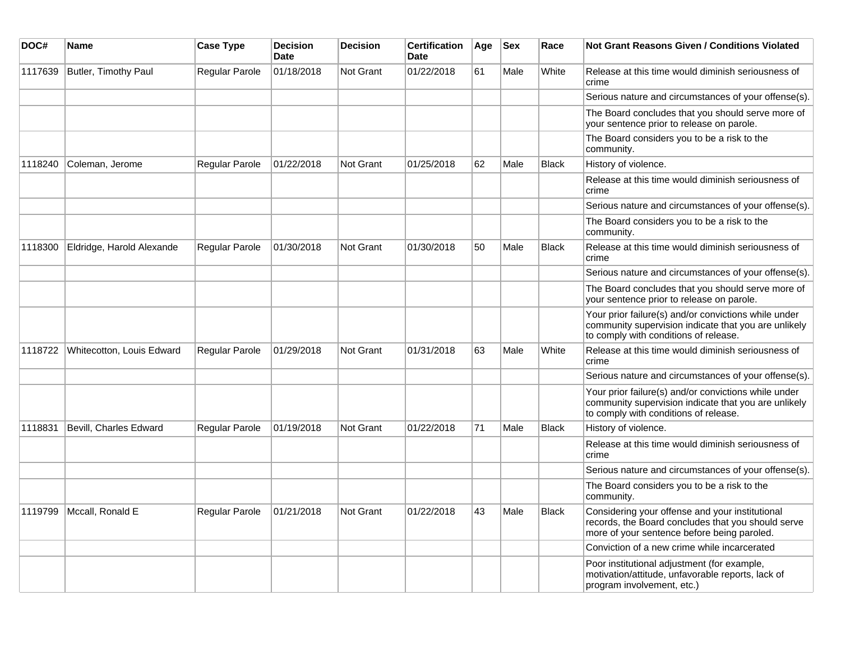| DOC#    | <b>Name</b>               | <b>Case Type</b> | <b>Decision</b><br><b>Date</b> | <b>Decision</b>  | <b>Certification</b><br><b>Date</b> | Age | <b>Sex</b> | Race         | <b>Not Grant Reasons Given / Conditions Violated</b>                                                                                                  |
|---------|---------------------------|------------------|--------------------------------|------------------|-------------------------------------|-----|------------|--------------|-------------------------------------------------------------------------------------------------------------------------------------------------------|
| 1117639 | Butler, Timothy Paul      | Regular Parole   | 01/18/2018                     | Not Grant        | 01/22/2018                          | 61  | Male       | White        | Release at this time would diminish seriousness of<br>crime                                                                                           |
|         |                           |                  |                                |                  |                                     |     |            |              | Serious nature and circumstances of your offense(s).                                                                                                  |
|         |                           |                  |                                |                  |                                     |     |            |              | The Board concludes that you should serve more of<br>your sentence prior to release on parole.                                                        |
|         |                           |                  |                                |                  |                                     |     |            |              | The Board considers you to be a risk to the<br>community.                                                                                             |
| 1118240 | Coleman, Jerome           | Regular Parole   | 01/22/2018                     | <b>Not Grant</b> | 01/25/2018                          | 62  | Male       | <b>Black</b> | History of violence.                                                                                                                                  |
|         |                           |                  |                                |                  |                                     |     |            |              | Release at this time would diminish seriousness of<br>crime                                                                                           |
|         |                           |                  |                                |                  |                                     |     |            |              | Serious nature and circumstances of your offense(s).                                                                                                  |
|         |                           |                  |                                |                  |                                     |     |            |              | The Board considers you to be a risk to the<br>community.                                                                                             |
| 1118300 | Eldridge, Harold Alexande | Regular Parole   | 01/30/2018                     | <b>Not Grant</b> | 01/30/2018                          | 50  | Male       | Black        | Release at this time would diminish seriousness of<br>crime                                                                                           |
|         |                           |                  |                                |                  |                                     |     |            |              | Serious nature and circumstances of your offense(s).                                                                                                  |
|         |                           |                  |                                |                  |                                     |     |            |              | The Board concludes that you should serve more of<br>your sentence prior to release on parole.                                                        |
|         |                           |                  |                                |                  |                                     |     |            |              | Your prior failure(s) and/or convictions while under<br>community supervision indicate that you are unlikely<br>to comply with conditions of release. |
| 1118722 | Whitecotton, Louis Edward | Regular Parole   | 01/29/2018                     | <b>Not Grant</b> | 01/31/2018                          | 63  | Male       | White        | Release at this time would diminish seriousness of<br>crime                                                                                           |
|         |                           |                  |                                |                  |                                     |     |            |              | Serious nature and circumstances of your offense(s).                                                                                                  |
|         |                           |                  |                                |                  |                                     |     |            |              | Your prior failure(s) and/or convictions while under<br>community supervision indicate that you are unlikely<br>to comply with conditions of release. |
| 1118831 | Bevill, Charles Edward    | Regular Parole   | 01/19/2018                     | Not Grant        | 01/22/2018                          | 71  | Male       | <b>Black</b> | History of violence.                                                                                                                                  |
|         |                           |                  |                                |                  |                                     |     |            |              | Release at this time would diminish seriousness of<br>crime                                                                                           |
|         |                           |                  |                                |                  |                                     |     |            |              | Serious nature and circumstances of your offense(s).                                                                                                  |
|         |                           |                  |                                |                  |                                     |     |            |              | The Board considers you to be a risk to the<br>community.                                                                                             |
| 1119799 | Mccall, Ronald E          | Regular Parole   | 01/21/2018                     | <b>Not Grant</b> | 01/22/2018                          | 43  | Male       | <b>Black</b> | Considering your offense and your institutional<br>records, the Board concludes that you should serve<br>more of your sentence before being paroled.  |
|         |                           |                  |                                |                  |                                     |     |            |              | Conviction of a new crime while incarcerated                                                                                                          |
|         |                           |                  |                                |                  |                                     |     |            |              | Poor institutional adjustment (for example,<br>motivation/attitude, unfavorable reports, lack of<br>program involvement, etc.)                        |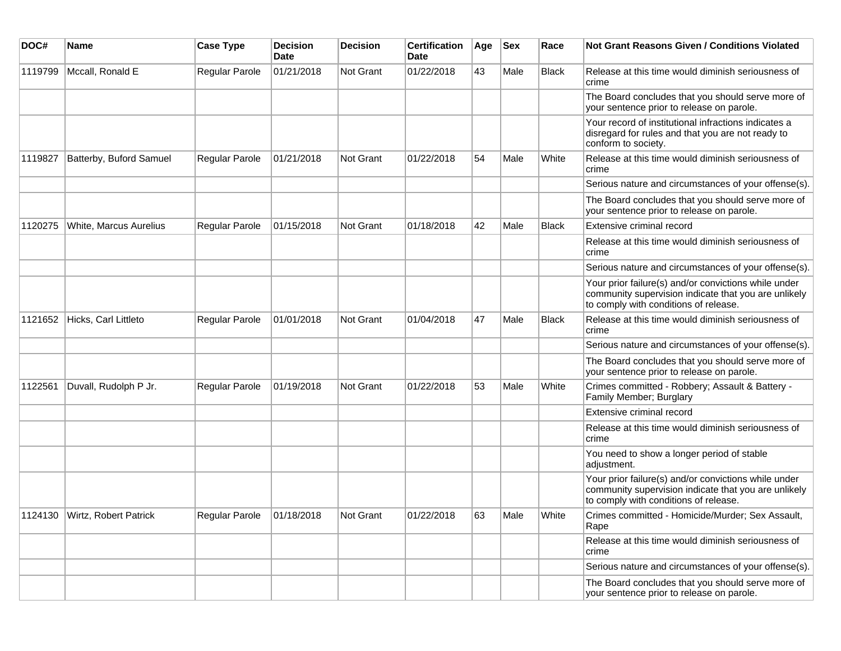| DOC#    | Name                          | <b>Case Type</b>      | <b>Decision</b><br>Date | <b>Decision</b>  | <b>Certification</b><br>Date | Age | <b>Sex</b> | Race         | Not Grant Reasons Given / Conditions Violated                                                                                                         |
|---------|-------------------------------|-----------------------|-------------------------|------------------|------------------------------|-----|------------|--------------|-------------------------------------------------------------------------------------------------------------------------------------------------------|
| 1119799 | Mccall, Ronald E              | Regular Parole        | 01/21/2018              | Not Grant        | 01/22/2018                   | 43  | Male       | <b>Black</b> | Release at this time would diminish seriousness of<br>crime                                                                                           |
|         |                               |                       |                         |                  |                              |     |            |              | The Board concludes that you should serve more of<br>your sentence prior to release on parole.                                                        |
|         |                               |                       |                         |                  |                              |     |            |              | Your record of institutional infractions indicates a<br>disregard for rules and that you are not ready to<br>conform to society.                      |
| 1119827 | Batterby, Buford Samuel       | Regular Parole        | 01/21/2018              | Not Grant        | 01/22/2018                   | 54  | Male       | White        | Release at this time would diminish seriousness of<br>crime                                                                                           |
|         |                               |                       |                         |                  |                              |     |            |              | Serious nature and circumstances of your offense(s).                                                                                                  |
|         |                               |                       |                         |                  |                              |     |            |              | The Board concludes that you should serve more of<br>your sentence prior to release on parole.                                                        |
| 1120275 | White, Marcus Aurelius        | Regular Parole        | 01/15/2018              | <b>Not Grant</b> | 01/18/2018                   | 42  | Male       | <b>Black</b> | Extensive criminal record                                                                                                                             |
|         |                               |                       |                         |                  |                              |     |            |              | Release at this time would diminish seriousness of<br>crime                                                                                           |
|         |                               |                       |                         |                  |                              |     |            |              | Serious nature and circumstances of your offense(s).                                                                                                  |
|         |                               |                       |                         |                  |                              |     |            |              | Your prior failure(s) and/or convictions while under<br>community supervision indicate that you are unlikely<br>to comply with conditions of release. |
| 1121652 | Hicks, Carl Littleto          | Regular Parole        | 01/01/2018              | Not Grant        | 01/04/2018                   | 47  | Male       | <b>Black</b> | Release at this time would diminish seriousness of<br>crime                                                                                           |
|         |                               |                       |                         |                  |                              |     |            |              | Serious nature and circumstances of your offense(s).                                                                                                  |
|         |                               |                       |                         |                  |                              |     |            |              | The Board concludes that you should serve more of<br>your sentence prior to release on parole.                                                        |
| 1122561 | Duvall, Rudolph P Jr.         | <b>Regular Parole</b> | 01/19/2018              | <b>Not Grant</b> | 01/22/2018                   | 53  | Male       | White        | Crimes committed - Robbery; Assault & Battery -<br>Family Member; Burglary                                                                            |
|         |                               |                       |                         |                  |                              |     |            |              | Extensive criminal record                                                                                                                             |
|         |                               |                       |                         |                  |                              |     |            |              | Release at this time would diminish seriousness of<br>crime                                                                                           |
|         |                               |                       |                         |                  |                              |     |            |              | You need to show a longer period of stable<br>adjustment.                                                                                             |
|         |                               |                       |                         |                  |                              |     |            |              | Your prior failure(s) and/or convictions while under<br>community supervision indicate that you are unlikely<br>to comply with conditions of release. |
|         | 1124130 Wirtz, Robert Patrick | Regular Parole        | 01/18/2018              | Not Grant        | 01/22/2018                   | 63  | Male       | White        | Crimes committed - Homicide/Murder; Sex Assault,<br>Rape                                                                                              |
|         |                               |                       |                         |                  |                              |     |            |              | Release at this time would diminish seriousness of<br>crime                                                                                           |
|         |                               |                       |                         |                  |                              |     |            |              | Serious nature and circumstances of your offense(s).                                                                                                  |
|         |                               |                       |                         |                  |                              |     |            |              | The Board concludes that you should serve more of<br>your sentence prior to release on parole.                                                        |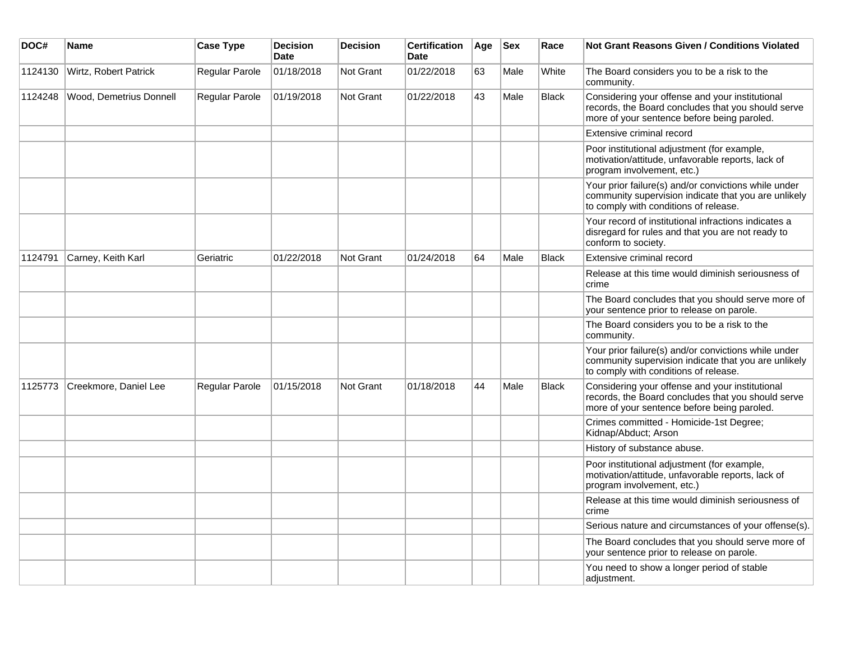| DOC#    | Name                    | <b>Case Type</b> | <b>Decision</b><br><b>Date</b> | <b>Decision</b>  | <b>Certification</b><br><b>Date</b> | Age | <b>Sex</b> | Race         | Not Grant Reasons Given / Conditions Violated                                                                                                         |
|---------|-------------------------|------------------|--------------------------------|------------------|-------------------------------------|-----|------------|--------------|-------------------------------------------------------------------------------------------------------------------------------------------------------|
| 1124130 | Wirtz, Robert Patrick   | Regular Parole   | 01/18/2018                     | Not Grant        | 01/22/2018                          | 63  | Male       | White        | The Board considers you to be a risk to the<br>community.                                                                                             |
| 1124248 | Wood, Demetrius Donnell | Regular Parole   | 01/19/2018                     | Not Grant        | 01/22/2018                          | 43  | Male       | <b>Black</b> | Considering your offense and your institutional<br>records, the Board concludes that you should serve<br>more of your sentence before being paroled.  |
|         |                         |                  |                                |                  |                                     |     |            |              | <b>Extensive criminal record</b>                                                                                                                      |
|         |                         |                  |                                |                  |                                     |     |            |              | Poor institutional adjustment (for example,<br>motivation/attitude, unfavorable reports, lack of<br>program involvement, etc.)                        |
|         |                         |                  |                                |                  |                                     |     |            |              | Your prior failure(s) and/or convictions while under<br>community supervision indicate that you are unlikely<br>to comply with conditions of release. |
|         |                         |                  |                                |                  |                                     |     |            |              | Your record of institutional infractions indicates a<br>disregard for rules and that you are not ready to<br>conform to society.                      |
| 1124791 | Carney, Keith Karl      | Geriatric        | 01/22/2018                     | Not Grant        | 01/24/2018                          | 64  | Male       | Black        | Extensive criminal record                                                                                                                             |
|         |                         |                  |                                |                  |                                     |     |            |              | Release at this time would diminish seriousness of<br>crime                                                                                           |
|         |                         |                  |                                |                  |                                     |     |            |              | The Board concludes that you should serve more of<br>your sentence prior to release on parole.                                                        |
|         |                         |                  |                                |                  |                                     |     |            |              | The Board considers you to be a risk to the<br>community.                                                                                             |
|         |                         |                  |                                |                  |                                     |     |            |              | Your prior failure(s) and/or convictions while under<br>community supervision indicate that you are unlikely<br>to comply with conditions of release. |
| 1125773 | Creekmore, Daniel Lee   | Regular Parole   | 01/15/2018                     | <b>Not Grant</b> | 01/18/2018                          | 44  | Male       | <b>Black</b> | Considering your offense and your institutional<br>records, the Board concludes that you should serve<br>more of your sentence before being paroled.  |
|         |                         |                  |                                |                  |                                     |     |            |              | Crimes committed - Homicide-1st Degree;<br>Kidnap/Abduct; Arson                                                                                       |
|         |                         |                  |                                |                  |                                     |     |            |              | History of substance abuse.                                                                                                                           |
|         |                         |                  |                                |                  |                                     |     |            |              | Poor institutional adjustment (for example,<br>motivation/attitude, unfavorable reports, lack of<br>program involvement, etc.)                        |
|         |                         |                  |                                |                  |                                     |     |            |              | Release at this time would diminish seriousness of<br>crime                                                                                           |
|         |                         |                  |                                |                  |                                     |     |            |              | Serious nature and circumstances of your offense(s).                                                                                                  |
|         |                         |                  |                                |                  |                                     |     |            |              | The Board concludes that you should serve more of<br>your sentence prior to release on parole.                                                        |
|         |                         |                  |                                |                  |                                     |     |            |              | You need to show a longer period of stable<br>adjustment.                                                                                             |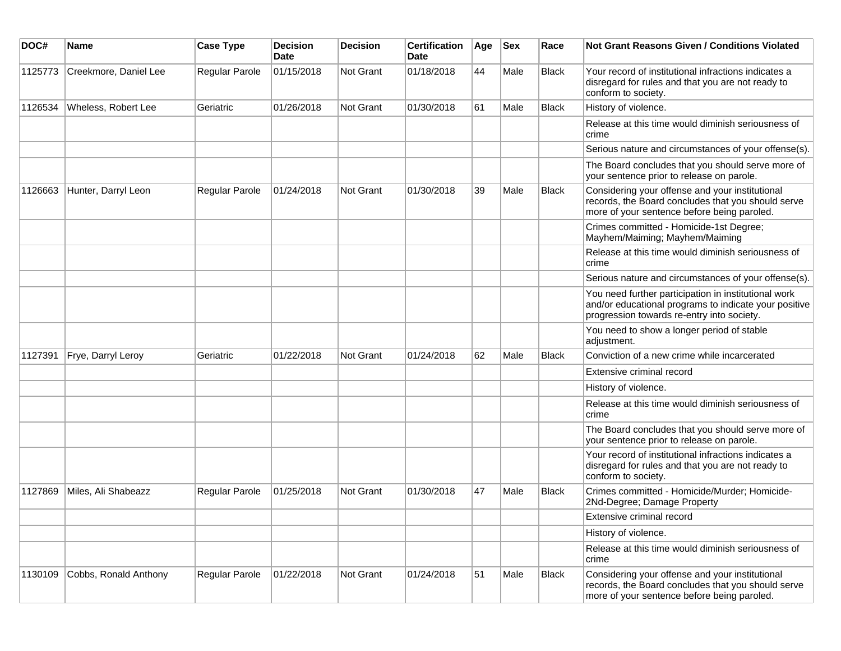| DOC#    | <b>Name</b>           | <b>Case Type</b> | <b>Decision</b><br><b>Date</b> | <b>Decision</b> | <b>Certification</b><br>Date | Age | <b>Sex</b> | Race         | Not Grant Reasons Given / Conditions Violated                                                                                                               |
|---------|-----------------------|------------------|--------------------------------|-----------------|------------------------------|-----|------------|--------------|-------------------------------------------------------------------------------------------------------------------------------------------------------------|
| 1125773 | Creekmore, Daniel Lee | Regular Parole   | 01/15/2018                     | Not Grant       | 01/18/2018                   | 44  | Male       | <b>Black</b> | Your record of institutional infractions indicates a<br>disregard for rules and that you are not ready to<br>conform to society.                            |
| 1126534 | Wheless, Robert Lee   | Geriatric        | 01/26/2018                     | Not Grant       | 01/30/2018                   | 61  | Male       | <b>Black</b> | History of violence.                                                                                                                                        |
|         |                       |                  |                                |                 |                              |     |            |              | Release at this time would diminish seriousness of<br>crime                                                                                                 |
|         |                       |                  |                                |                 |                              |     |            |              | Serious nature and circumstances of your offense(s).                                                                                                        |
|         |                       |                  |                                |                 |                              |     |            |              | The Board concludes that you should serve more of<br>your sentence prior to release on parole.                                                              |
| 1126663 | Hunter, Darryl Leon   | Regular Parole   | 01/24/2018                     | Not Grant       | 01/30/2018                   | 39  | Male       | Black        | Considering your offense and your institutional<br>records, the Board concludes that you should serve<br>more of your sentence before being paroled.        |
|         |                       |                  |                                |                 |                              |     |            |              | Crimes committed - Homicide-1st Degree;<br>Mayhem/Maiming; Mayhem/Maiming                                                                                   |
|         |                       |                  |                                |                 |                              |     |            |              | Release at this time would diminish seriousness of<br>crime                                                                                                 |
|         |                       |                  |                                |                 |                              |     |            |              | Serious nature and circumstances of your offense(s).                                                                                                        |
|         |                       |                  |                                |                 |                              |     |            |              | You need further participation in institutional work<br>and/or educational programs to indicate your positive<br>progression towards re-entry into society. |
|         |                       |                  |                                |                 |                              |     |            |              | You need to show a longer period of stable<br>adjustment.                                                                                                   |
| 1127391 | Frye, Darryl Leroy    | Geriatric        | 01/22/2018                     | Not Grant       | 01/24/2018                   | 62  | Male       | <b>Black</b> | Conviction of a new crime while incarcerated                                                                                                                |
|         |                       |                  |                                |                 |                              |     |            |              | Extensive criminal record                                                                                                                                   |
|         |                       |                  |                                |                 |                              |     |            |              | History of violence.                                                                                                                                        |
|         |                       |                  |                                |                 |                              |     |            |              | Release at this time would diminish seriousness of<br>crime                                                                                                 |
|         |                       |                  |                                |                 |                              |     |            |              | The Board concludes that you should serve more of<br>your sentence prior to release on parole.                                                              |
|         |                       |                  |                                |                 |                              |     |            |              | Your record of institutional infractions indicates a<br>disregard for rules and that you are not ready to<br>conform to society.                            |
| 1127869 | Miles, Ali Shabeazz   | Regular Parole   | 01/25/2018                     | Not Grant       | 01/30/2018                   | 47  | Male       | <b>Black</b> | Crimes committed - Homicide/Murder; Homicide-<br>2Nd-Degree; Damage Property                                                                                |
|         |                       |                  |                                |                 |                              |     |            |              | Extensive criminal record                                                                                                                                   |
|         |                       |                  |                                |                 |                              |     |            |              | History of violence.                                                                                                                                        |
|         |                       |                  |                                |                 |                              |     |            |              | Release at this time would diminish seriousness of<br>crime                                                                                                 |
| 1130109 | Cobbs, Ronald Anthony | Regular Parole   | 01/22/2018                     | Not Grant       | 01/24/2018                   | 51  | Male       | Black        | Considering your offense and your institutional<br>records, the Board concludes that you should serve<br>more of your sentence before being paroled.        |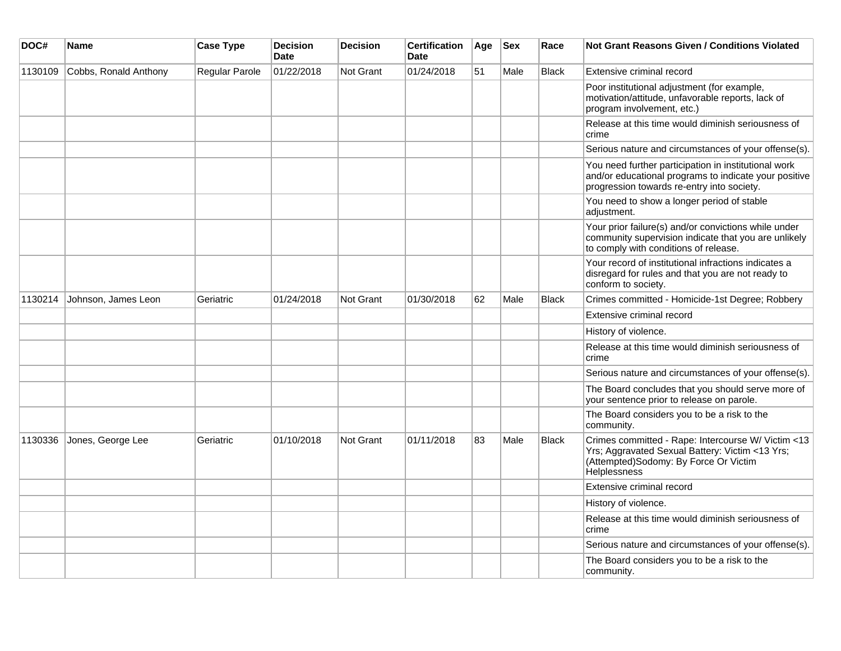| DOC#    | <b>Name</b>           | <b>Case Type</b> | <b>Decision</b><br><b>Date</b> | <b>Decision</b>  | <b>Certification</b><br><b>Date</b> | Age | <b>Sex</b> | Race         | <b>Not Grant Reasons Given / Conditions Violated</b>                                                                                                           |
|---------|-----------------------|------------------|--------------------------------|------------------|-------------------------------------|-----|------------|--------------|----------------------------------------------------------------------------------------------------------------------------------------------------------------|
| 1130109 | Cobbs, Ronald Anthony | Regular Parole   | 01/22/2018                     | Not Grant        | 01/24/2018                          | 51  | Male       | <b>Black</b> | Extensive criminal record                                                                                                                                      |
|         |                       |                  |                                |                  |                                     |     |            |              | Poor institutional adjustment (for example,<br>motivation/attitude, unfavorable reports, lack of<br>program involvement, etc.)                                 |
|         |                       |                  |                                |                  |                                     |     |            |              | Release at this time would diminish seriousness of<br>crime                                                                                                    |
|         |                       |                  |                                |                  |                                     |     |            |              | Serious nature and circumstances of your offense(s).                                                                                                           |
|         |                       |                  |                                |                  |                                     |     |            |              | You need further participation in institutional work<br>and/or educational programs to indicate your positive<br>progression towards re-entry into society.    |
|         |                       |                  |                                |                  |                                     |     |            |              | You need to show a longer period of stable<br>adjustment.                                                                                                      |
|         |                       |                  |                                |                  |                                     |     |            |              | Your prior failure(s) and/or convictions while under<br>community supervision indicate that you are unlikely<br>to comply with conditions of release.          |
|         |                       |                  |                                |                  |                                     |     |            |              | Your record of institutional infractions indicates a<br>disregard for rules and that you are not ready to<br>conform to society.                               |
| 1130214 | Johnson, James Leon   | Geriatric        | 01/24/2018                     | <b>Not Grant</b> | 01/30/2018                          | 62  | Male       | <b>Black</b> | Crimes committed - Homicide-1st Degree; Robbery                                                                                                                |
|         |                       |                  |                                |                  |                                     |     |            |              | Extensive criminal record                                                                                                                                      |
|         |                       |                  |                                |                  |                                     |     |            |              | History of violence.                                                                                                                                           |
|         |                       |                  |                                |                  |                                     |     |            |              | Release at this time would diminish seriousness of<br>crime                                                                                                    |
|         |                       |                  |                                |                  |                                     |     |            |              | Serious nature and circumstances of your offense(s).                                                                                                           |
|         |                       |                  |                                |                  |                                     |     |            |              | The Board concludes that you should serve more of<br>your sentence prior to release on parole.                                                                 |
|         |                       |                  |                                |                  |                                     |     |            |              | The Board considers you to be a risk to the<br>community.                                                                                                      |
| 1130336 | Jones, George Lee     | Geriatric        | 01/10/2018                     | <b>Not Grant</b> | 01/11/2018                          | 83  | Male       | <b>Black</b> | Crimes committed - Rape: Intercourse W/ Victim <13<br>Yrs; Aggravated Sexual Battery: Victim <13 Yrs;<br>(Attempted)Sodomy: By Force Or Victim<br>Helplessness |
|         |                       |                  |                                |                  |                                     |     |            |              | Extensive criminal record                                                                                                                                      |
|         |                       |                  |                                |                  |                                     |     |            |              | History of violence.                                                                                                                                           |
|         |                       |                  |                                |                  |                                     |     |            |              | Release at this time would diminish seriousness of<br>crime                                                                                                    |
|         |                       |                  |                                |                  |                                     |     |            |              | Serious nature and circumstances of your offense(s).                                                                                                           |
|         |                       |                  |                                |                  |                                     |     |            |              | The Board considers you to be a risk to the<br>community.                                                                                                      |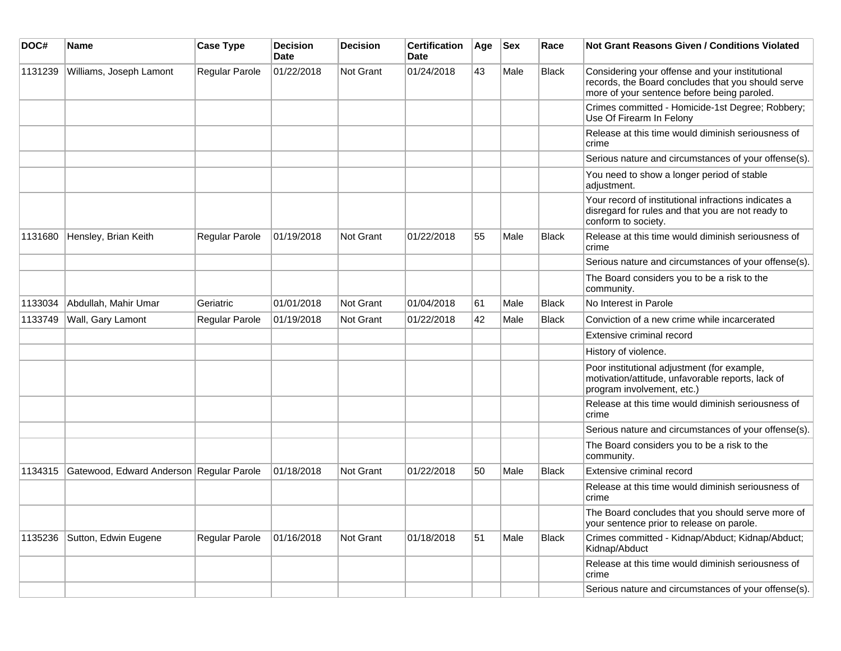| DOC#    | <b>Name</b>                              | <b>Case Type</b> | <b>Decision</b><br>Date | <b>Decision</b> | <b>Certification</b><br>Date | Age | <b>Sex</b> | Race         | <b>Not Grant Reasons Given / Conditions Violated</b>                                                                                                 |
|---------|------------------------------------------|------------------|-------------------------|-----------------|------------------------------|-----|------------|--------------|------------------------------------------------------------------------------------------------------------------------------------------------------|
| 1131239 | Williams, Joseph Lamont                  | Regular Parole   | 01/22/2018              | Not Grant       | 01/24/2018                   | 43  | Male       | <b>Black</b> | Considering your offense and your institutional<br>records, the Board concludes that you should serve<br>more of your sentence before being paroled. |
|         |                                          |                  |                         |                 |                              |     |            |              | Crimes committed - Homicide-1st Degree; Robbery;<br>Use Of Firearm In Felony                                                                         |
|         |                                          |                  |                         |                 |                              |     |            |              | Release at this time would diminish seriousness of<br>crime                                                                                          |
|         |                                          |                  |                         |                 |                              |     |            |              | Serious nature and circumstances of your offense(s).                                                                                                 |
|         |                                          |                  |                         |                 |                              |     |            |              | You need to show a longer period of stable<br>adjustment.                                                                                            |
|         |                                          |                  |                         |                 |                              |     |            |              | Your record of institutional infractions indicates a<br>disregard for rules and that you are not ready to<br>conform to society.                     |
| 1131680 | Hensley, Brian Keith                     | Regular Parole   | 01/19/2018              | Not Grant       | 01/22/2018                   | 55  | Male       | <b>Black</b> | Release at this time would diminish seriousness of<br>crime                                                                                          |
|         |                                          |                  |                         |                 |                              |     |            |              | Serious nature and circumstances of your offense(s).                                                                                                 |
|         |                                          |                  |                         |                 |                              |     |            |              | The Board considers you to be a risk to the<br>community.                                                                                            |
| 1133034 | Abdullah, Mahir Umar                     | Geriatric        | 01/01/2018              | Not Grant       | 01/04/2018                   | 61  | Male       | <b>Black</b> | No Interest in Parole                                                                                                                                |
| 1133749 | Wall, Gary Lamont                        | Regular Parole   | 01/19/2018              | Not Grant       | 01/22/2018                   | 42  | Male       | <b>Black</b> | Conviction of a new crime while incarcerated                                                                                                         |
|         |                                          |                  |                         |                 |                              |     |            |              | Extensive criminal record                                                                                                                            |
|         |                                          |                  |                         |                 |                              |     |            |              | History of violence.                                                                                                                                 |
|         |                                          |                  |                         |                 |                              |     |            |              | Poor institutional adjustment (for example,<br>motivation/attitude, unfavorable reports, lack of<br>program involvement, etc.)                       |
|         |                                          |                  |                         |                 |                              |     |            |              | Release at this time would diminish seriousness of<br>crime                                                                                          |
|         |                                          |                  |                         |                 |                              |     |            |              | Serious nature and circumstances of your offense(s).                                                                                                 |
|         |                                          |                  |                         |                 |                              |     |            |              | The Board considers you to be a risk to the<br>community.                                                                                            |
| 1134315 | Gatewood, Edward Anderson Regular Parole |                  | 01/18/2018              | Not Grant       | 01/22/2018                   | 50  | Male       | Black        | Extensive criminal record                                                                                                                            |
|         |                                          |                  |                         |                 |                              |     |            |              | Release at this time would diminish seriousness of<br>crime                                                                                          |
|         |                                          |                  |                         |                 |                              |     |            |              | The Board concludes that you should serve more of<br>your sentence prior to release on parole.                                                       |
| 1135236 | Sutton, Edwin Eugene                     | Regular Parole   | 01/16/2018              | Not Grant       | 01/18/2018                   | 51  | Male       | <b>Black</b> | Crimes committed - Kidnap/Abduct; Kidnap/Abduct;<br>Kidnap/Abduct                                                                                    |
|         |                                          |                  |                         |                 |                              |     |            |              | Release at this time would diminish seriousness of<br>crime                                                                                          |
|         |                                          |                  |                         |                 |                              |     |            |              | Serious nature and circumstances of your offense(s).                                                                                                 |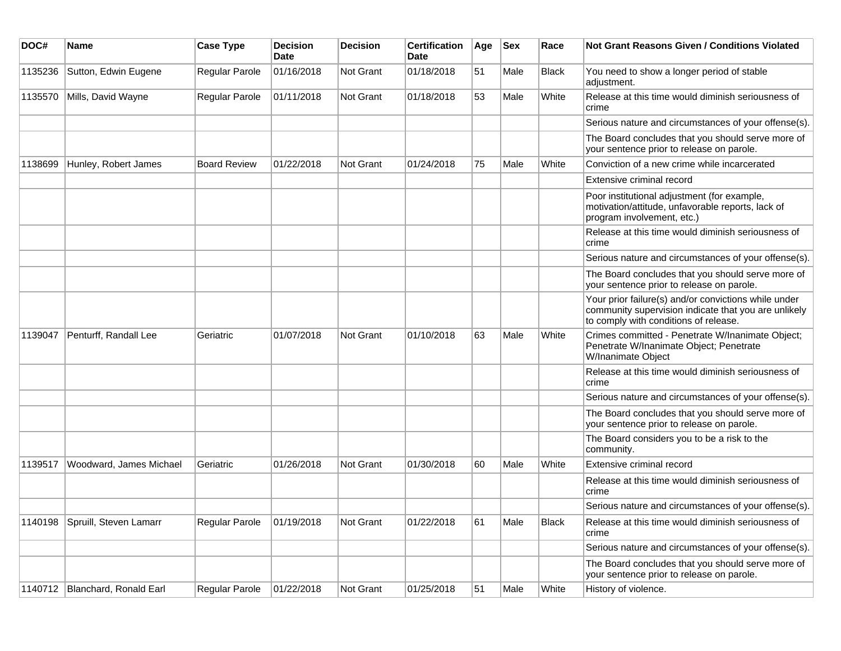| DOC#    | Name                             | <b>Case Type</b>    | <b>Decision</b><br><b>Date</b> | <b>Decision</b>  | <b>Certification</b><br>Date | Age | <b>Sex</b> | Race         | <b>Not Grant Reasons Given / Conditions Violated</b>                                                                                                  |
|---------|----------------------------------|---------------------|--------------------------------|------------------|------------------------------|-----|------------|--------------|-------------------------------------------------------------------------------------------------------------------------------------------------------|
| 1135236 | Sutton, Edwin Eugene             | Regular Parole      | 01/16/2018                     | Not Grant        | 01/18/2018                   | 51  | Male       | <b>Black</b> | You need to show a longer period of stable<br>adjustment.                                                                                             |
| 1135570 | Mills, David Wayne               | Regular Parole      | 01/11/2018                     | Not Grant        | 01/18/2018                   | 53  | Male       | White        | Release at this time would diminish seriousness of<br>crime                                                                                           |
|         |                                  |                     |                                |                  |                              |     |            |              | Serious nature and circumstances of your offense(s).                                                                                                  |
|         |                                  |                     |                                |                  |                              |     |            |              | The Board concludes that you should serve more of<br>your sentence prior to release on parole.                                                        |
| 1138699 | Hunley, Robert James             | <b>Board Review</b> | 01/22/2018                     | <b>Not Grant</b> | 01/24/2018                   | 75  | Male       | White        | Conviction of a new crime while incarcerated                                                                                                          |
|         |                                  |                     |                                |                  |                              |     |            |              | Extensive criminal record                                                                                                                             |
|         |                                  |                     |                                |                  |                              |     |            |              | Poor institutional adjustment (for example,<br>motivation/attitude, unfavorable reports, lack of<br>program involvement, etc.)                        |
|         |                                  |                     |                                |                  |                              |     |            |              | Release at this time would diminish seriousness of<br>crime                                                                                           |
|         |                                  |                     |                                |                  |                              |     |            |              | Serious nature and circumstances of your offense(s).                                                                                                  |
|         |                                  |                     |                                |                  |                              |     |            |              | The Board concludes that you should serve more of<br>your sentence prior to release on parole.                                                        |
|         |                                  |                     |                                |                  |                              |     |            |              | Your prior failure(s) and/or convictions while under<br>community supervision indicate that you are unlikely<br>to comply with conditions of release. |
| 1139047 | Penturff, Randall Lee            | Geriatric           | 01/07/2018                     | <b>Not Grant</b> | 01/10/2018                   | 63  | Male       | White        | Crimes committed - Penetrate W/Inanimate Object;<br>Penetrate W/Inanimate Object; Penetrate<br>W/Inanimate Object                                     |
|         |                                  |                     |                                |                  |                              |     |            |              | Release at this time would diminish seriousness of<br>crime                                                                                           |
|         |                                  |                     |                                |                  |                              |     |            |              | Serious nature and circumstances of your offense(s).                                                                                                  |
|         |                                  |                     |                                |                  |                              |     |            |              | The Board concludes that you should serve more of<br>your sentence prior to release on parole.                                                        |
|         |                                  |                     |                                |                  |                              |     |            |              | The Board considers you to be a risk to the<br>community.                                                                                             |
| 1139517 | Woodward, James Michael          | Geriatric           | 01/26/2018                     | <b>Not Grant</b> | 01/30/2018                   | 60  | Male       | White        | Extensive criminal record                                                                                                                             |
|         |                                  |                     |                                |                  |                              |     |            |              | Release at this time would diminish seriousness of<br>crime                                                                                           |
|         |                                  |                     |                                |                  |                              |     |            |              | Serious nature and circumstances of your offense(s).                                                                                                  |
| 1140198 | Spruill, Steven Lamarr           | Regular Parole      | 01/19/2018                     | Not Grant        | 01/22/2018                   | 61  | Male       | Black        | Release at this time would diminish seriousness of<br>crime                                                                                           |
|         |                                  |                     |                                |                  |                              |     |            |              | Serious nature and circumstances of your offense(s).                                                                                                  |
|         |                                  |                     |                                |                  |                              |     |            |              | The Board concludes that you should serve more of<br>your sentence prior to release on parole.                                                        |
|         | 1140712   Blanchard, Ronald Earl | Regular Parole      | 01/22/2018                     | Not Grant        | 01/25/2018                   | 51  | Male       | White        | History of violence.                                                                                                                                  |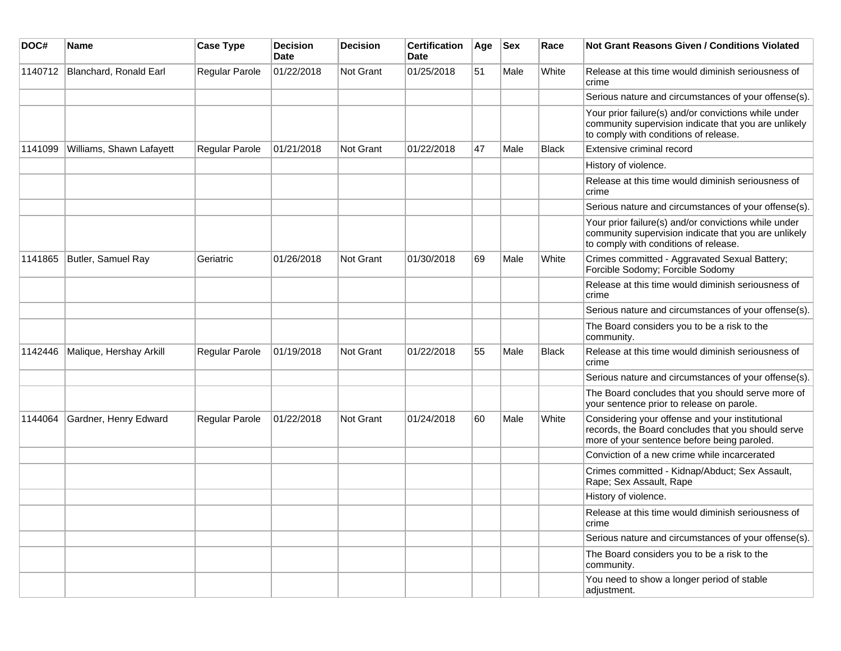| DOC#    | Name                     | <b>Case Type</b> | <b>Decision</b><br><b>Date</b> | <b>Decision</b> | <b>Certification</b><br>Date | Age | <b>Sex</b> | Race         | Not Grant Reasons Given / Conditions Violated                                                                                                         |
|---------|--------------------------|------------------|--------------------------------|-----------------|------------------------------|-----|------------|--------------|-------------------------------------------------------------------------------------------------------------------------------------------------------|
| 1140712 | Blanchard, Ronald Earl   | Regular Parole   | 01/22/2018                     | Not Grant       | 01/25/2018                   | 51  | Male       | White        | Release at this time would diminish seriousness of<br>crime                                                                                           |
|         |                          |                  |                                |                 |                              |     |            |              | Serious nature and circumstances of your offense(s).                                                                                                  |
|         |                          |                  |                                |                 |                              |     |            |              | Your prior failure(s) and/or convictions while under<br>community supervision indicate that you are unlikely<br>to comply with conditions of release. |
| 1141099 | Williams, Shawn Lafayett | Regular Parole   | 01/21/2018                     | Not Grant       | 01/22/2018                   | 47  | Male       | <b>Black</b> | Extensive criminal record                                                                                                                             |
|         |                          |                  |                                |                 |                              |     |            |              | History of violence.                                                                                                                                  |
|         |                          |                  |                                |                 |                              |     |            |              | Release at this time would diminish seriousness of<br>crime                                                                                           |
|         |                          |                  |                                |                 |                              |     |            |              | Serious nature and circumstances of your offense(s).                                                                                                  |
|         |                          |                  |                                |                 |                              |     |            |              | Your prior failure(s) and/or convictions while under<br>community supervision indicate that you are unlikely<br>to comply with conditions of release. |
| 1141865 | Butler, Samuel Ray       | Geriatric        | 01/26/2018                     | Not Grant       | 01/30/2018                   | 69  | Male       | White        | Crimes committed - Aggravated Sexual Battery;<br>Forcible Sodomy; Forcible Sodomy                                                                     |
|         |                          |                  |                                |                 |                              |     |            |              | Release at this time would diminish seriousness of<br>crime                                                                                           |
|         |                          |                  |                                |                 |                              |     |            |              | Serious nature and circumstances of your offense(s).                                                                                                  |
|         |                          |                  |                                |                 |                              |     |            |              | The Board considers you to be a risk to the<br>community.                                                                                             |
| 1142446 | Malique, Hershay Arkill  | Regular Parole   | 01/19/2018                     | Not Grant       | 01/22/2018                   | 55  | Male       | <b>Black</b> | Release at this time would diminish seriousness of<br>crime                                                                                           |
|         |                          |                  |                                |                 |                              |     |            |              | Serious nature and circumstances of your offense(s).                                                                                                  |
|         |                          |                  |                                |                 |                              |     |            |              | The Board concludes that you should serve more of<br>your sentence prior to release on parole.                                                        |
| 1144064 | Gardner, Henry Edward    | Regular Parole   | 01/22/2018                     | Not Grant       | 01/24/2018                   | 60  | Male       | White        | Considering your offense and your institutional<br>records, the Board concludes that you should serve<br>more of your sentence before being paroled.  |
|         |                          |                  |                                |                 |                              |     |            |              | Conviction of a new crime while incarcerated                                                                                                          |
|         |                          |                  |                                |                 |                              |     |            |              | Crimes committed - Kidnap/Abduct; Sex Assault,<br>Rape; Sex Assault, Rape                                                                             |
|         |                          |                  |                                |                 |                              |     |            |              | History of violence.                                                                                                                                  |
|         |                          |                  |                                |                 |                              |     |            |              | Release at this time would diminish seriousness of<br>crime                                                                                           |
|         |                          |                  |                                |                 |                              |     |            |              | Serious nature and circumstances of your offense(s).                                                                                                  |
|         |                          |                  |                                |                 |                              |     |            |              | The Board considers you to be a risk to the<br>community.                                                                                             |
|         |                          |                  |                                |                 |                              |     |            |              | You need to show a longer period of stable<br>adjustment.                                                                                             |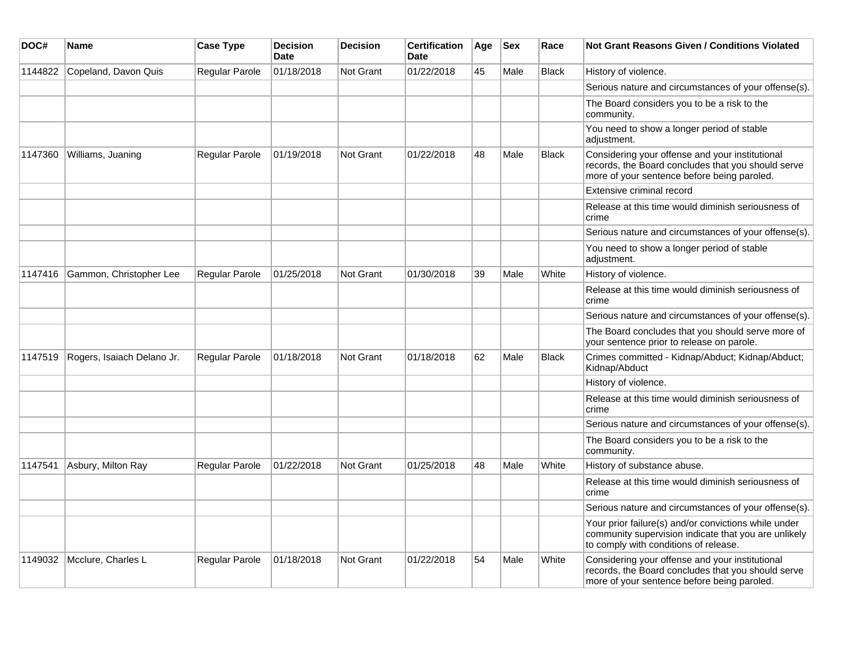| DOC#    | <b>Name</b>                | <b>Case Type</b>      | <b>Decision</b><br><b>Date</b> | <b>Decision</b>  | <b>Certification</b><br><b>Date</b> | Age | <b>Sex</b> | Race         | <b>Not Grant Reasons Given / Conditions Violated</b>                                                                                                  |
|---------|----------------------------|-----------------------|--------------------------------|------------------|-------------------------------------|-----|------------|--------------|-------------------------------------------------------------------------------------------------------------------------------------------------------|
| 1144822 | Copeland, Davon Quis       | Regular Parole        | 01/18/2018                     | Not Grant        | 01/22/2018                          | 45  | Male       | <b>Black</b> | History of violence.                                                                                                                                  |
|         |                            |                       |                                |                  |                                     |     |            |              | Serious nature and circumstances of your offense(s).                                                                                                  |
|         |                            |                       |                                |                  |                                     |     |            |              | The Board considers you to be a risk to the<br>community.                                                                                             |
|         |                            |                       |                                |                  |                                     |     |            |              | You need to show a longer period of stable<br>adjustment.                                                                                             |
| 1147360 | Williams, Juaning          | Regular Parole        | 01/19/2018                     | <b>Not Grant</b> | 01/22/2018                          | 48  | Male       | <b>Black</b> | Considering your offense and your institutional<br>records, the Board concludes that you should serve<br>more of your sentence before being paroled.  |
|         |                            |                       |                                |                  |                                     |     |            |              | Extensive criminal record                                                                                                                             |
|         |                            |                       |                                |                  |                                     |     |            |              | Release at this time would diminish seriousness of<br>crime                                                                                           |
|         |                            |                       |                                |                  |                                     |     |            |              | Serious nature and circumstances of your offense(s).                                                                                                  |
|         |                            |                       |                                |                  |                                     |     |            |              | You need to show a longer period of stable<br>adjustment.                                                                                             |
| 1147416 | Gammon, Christopher Lee    | Regular Parole        | 01/25/2018                     | Not Grant        | 01/30/2018                          | 39  | Male       | White        | History of violence.                                                                                                                                  |
|         |                            |                       |                                |                  |                                     |     |            |              | Release at this time would diminish seriousness of<br>crime                                                                                           |
|         |                            |                       |                                |                  |                                     |     |            |              | Serious nature and circumstances of your offense(s).                                                                                                  |
|         |                            |                       |                                |                  |                                     |     |            |              | The Board concludes that you should serve more of<br>your sentence prior to release on parole.                                                        |
| 1147519 | Rogers, Isaiach Delano Jr. | Regular Parole        | 01/18/2018                     | <b>Not Grant</b> | 01/18/2018                          | 62  | Male       | <b>Black</b> | Crimes committed - Kidnap/Abduct; Kidnap/Abduct;<br>Kidnap/Abduct                                                                                     |
|         |                            |                       |                                |                  |                                     |     |            |              | History of violence.                                                                                                                                  |
|         |                            |                       |                                |                  |                                     |     |            |              | Release at this time would diminish seriousness of<br>crime                                                                                           |
|         |                            |                       |                                |                  |                                     |     |            |              | Serious nature and circumstances of your offense(s).                                                                                                  |
|         |                            |                       |                                |                  |                                     |     |            |              | The Board considers you to be a risk to the<br>community.                                                                                             |
| 1147541 | Asbury, Milton Ray         | Regular Parole        | 01/22/2018                     | <b>Not Grant</b> | 01/25/2018                          | 48  | Male       | White        | History of substance abuse.                                                                                                                           |
|         |                            |                       |                                |                  |                                     |     |            |              | Release at this time would diminish seriousness of<br>crime                                                                                           |
|         |                            |                       |                                |                  |                                     |     |            |              | Serious nature and circumstances of your offense(s).                                                                                                  |
|         |                            |                       |                                |                  |                                     |     |            |              | Your prior failure(s) and/or convictions while under<br>community supervision indicate that you are unlikely<br>to comply with conditions of release. |
| 1149032 | Mcclure, Charles L         | <b>Regular Parole</b> | 01/18/2018                     | Not Grant        | 01/22/2018                          | 54  | Male       | White        | Considering your offense and your institutional<br>records, the Board concludes that you should serve<br>more of your sentence before being paroled.  |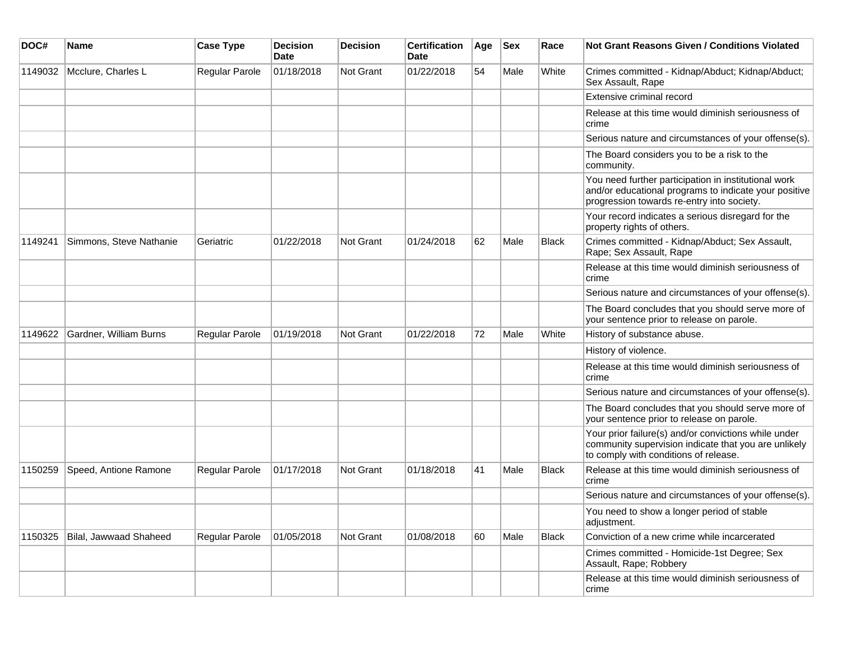| DOC#    | <b>Name</b>             | <b>Case Type</b>      | <b>Decision</b><br><b>Date</b> | <b>Decision</b> | <b>Certification</b><br><b>Date</b> | Age | <b>Sex</b> | Race  | <b>Not Grant Reasons Given / Conditions Violated</b>                                                                                                        |
|---------|-------------------------|-----------------------|--------------------------------|-----------------|-------------------------------------|-----|------------|-------|-------------------------------------------------------------------------------------------------------------------------------------------------------------|
| 1149032 | Mcclure, Charles L      | Regular Parole        | 01/18/2018                     | Not Grant       | 01/22/2018                          | 54  | Male       | White | Crimes committed - Kidnap/Abduct; Kidnap/Abduct;<br>Sex Assault, Rape                                                                                       |
|         |                         |                       |                                |                 |                                     |     |            |       | Extensive criminal record                                                                                                                                   |
|         |                         |                       |                                |                 |                                     |     |            |       | Release at this time would diminish seriousness of<br>crime                                                                                                 |
|         |                         |                       |                                |                 |                                     |     |            |       | Serious nature and circumstances of your offense(s).                                                                                                        |
|         |                         |                       |                                |                 |                                     |     |            |       | The Board considers you to be a risk to the<br>community.                                                                                                   |
|         |                         |                       |                                |                 |                                     |     |            |       | You need further participation in institutional work<br>and/or educational programs to indicate your positive<br>progression towards re-entry into society. |
|         |                         |                       |                                |                 |                                     |     |            |       | Your record indicates a serious disregard for the<br>property rights of others.                                                                             |
| 1149241 | Simmons, Steve Nathanie | Geriatric             | 01/22/2018                     | Not Grant       | 01/24/2018                          | 62  | Male       | Black | Crimes committed - Kidnap/Abduct; Sex Assault,<br>Rape; Sex Assault, Rape                                                                                   |
|         |                         |                       |                                |                 |                                     |     |            |       | Release at this time would diminish seriousness of<br>crime                                                                                                 |
|         |                         |                       |                                |                 |                                     |     |            |       | Serious nature and circumstances of your offense(s).                                                                                                        |
|         |                         |                       |                                |                 |                                     |     |            |       | The Board concludes that you should serve more of<br>your sentence prior to release on parole.                                                              |
| 1149622 | Gardner, William Burns  | Regular Parole        | 01/19/2018                     | Not Grant       | 01/22/2018                          | 72  | Male       | White | History of substance abuse.                                                                                                                                 |
|         |                         |                       |                                |                 |                                     |     |            |       | History of violence.                                                                                                                                        |
|         |                         |                       |                                |                 |                                     |     |            |       | Release at this time would diminish seriousness of<br>crime                                                                                                 |
|         |                         |                       |                                |                 |                                     |     |            |       | Serious nature and circumstances of your offense(s).                                                                                                        |
|         |                         |                       |                                |                 |                                     |     |            |       | The Board concludes that you should serve more of<br>your sentence prior to release on parole.                                                              |
|         |                         |                       |                                |                 |                                     |     |            |       | Your prior failure(s) and/or convictions while under<br>community supervision indicate that you are unlikely<br>to comply with conditions of release.       |
| 1150259 | Speed, Antione Ramone   | <b>Regular Parole</b> | 01/17/2018                     | Not Grant       | 01/18/2018                          | 41  | Male       | Black | Release at this time would diminish seriousness of<br>crime                                                                                                 |
|         |                         |                       |                                |                 |                                     |     |            |       | Serious nature and circumstances of your offense(s).                                                                                                        |
|         |                         |                       |                                |                 |                                     |     |            |       | You need to show a longer period of stable<br>adjustment.                                                                                                   |
| 1150325 | Bilal, Jawwaad Shaheed  | Regular Parole        | 01/05/2018                     | Not Grant       | 01/08/2018                          | 60  | Male       | Black | Conviction of a new crime while incarcerated                                                                                                                |
|         |                         |                       |                                |                 |                                     |     |            |       | Crimes committed - Homicide-1st Degree; Sex<br>Assault, Rape; Robbery                                                                                       |
|         |                         |                       |                                |                 |                                     |     |            |       | Release at this time would diminish seriousness of<br>crime                                                                                                 |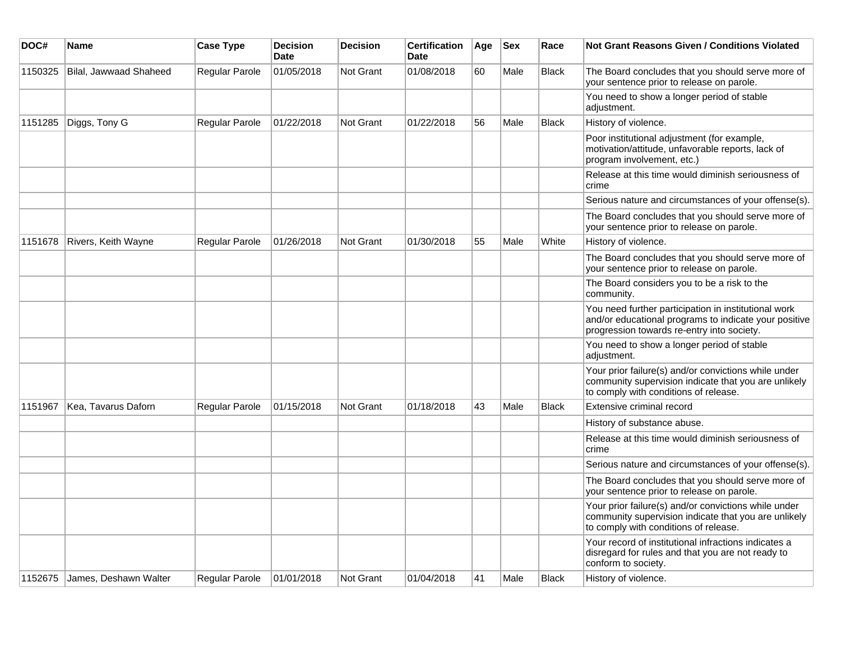| DOC#    | <b>Name</b>            | <b>Case Type</b> | <b>Decision</b><br><b>Date</b> | <b>Decision</b>  | <b>Certification</b><br>Date | Age | <b>Sex</b> | Race         | Not Grant Reasons Given / Conditions Violated                                                                                                               |
|---------|------------------------|------------------|--------------------------------|------------------|------------------------------|-----|------------|--------------|-------------------------------------------------------------------------------------------------------------------------------------------------------------|
| 1150325 | Bilal, Jawwaad Shaheed | Regular Parole   | 01/05/2018                     | Not Grant        | 01/08/2018                   | 60  | Male       | Black        | The Board concludes that you should serve more of<br>your sentence prior to release on parole.                                                              |
|         |                        |                  |                                |                  |                              |     |            |              | You need to show a longer period of stable<br>adjustment.                                                                                                   |
| 1151285 | Diggs, Tony G          | Regular Parole   | 01/22/2018                     | Not Grant        | 01/22/2018                   | 56  | Male       | <b>Black</b> | History of violence.                                                                                                                                        |
|         |                        |                  |                                |                  |                              |     |            |              | Poor institutional adjustment (for example,<br>motivation/attitude, unfavorable reports, lack of<br>program involvement, etc.)                              |
|         |                        |                  |                                |                  |                              |     |            |              | Release at this time would diminish seriousness of<br>crime                                                                                                 |
|         |                        |                  |                                |                  |                              |     |            |              | Serious nature and circumstances of your offense(s).                                                                                                        |
|         |                        |                  |                                |                  |                              |     |            |              | The Board concludes that you should serve more of<br>your sentence prior to release on parole.                                                              |
| 1151678 | Rivers, Keith Wayne    | Regular Parole   | 01/26/2018                     | <b>Not Grant</b> | 01/30/2018                   | 55  | Male       | White        | History of violence.                                                                                                                                        |
|         |                        |                  |                                |                  |                              |     |            |              | The Board concludes that you should serve more of<br>your sentence prior to release on parole.                                                              |
|         |                        |                  |                                |                  |                              |     |            |              | The Board considers you to be a risk to the<br>community.                                                                                                   |
|         |                        |                  |                                |                  |                              |     |            |              | You need further participation in institutional work<br>and/or educational programs to indicate your positive<br>progression towards re-entry into society. |
|         |                        |                  |                                |                  |                              |     |            |              | You need to show a longer period of stable<br>adjustment.                                                                                                   |
|         |                        |                  |                                |                  |                              |     |            |              | Your prior failure(s) and/or convictions while under<br>community supervision indicate that you are unlikely<br>to comply with conditions of release.       |
| 1151967 | Kea, Tavarus Daforn    | Regular Parole   | 01/15/2018                     | Not Grant        | 01/18/2018                   | 43  | Male       | <b>Black</b> | Extensive criminal record                                                                                                                                   |
|         |                        |                  |                                |                  |                              |     |            |              | History of substance abuse.                                                                                                                                 |
|         |                        |                  |                                |                  |                              |     |            |              | Release at this time would diminish seriousness of<br>crime                                                                                                 |
|         |                        |                  |                                |                  |                              |     |            |              | Serious nature and circumstances of your offense(s).                                                                                                        |
|         |                        |                  |                                |                  |                              |     |            |              | The Board concludes that you should serve more of<br>your sentence prior to release on parole.                                                              |
|         |                        |                  |                                |                  |                              |     |            |              | Your prior failure(s) and/or convictions while under<br>community supervision indicate that you are unlikely<br>to comply with conditions of release.       |
|         |                        |                  |                                |                  |                              |     |            |              | Your record of institutional infractions indicates a<br>disregard for rules and that you are not ready to<br>conform to society.                            |
| 1152675 | James, Deshawn Walter  | Regular Parole   | 01/01/2018                     | <b>Not Grant</b> | 01/04/2018                   | 41  | Male       | <b>Black</b> | History of violence.                                                                                                                                        |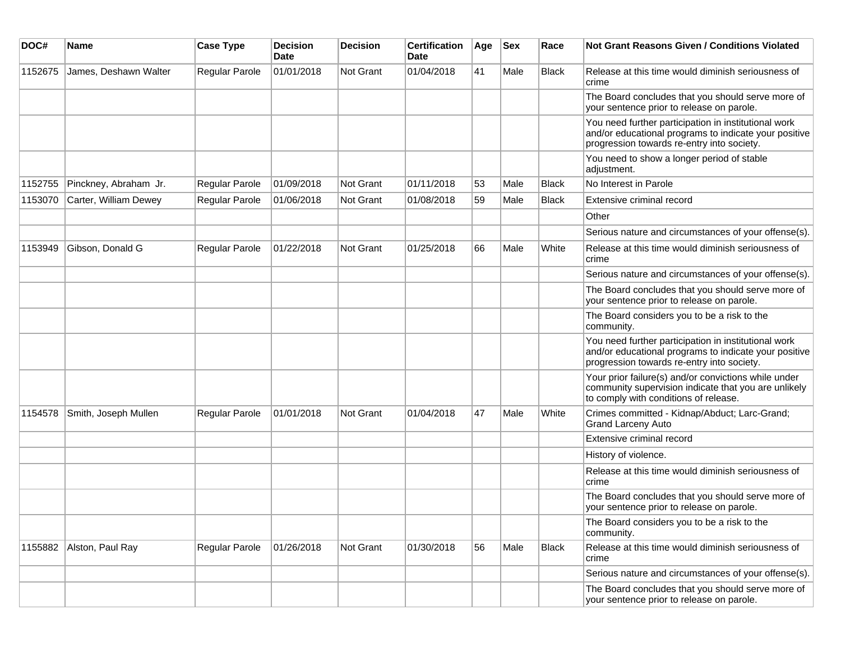| DOC#    | <b>Name</b>           | <b>Case Type</b>      | <b>Decision</b><br>Date | <b>Decision</b>  | <b>Certification</b><br>Date | Age | <b>Sex</b> | Race         | <b>Not Grant Reasons Given / Conditions Violated</b>                                                                                                        |
|---------|-----------------------|-----------------------|-------------------------|------------------|------------------------------|-----|------------|--------------|-------------------------------------------------------------------------------------------------------------------------------------------------------------|
| 1152675 | James, Deshawn Walter | <b>Regular Parole</b> | 01/01/2018              | <b>Not Grant</b> | 01/04/2018                   | 41  | Male       | <b>Black</b> | Release at this time would diminish seriousness of<br>crime                                                                                                 |
|         |                       |                       |                         |                  |                              |     |            |              | The Board concludes that you should serve more of<br>your sentence prior to release on parole.                                                              |
|         |                       |                       |                         |                  |                              |     |            |              | You need further participation in institutional work<br>and/or educational programs to indicate your positive<br>progression towards re-entry into society. |
|         |                       |                       |                         |                  |                              |     |            |              | You need to show a longer period of stable<br>adjustment.                                                                                                   |
| 1152755 | Pinckney, Abraham Jr. | Regular Parole        | 01/09/2018              | Not Grant        | 01/11/2018                   | 53  | Male       | <b>Black</b> | No Interest in Parole                                                                                                                                       |
| 1153070 | Carter, William Dewey | Regular Parole        | 01/06/2018              | Not Grant        | 01/08/2018                   | 59  | Male       | <b>Black</b> | Extensive criminal record                                                                                                                                   |
|         |                       |                       |                         |                  |                              |     |            |              | Other                                                                                                                                                       |
|         |                       |                       |                         |                  |                              |     |            |              | Serious nature and circumstances of your offense(s).                                                                                                        |
| 1153949 | Gibson, Donald G      | Regular Parole        | 01/22/2018              | Not Grant        | 01/25/2018                   | 66  | Male       | White        | Release at this time would diminish seriousness of<br>crime                                                                                                 |
|         |                       |                       |                         |                  |                              |     |            |              | Serious nature and circumstances of your offense(s).                                                                                                        |
|         |                       |                       |                         |                  |                              |     |            |              | The Board concludes that you should serve more of<br>your sentence prior to release on parole.                                                              |
|         |                       |                       |                         |                  |                              |     |            |              | The Board considers you to be a risk to the<br>community.                                                                                                   |
|         |                       |                       |                         |                  |                              |     |            |              | You need further participation in institutional work<br>and/or educational programs to indicate your positive<br>progression towards re-entry into society. |
|         |                       |                       |                         |                  |                              |     |            |              | Your prior failure(s) and/or convictions while under<br>community supervision indicate that you are unlikely<br>to comply with conditions of release.       |
| 1154578 | Smith, Joseph Mullen  | Regular Parole        | 01/01/2018              | Not Grant        | 01/04/2018                   | 47  | Male       | White        | Crimes committed - Kidnap/Abduct; Larc-Grand;<br><b>Grand Larceny Auto</b>                                                                                  |
|         |                       |                       |                         |                  |                              |     |            |              | Extensive criminal record                                                                                                                                   |
|         |                       |                       |                         |                  |                              |     |            |              | History of violence.                                                                                                                                        |
|         |                       |                       |                         |                  |                              |     |            |              | Release at this time would diminish seriousness of<br>crime                                                                                                 |
|         |                       |                       |                         |                  |                              |     |            |              | The Board concludes that you should serve more of<br>your sentence prior to release on parole.                                                              |
|         |                       |                       |                         |                  |                              |     |            |              | The Board considers you to be a risk to the<br>community.                                                                                                   |
| 1155882 | Alston, Paul Ray      | Regular Parole        | 01/26/2018              | Not Grant        | 01/30/2018                   | 56  | Male       | <b>Black</b> | Release at this time would diminish seriousness of<br>crime                                                                                                 |
|         |                       |                       |                         |                  |                              |     |            |              | Serious nature and circumstances of your offense(s).                                                                                                        |
|         |                       |                       |                         |                  |                              |     |            |              | The Board concludes that you should serve more of<br>your sentence prior to release on parole.                                                              |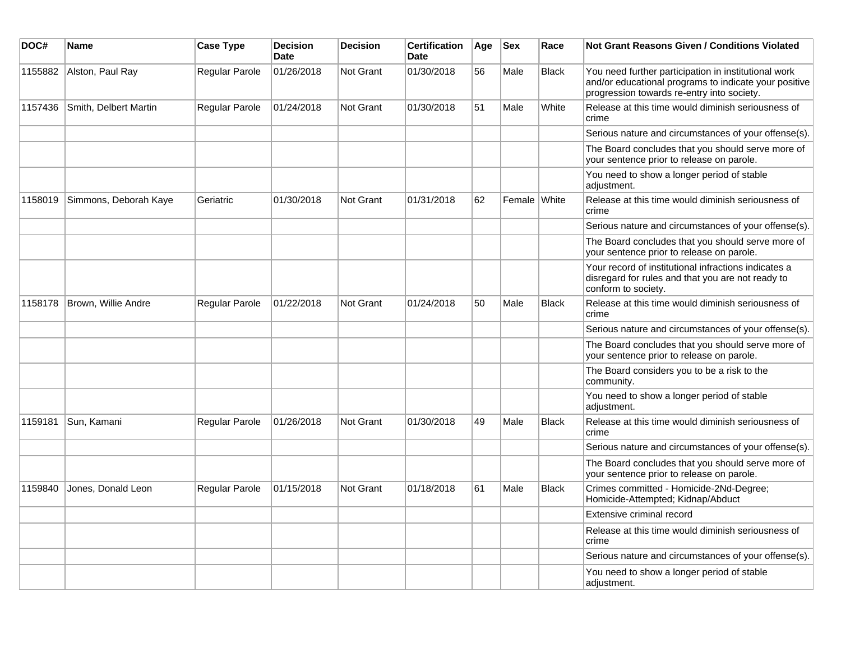| DOC#    | Name                  | <b>Case Type</b> | <b>Decision</b><br>Date | <b>Decision</b> | <b>Certification</b><br><b>Date</b> | Age | <b>Sex</b>   | Race         | Not Grant Reasons Given / Conditions Violated                                                                                                               |
|---------|-----------------------|------------------|-------------------------|-----------------|-------------------------------------|-----|--------------|--------------|-------------------------------------------------------------------------------------------------------------------------------------------------------------|
| 1155882 | Alston, Paul Ray      | Regular Parole   | 01/26/2018              | Not Grant       | 01/30/2018                          | 56  | Male         | <b>Black</b> | You need further participation in institutional work<br>and/or educational programs to indicate your positive<br>progression towards re-entry into society. |
| 1157436 | Smith, Delbert Martin | Regular Parole   | 01/24/2018              | Not Grant       | 01/30/2018                          | 51  | Male         | White        | Release at this time would diminish seriousness of<br>crime                                                                                                 |
|         |                       |                  |                         |                 |                                     |     |              |              | Serious nature and circumstances of your offense(s).                                                                                                        |
|         |                       |                  |                         |                 |                                     |     |              |              | The Board concludes that you should serve more of<br>your sentence prior to release on parole.                                                              |
|         |                       |                  |                         |                 |                                     |     |              |              | You need to show a longer period of stable<br>adjustment.                                                                                                   |
| 1158019 | Simmons, Deborah Kaye | Geriatric        | 01/30/2018              | Not Grant       | 01/31/2018                          | 62  | Female White |              | Release at this time would diminish seriousness of<br>crime                                                                                                 |
|         |                       |                  |                         |                 |                                     |     |              |              | Serious nature and circumstances of your offense(s).                                                                                                        |
|         |                       |                  |                         |                 |                                     |     |              |              | The Board concludes that you should serve more of<br>your sentence prior to release on parole.                                                              |
|         |                       |                  |                         |                 |                                     |     |              |              | Your record of institutional infractions indicates a<br>disregard for rules and that you are not ready to<br>conform to society.                            |
| 1158178 | Brown, Willie Andre   | Regular Parole   | 01/22/2018              | Not Grant       | 01/24/2018                          | 50  | Male         | <b>Black</b> | Release at this time would diminish seriousness of<br>crime                                                                                                 |
|         |                       |                  |                         |                 |                                     |     |              |              | Serious nature and circumstances of your offense(s).                                                                                                        |
|         |                       |                  |                         |                 |                                     |     |              |              | The Board concludes that you should serve more of<br>your sentence prior to release on parole.                                                              |
|         |                       |                  |                         |                 |                                     |     |              |              | The Board considers you to be a risk to the<br>community.                                                                                                   |
|         |                       |                  |                         |                 |                                     |     |              |              | You need to show a longer period of stable<br>adjustment.                                                                                                   |
| 1159181 | Sun, Kamani           | Regular Parole   | 01/26/2018              | Not Grant       | 01/30/2018                          | 49  | Male         | <b>Black</b> | Release at this time would diminish seriousness of<br>crime                                                                                                 |
|         |                       |                  |                         |                 |                                     |     |              |              | Serious nature and circumstances of your offense(s).                                                                                                        |
|         |                       |                  |                         |                 |                                     |     |              |              | The Board concludes that you should serve more of<br>your sentence prior to release on parole.                                                              |
| 1159840 | Jones, Donald Leon    | Regular Parole   | 01/15/2018              | Not Grant       | 01/18/2018                          | 61  | Male         | <b>Black</b> | Crimes committed - Homicide-2Nd-Degree;<br>Homicide-Attempted; Kidnap/Abduct                                                                                |
|         |                       |                  |                         |                 |                                     |     |              |              | Extensive criminal record                                                                                                                                   |
|         |                       |                  |                         |                 |                                     |     |              |              | Release at this time would diminish seriousness of<br>crime                                                                                                 |
|         |                       |                  |                         |                 |                                     |     |              |              | Serious nature and circumstances of your offense(s).                                                                                                        |
|         |                       |                  |                         |                 |                                     |     |              |              | You need to show a longer period of stable<br>adjustment.                                                                                                   |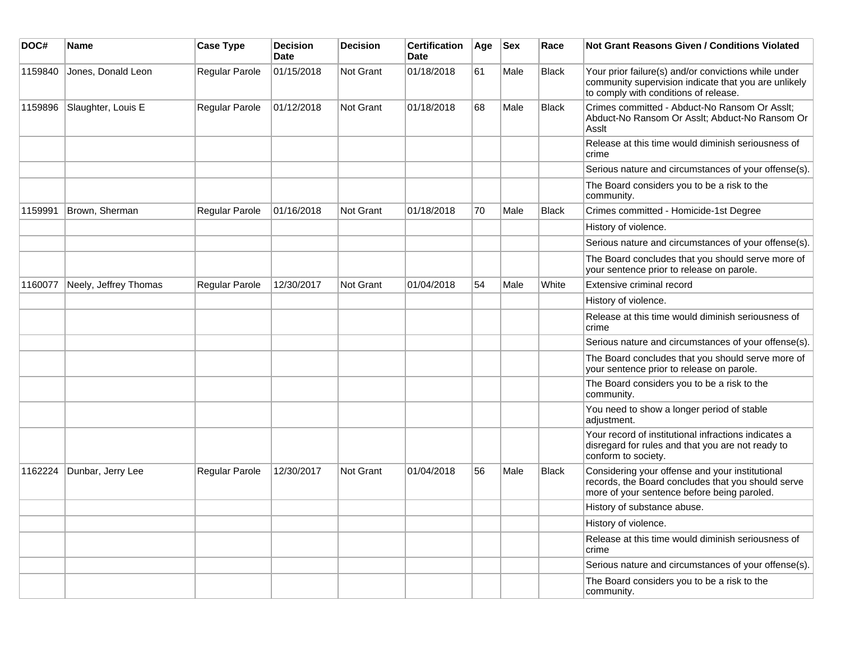| DOC#    | <b>Name</b>           | <b>Case Type</b>      | <b>Decision</b><br><b>Date</b> | <b>Decision</b> | <b>Certification</b><br>Date | Age | <b>Sex</b> | Race         | Not Grant Reasons Given / Conditions Violated                                                                                                         |
|---------|-----------------------|-----------------------|--------------------------------|-----------------|------------------------------|-----|------------|--------------|-------------------------------------------------------------------------------------------------------------------------------------------------------|
| 1159840 | Jones, Donald Leon    | Regular Parole        | 01/15/2018                     | Not Grant       | 01/18/2018                   | 61  | Male       | <b>Black</b> | Your prior failure(s) and/or convictions while under<br>community supervision indicate that you are unlikely<br>to comply with conditions of release. |
| 1159896 | Slaughter, Louis E    | Regular Parole        | 01/12/2018                     | Not Grant       | 01/18/2018                   | 68  | Male       | <b>Black</b> | Crimes committed - Abduct-No Ransom Or Asslt;<br>Abduct-No Ransom Or Asslt; Abduct-No Ransom Or<br>Asslt                                              |
|         |                       |                       |                                |                 |                              |     |            |              | Release at this time would diminish seriousness of<br>crime                                                                                           |
|         |                       |                       |                                |                 |                              |     |            |              | Serious nature and circumstances of your offense(s).                                                                                                  |
|         |                       |                       |                                |                 |                              |     |            |              | The Board considers you to be a risk to the<br>community.                                                                                             |
| 1159991 | Brown, Sherman        | Regular Parole        | 01/16/2018                     | Not Grant       | 01/18/2018                   | 70  | Male       | <b>Black</b> | Crimes committed - Homicide-1st Degree                                                                                                                |
|         |                       |                       |                                |                 |                              |     |            |              | History of violence.                                                                                                                                  |
|         |                       |                       |                                |                 |                              |     |            |              | Serious nature and circumstances of your offense(s).                                                                                                  |
|         |                       |                       |                                |                 |                              |     |            |              | The Board concludes that you should serve more of<br>your sentence prior to release on parole.                                                        |
| 1160077 | Neely, Jeffrey Thomas | <b>Regular Parole</b> | 12/30/2017                     | Not Grant       | 01/04/2018                   | 54  | Male       | White        | Extensive criminal record                                                                                                                             |
|         |                       |                       |                                |                 |                              |     |            |              | History of violence.                                                                                                                                  |
|         |                       |                       |                                |                 |                              |     |            |              | Release at this time would diminish seriousness of<br>crime                                                                                           |
|         |                       |                       |                                |                 |                              |     |            |              | Serious nature and circumstances of your offense(s).                                                                                                  |
|         |                       |                       |                                |                 |                              |     |            |              | The Board concludes that you should serve more of<br>your sentence prior to release on parole.                                                        |
|         |                       |                       |                                |                 |                              |     |            |              | The Board considers you to be a risk to the<br>community.                                                                                             |
|         |                       |                       |                                |                 |                              |     |            |              | You need to show a longer period of stable<br>adjustment.                                                                                             |
|         |                       |                       |                                |                 |                              |     |            |              | Your record of institutional infractions indicates a<br>disregard for rules and that you are not ready to<br>conform to society.                      |
| 1162224 | Dunbar, Jerry Lee     | Regular Parole        | 12/30/2017                     | Not Grant       | 01/04/2018                   | 56  | Male       | Black        | Considering your offense and your institutional<br>records, the Board concludes that you should serve<br>more of your sentence before being paroled.  |
|         |                       |                       |                                |                 |                              |     |            |              | History of substance abuse.                                                                                                                           |
|         |                       |                       |                                |                 |                              |     |            |              | History of violence.                                                                                                                                  |
|         |                       |                       |                                |                 |                              |     |            |              | Release at this time would diminish seriousness of<br>crime                                                                                           |
|         |                       |                       |                                |                 |                              |     |            |              | Serious nature and circumstances of your offense(s).                                                                                                  |
|         |                       |                       |                                |                 |                              |     |            |              | The Board considers you to be a risk to the<br>community.                                                                                             |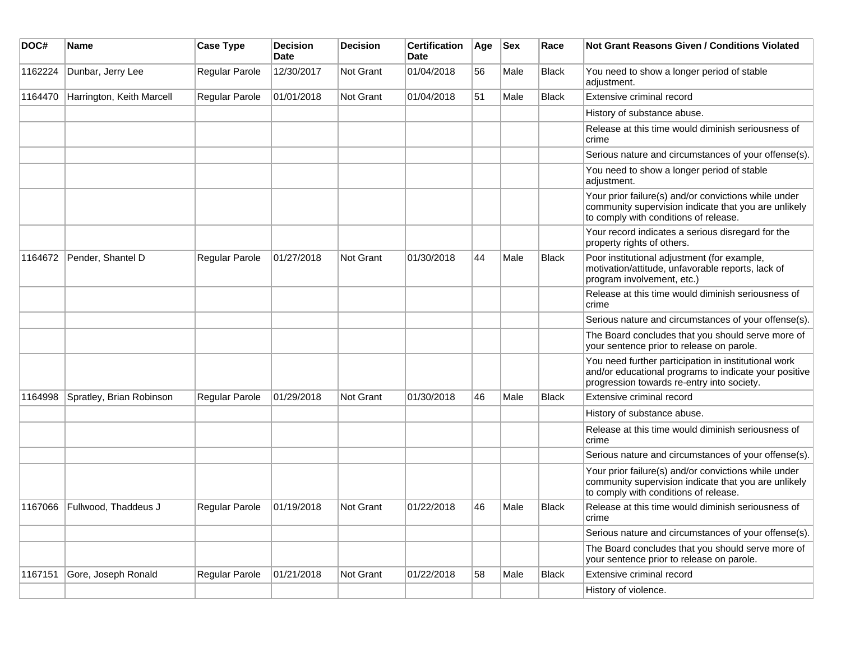| DOC#    | Name                         | <b>Case Type</b> | <b>Decision</b><br><b>Date</b> | <b>Decision</b> | <b>Certification</b><br>Date | Age | <b>Sex</b> | Race         | Not Grant Reasons Given / Conditions Violated                                                                                                               |
|---------|------------------------------|------------------|--------------------------------|-----------------|------------------------------|-----|------------|--------------|-------------------------------------------------------------------------------------------------------------------------------------------------------------|
| 1162224 | Dunbar, Jerry Lee            | Regular Parole   | 12/30/2017                     | Not Grant       | 01/04/2018                   | 56  | Male       | <b>Black</b> | You need to show a longer period of stable<br>adjustment.                                                                                                   |
| 1164470 | Harrington, Keith Marcell    | Regular Parole   | 01/01/2018                     | Not Grant       | 01/04/2018                   | 51  | Male       | Black        | Extensive criminal record                                                                                                                                   |
|         |                              |                  |                                |                 |                              |     |            |              | History of substance abuse.                                                                                                                                 |
|         |                              |                  |                                |                 |                              |     |            |              | Release at this time would diminish seriousness of<br>crime                                                                                                 |
|         |                              |                  |                                |                 |                              |     |            |              | Serious nature and circumstances of your offense(s).                                                                                                        |
|         |                              |                  |                                |                 |                              |     |            |              | You need to show a longer period of stable<br>adjustment.                                                                                                   |
|         |                              |                  |                                |                 |                              |     |            |              | Your prior failure(s) and/or convictions while under<br>community supervision indicate that you are unlikely<br>to comply with conditions of release.       |
|         |                              |                  |                                |                 |                              |     |            |              | Your record indicates a serious disregard for the<br>property rights of others.                                                                             |
| 1164672 | Pender, Shantel D            | Regular Parole   | 01/27/2018                     | Not Grant       | 01/30/2018                   | 44  | Male       | <b>Black</b> | Poor institutional adjustment (for example,<br>motivation/attitude, unfavorable reports, lack of<br>program involvement, etc.)                              |
|         |                              |                  |                                |                 |                              |     |            |              | Release at this time would diminish seriousness of<br>crime                                                                                                 |
|         |                              |                  |                                |                 |                              |     |            |              | Serious nature and circumstances of your offense(s).                                                                                                        |
|         |                              |                  |                                |                 |                              |     |            |              | The Board concludes that you should serve more of<br>your sentence prior to release on parole.                                                              |
|         |                              |                  |                                |                 |                              |     |            |              | You need further participation in institutional work<br>and/or educational programs to indicate your positive<br>progression towards re-entry into society. |
| 1164998 | Spratley, Brian Robinson     | Regular Parole   | 01/29/2018                     | Not Grant       | 01/30/2018                   | 46  | Male       | <b>Black</b> | Extensive criminal record                                                                                                                                   |
|         |                              |                  |                                |                 |                              |     |            |              | History of substance abuse.                                                                                                                                 |
|         |                              |                  |                                |                 |                              |     |            |              | Release at this time would diminish seriousness of<br>crime                                                                                                 |
|         |                              |                  |                                |                 |                              |     |            |              | Serious nature and circumstances of your offense(s).                                                                                                        |
|         |                              |                  |                                |                 |                              |     |            |              | Your prior failure(s) and/or convictions while under<br>community supervision indicate that you are unlikely<br>to comply with conditions of release.       |
|         | 1167066 Fullwood, Thaddeus J | Regular Parole   | 01/19/2018                     | Not Grant       | 01/22/2018                   | 46  | Male       | <b>Black</b> | Release at this time would diminish seriousness of<br>crime                                                                                                 |
|         |                              |                  |                                |                 |                              |     |            |              | Serious nature and circumstances of your offense(s).                                                                                                        |
|         |                              |                  |                                |                 |                              |     |            |              | The Board concludes that you should serve more of<br>your sentence prior to release on parole.                                                              |
| 1167151 | Gore, Joseph Ronald          | Regular Parole   | 01/21/2018                     | Not Grant       | 01/22/2018                   | 58  | Male       | <b>Black</b> | Extensive criminal record                                                                                                                                   |
|         |                              |                  |                                |                 |                              |     |            |              | History of violence.                                                                                                                                        |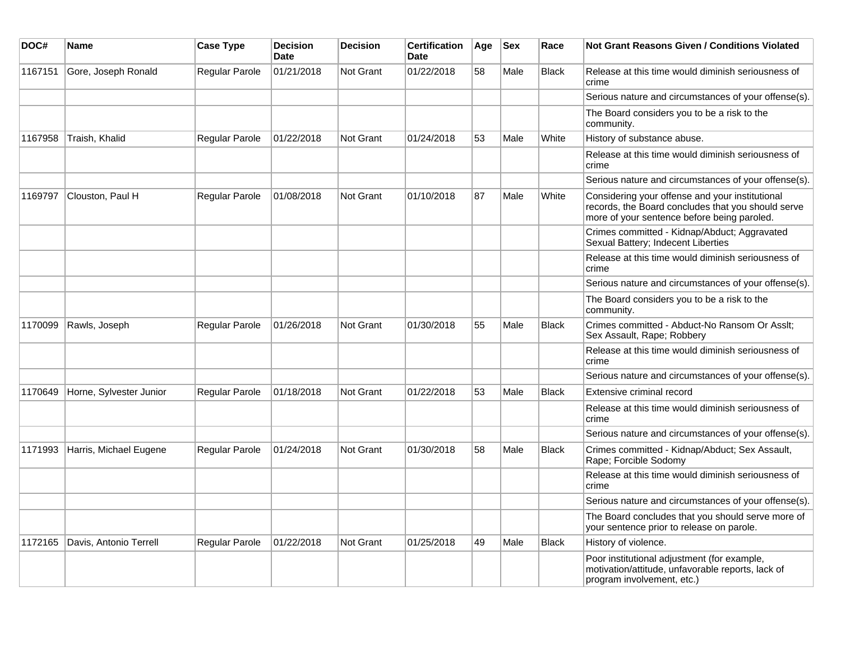| DOC#    | Name                    | <b>Case Type</b>      | <b>Decision</b><br><b>Date</b> | <b>Decision</b>  | <b>Certification</b><br><b>Date</b> | Age | <b>Sex</b> | Race         | Not Grant Reasons Given / Conditions Violated                                                                                                        |
|---------|-------------------------|-----------------------|--------------------------------|------------------|-------------------------------------|-----|------------|--------------|------------------------------------------------------------------------------------------------------------------------------------------------------|
| 1167151 | Gore, Joseph Ronald     | Regular Parole        | 01/21/2018                     | <b>Not Grant</b> | 01/22/2018                          | 58  | Male       | <b>Black</b> | Release at this time would diminish seriousness of<br>crime                                                                                          |
|         |                         |                       |                                |                  |                                     |     |            |              | Serious nature and circumstances of your offense(s).                                                                                                 |
|         |                         |                       |                                |                  |                                     |     |            |              | The Board considers you to be a risk to the<br>community.                                                                                            |
| 1167958 | Traish, Khalid          | Regular Parole        | 01/22/2018                     | <b>Not Grant</b> | 01/24/2018                          | 53  | Male       | White        | History of substance abuse.                                                                                                                          |
|         |                         |                       |                                |                  |                                     |     |            |              | Release at this time would diminish seriousness of<br>crime                                                                                          |
|         |                         |                       |                                |                  |                                     |     |            |              | Serious nature and circumstances of your offense(s).                                                                                                 |
| 1169797 | Clouston, Paul H        | Regular Parole        | 01/08/2018                     | <b>Not Grant</b> | 01/10/2018                          | 87  | Male       | White        | Considering your offense and your institutional<br>records, the Board concludes that you should serve<br>more of your sentence before being paroled. |
|         |                         |                       |                                |                  |                                     |     |            |              | Crimes committed - Kidnap/Abduct; Aggravated<br>Sexual Battery; Indecent Liberties                                                                   |
|         |                         |                       |                                |                  |                                     |     |            |              | Release at this time would diminish seriousness of<br>crime                                                                                          |
|         |                         |                       |                                |                  |                                     |     |            |              | Serious nature and circumstances of your offense(s).                                                                                                 |
|         |                         |                       |                                |                  |                                     |     |            |              | The Board considers you to be a risk to the<br>community.                                                                                            |
| 1170099 | Rawls, Joseph           | Regular Parole        | 01/26/2018                     | <b>Not Grant</b> | 01/30/2018                          | 55  | Male       | Black        | Crimes committed - Abduct-No Ransom Or Asslt;<br>Sex Assault, Rape; Robbery                                                                          |
|         |                         |                       |                                |                  |                                     |     |            |              | Release at this time would diminish seriousness of<br>crime                                                                                          |
|         |                         |                       |                                |                  |                                     |     |            |              | Serious nature and circumstances of your offense(s).                                                                                                 |
| 1170649 | Horne, Sylvester Junior | Regular Parole        | 01/18/2018                     | <b>Not Grant</b> | 01/22/2018                          | 53  | Male       | <b>Black</b> | Extensive criminal record                                                                                                                            |
|         |                         |                       |                                |                  |                                     |     |            |              | Release at this time would diminish seriousness of<br>crime                                                                                          |
|         |                         |                       |                                |                  |                                     |     |            |              | Serious nature and circumstances of your offense(s).                                                                                                 |
| 1171993 | Harris, Michael Eugene  | Regular Parole        | 01/24/2018                     | <b>Not Grant</b> | 01/30/2018                          | 58  | Male       | Black        | Crimes committed - Kidnap/Abduct; Sex Assault,<br>Rape; Forcible Sodomy                                                                              |
|         |                         |                       |                                |                  |                                     |     |            |              | Release at this time would diminish seriousness of<br>crime                                                                                          |
|         |                         |                       |                                |                  |                                     |     |            |              | Serious nature and circumstances of your offense(s).                                                                                                 |
|         |                         |                       |                                |                  |                                     |     |            |              | The Board concludes that you should serve more of<br>your sentence prior to release on parole.                                                       |
| 1172165 | Davis, Antonio Terrell  | <b>Regular Parole</b> | 01/22/2018                     | Not Grant        | 01/25/2018                          | 49  | Male       | <b>Black</b> | History of violence.                                                                                                                                 |
|         |                         |                       |                                |                  |                                     |     |            |              | Poor institutional adjustment (for example,<br>motivation/attitude, unfavorable reports, lack of<br>program involvement, etc.)                       |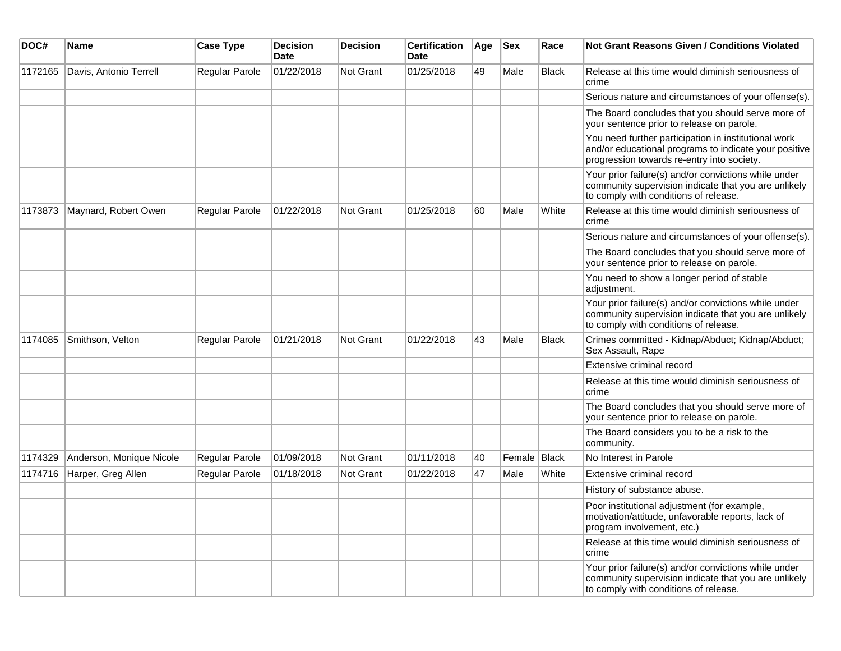| DOC#    | <b>Name</b>              | <b>Case Type</b>      | <b>Decision</b><br>Date | <b>Decision</b> | <b>Certification</b><br>Date | Age | <b>Sex</b>     | Race         | Not Grant Reasons Given / Conditions Violated                                                                                                               |
|---------|--------------------------|-----------------------|-------------------------|-----------------|------------------------------|-----|----------------|--------------|-------------------------------------------------------------------------------------------------------------------------------------------------------------|
| 1172165 | Davis, Antonio Terrell   | Regular Parole        | 01/22/2018              | Not Grant       | 01/25/2018                   | 49  | Male           | <b>Black</b> | Release at this time would diminish seriousness of<br>crime                                                                                                 |
|         |                          |                       |                         |                 |                              |     |                |              | Serious nature and circumstances of your offense(s).                                                                                                        |
|         |                          |                       |                         |                 |                              |     |                |              | The Board concludes that you should serve more of<br>your sentence prior to release on parole.                                                              |
|         |                          |                       |                         |                 |                              |     |                |              | You need further participation in institutional work<br>and/or educational programs to indicate your positive<br>progression towards re-entry into society. |
|         |                          |                       |                         |                 |                              |     |                |              | Your prior failure(s) and/or convictions while under<br>community supervision indicate that you are unlikely<br>to comply with conditions of release.       |
| 1173873 | Maynard, Robert Owen     | Regular Parole        | 01/22/2018              | Not Grant       | 01/25/2018                   | 60  | Male           | White        | Release at this time would diminish seriousness of<br>crime                                                                                                 |
|         |                          |                       |                         |                 |                              |     |                |              | Serious nature and circumstances of your offense(s).                                                                                                        |
|         |                          |                       |                         |                 |                              |     |                |              | The Board concludes that you should serve more of<br>your sentence prior to release on parole.                                                              |
|         |                          |                       |                         |                 |                              |     |                |              | You need to show a longer period of stable<br>adjustment.                                                                                                   |
|         |                          |                       |                         |                 |                              |     |                |              | Your prior failure(s) and/or convictions while under<br>community supervision indicate that you are unlikely<br>to comply with conditions of release.       |
| 1174085 | Smithson, Velton         | Regular Parole        | 01/21/2018              | Not Grant       | 01/22/2018                   | 43  | Male           | <b>Black</b> | Crimes committed - Kidnap/Abduct; Kidnap/Abduct;<br>Sex Assault, Rape                                                                                       |
|         |                          |                       |                         |                 |                              |     |                |              | Extensive criminal record                                                                                                                                   |
|         |                          |                       |                         |                 |                              |     |                |              | Release at this time would diminish seriousness of<br>crime                                                                                                 |
|         |                          |                       |                         |                 |                              |     |                |              | The Board concludes that you should serve more of<br>your sentence prior to release on parole.                                                              |
|         |                          |                       |                         |                 |                              |     |                |              | The Board considers you to be a risk to the<br>community.                                                                                                   |
| 1174329 | Anderson, Monique Nicole | <b>Regular Parole</b> | 01/09/2018              | Not Grant       | 01/11/2018                   | 40  | Female   Black |              | No Interest in Parole                                                                                                                                       |
| 1174716 | Harper, Greg Allen       | Regular Parole        | 01/18/2018              | Not Grant       | 01/22/2018                   | 47  | Male           | White        | Extensive criminal record                                                                                                                                   |
|         |                          |                       |                         |                 |                              |     |                |              | History of substance abuse.                                                                                                                                 |
|         |                          |                       |                         |                 |                              |     |                |              | Poor institutional adjustment (for example,<br>motivation/attitude, unfavorable reports, lack of<br>program involvement, etc.)                              |
|         |                          |                       |                         |                 |                              |     |                |              | Release at this time would diminish seriousness of<br>crime                                                                                                 |
|         |                          |                       |                         |                 |                              |     |                |              | Your prior failure(s) and/or convictions while under<br>community supervision indicate that you are unlikely<br>to comply with conditions of release.       |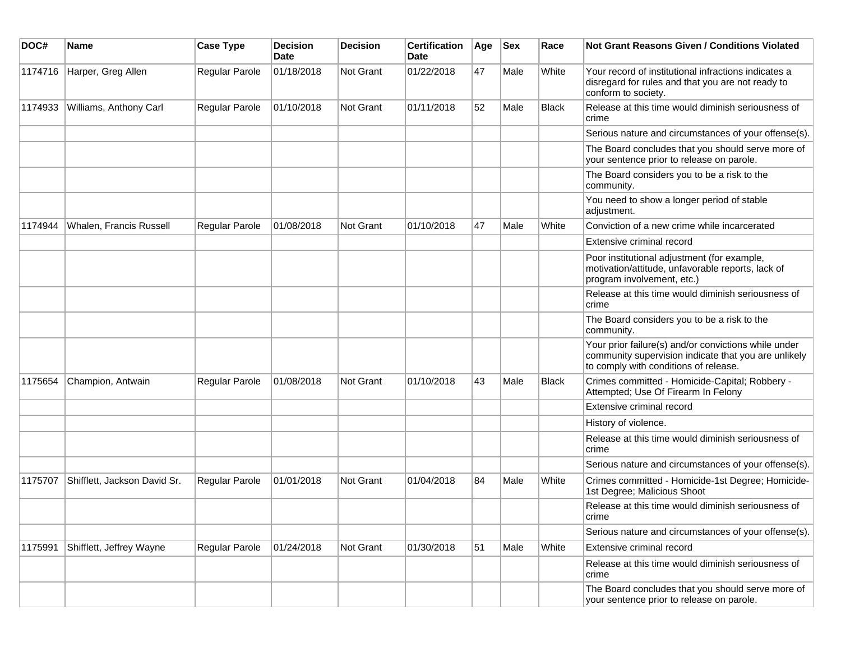| DOC#    | <b>Name</b>                  | <b>Case Type</b> | <b>Decision</b><br><b>Date</b> | <b>Decision</b> | <b>Certification</b><br>Date | Age | <b>Sex</b> | Race         | Not Grant Reasons Given / Conditions Violated                                                                                                         |
|---------|------------------------------|------------------|--------------------------------|-----------------|------------------------------|-----|------------|--------------|-------------------------------------------------------------------------------------------------------------------------------------------------------|
| 1174716 | Harper, Greg Allen           | Regular Parole   | 01/18/2018                     | Not Grant       | 01/22/2018                   | 47  | Male       | White        | Your record of institutional infractions indicates a<br>disregard for rules and that you are not ready to<br>conform to society.                      |
| 1174933 | Williams, Anthony Carl       | Regular Parole   | 01/10/2018                     | Not Grant       | 01/11/2018                   | 52  | Male       | Black        | Release at this time would diminish seriousness of<br>crime                                                                                           |
|         |                              |                  |                                |                 |                              |     |            |              | Serious nature and circumstances of your offense(s).                                                                                                  |
|         |                              |                  |                                |                 |                              |     |            |              | The Board concludes that you should serve more of<br>your sentence prior to release on parole.                                                        |
|         |                              |                  |                                |                 |                              |     |            |              | The Board considers you to be a risk to the<br>community.                                                                                             |
|         |                              |                  |                                |                 |                              |     |            |              | You need to show a longer period of stable<br>adjustment.                                                                                             |
| 1174944 | Whalen, Francis Russell      | Regular Parole   | 01/08/2018                     | Not Grant       | 01/10/2018                   | 47  | Male       | White        | Conviction of a new crime while incarcerated                                                                                                          |
|         |                              |                  |                                |                 |                              |     |            |              | Extensive criminal record                                                                                                                             |
|         |                              |                  |                                |                 |                              |     |            |              | Poor institutional adjustment (for example,<br>motivation/attitude, unfavorable reports, lack of<br>program involvement, etc.)                        |
|         |                              |                  |                                |                 |                              |     |            |              | Release at this time would diminish seriousness of<br>crime                                                                                           |
|         |                              |                  |                                |                 |                              |     |            |              | The Board considers you to be a risk to the<br>community.                                                                                             |
|         |                              |                  |                                |                 |                              |     |            |              | Your prior failure(s) and/or convictions while under<br>community supervision indicate that you are unlikely<br>to comply with conditions of release. |
| 1175654 | Champion, Antwain            | Regular Parole   | 01/08/2018                     | Not Grant       | 01/10/2018                   | 43  | Male       | <b>Black</b> | Crimes committed - Homicide-Capital; Robbery -<br>Attempted; Use Of Firearm In Felony                                                                 |
|         |                              |                  |                                |                 |                              |     |            |              | Extensive criminal record                                                                                                                             |
|         |                              |                  |                                |                 |                              |     |            |              | History of violence.                                                                                                                                  |
|         |                              |                  |                                |                 |                              |     |            |              | Release at this time would diminish seriousness of<br>crime                                                                                           |
|         |                              |                  |                                |                 |                              |     |            |              | Serious nature and circumstances of your offense(s).                                                                                                  |
| 1175707 | Shifflett, Jackson David Sr. | Regular Parole   | 01/01/2018                     | Not Grant       | 01/04/2018                   | 84  | Male       | White        | Crimes committed - Homicide-1st Degree; Homicide-<br>1st Degree; Malicious Shoot                                                                      |
|         |                              |                  |                                |                 |                              |     |            |              | Release at this time would diminish seriousness of<br>crime                                                                                           |
|         |                              |                  |                                |                 |                              |     |            |              | Serious nature and circumstances of your offense(s).                                                                                                  |
| 1175991 | Shifflett, Jeffrey Wayne     | Regular Parole   | 01/24/2018                     | Not Grant       | 01/30/2018                   | 51  | Male       | White        | Extensive criminal record                                                                                                                             |
|         |                              |                  |                                |                 |                              |     |            |              | Release at this time would diminish seriousness of<br>crime                                                                                           |
|         |                              |                  |                                |                 |                              |     |            |              | The Board concludes that you should serve more of<br>your sentence prior to release on parole.                                                        |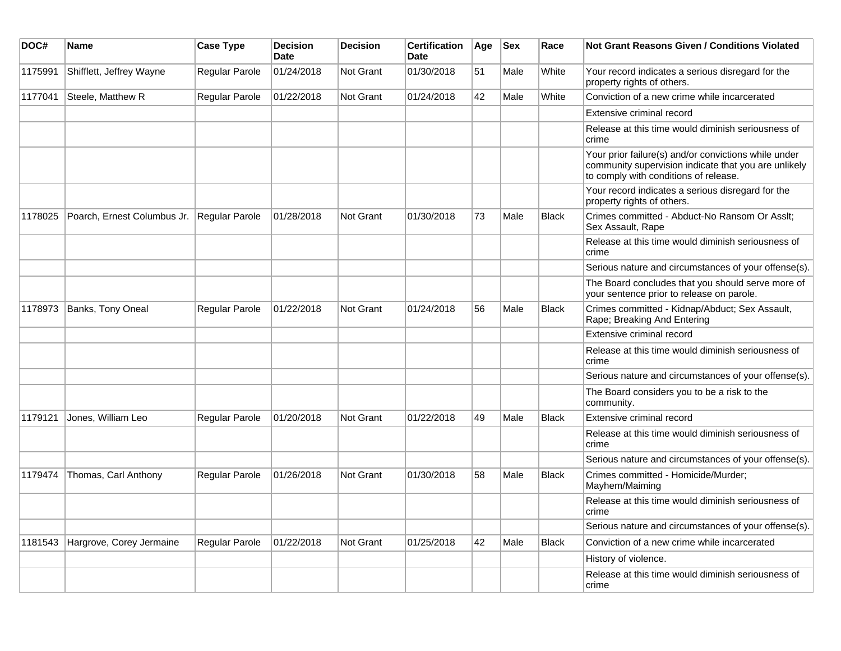| DOC#    | <b>Name</b>                                | <b>Case Type</b>      | <b>Decision</b><br><b>Date</b> | <b>Decision</b>  | <b>Certification</b><br><b>Date</b> | Age | <b>Sex</b> | Race         | <b>Not Grant Reasons Given / Conditions Violated</b>                                                                                                  |
|---------|--------------------------------------------|-----------------------|--------------------------------|------------------|-------------------------------------|-----|------------|--------------|-------------------------------------------------------------------------------------------------------------------------------------------------------|
| 1175991 | Shifflett, Jeffrey Wayne                   | Regular Parole        | 01/24/2018                     | Not Grant        | 01/30/2018                          | 51  | Male       | White        | Your record indicates a serious disregard for the<br>property rights of others.                                                                       |
| 1177041 | Steele, Matthew R                          | Regular Parole        | 01/22/2018                     | <b>Not Grant</b> | 01/24/2018                          | 42  | Male       | White        | Conviction of a new crime while incarcerated                                                                                                          |
|         |                                            |                       |                                |                  |                                     |     |            |              | Extensive criminal record                                                                                                                             |
|         |                                            |                       |                                |                  |                                     |     |            |              | Release at this time would diminish seriousness of<br>crime                                                                                           |
|         |                                            |                       |                                |                  |                                     |     |            |              | Your prior failure(s) and/or convictions while under<br>community supervision indicate that you are unlikely<br>to comply with conditions of release. |
|         |                                            |                       |                                |                  |                                     |     |            |              | Your record indicates a serious disregard for the<br>property rights of others.                                                                       |
| 1178025 | Poarch, Ernest Columbus Jr. Regular Parole |                       | 01/28/2018                     | Not Grant        | 01/30/2018                          | 73  | Male       | <b>Black</b> | Crimes committed - Abduct-No Ransom Or Asslt;<br>Sex Assault, Rape                                                                                    |
|         |                                            |                       |                                |                  |                                     |     |            |              | Release at this time would diminish seriousness of<br>crime                                                                                           |
|         |                                            |                       |                                |                  |                                     |     |            |              | Serious nature and circumstances of your offense(s).                                                                                                  |
|         |                                            |                       |                                |                  |                                     |     |            |              | The Board concludes that you should serve more of<br>your sentence prior to release on parole.                                                        |
| 1178973 | Banks, Tony Oneal                          | Regular Parole        | 01/22/2018                     | <b>Not Grant</b> | 01/24/2018                          | 56  | Male       | <b>Black</b> | Crimes committed - Kidnap/Abduct; Sex Assault,<br>Rape; Breaking And Entering                                                                         |
|         |                                            |                       |                                |                  |                                     |     |            |              | Extensive criminal record                                                                                                                             |
|         |                                            |                       |                                |                  |                                     |     |            |              | Release at this time would diminish seriousness of<br>crime                                                                                           |
|         |                                            |                       |                                |                  |                                     |     |            |              | Serious nature and circumstances of your offense(s).                                                                                                  |
|         |                                            |                       |                                |                  |                                     |     |            |              | The Board considers you to be a risk to the<br>community.                                                                                             |
| 1179121 | Jones, William Leo                         | Regular Parole        | 01/20/2018                     | <b>Not Grant</b> | 01/22/2018                          | 49  | Male       | <b>Black</b> | Extensive criminal record                                                                                                                             |
|         |                                            |                       |                                |                  |                                     |     |            |              | Release at this time would diminish seriousness of<br>crime                                                                                           |
|         |                                            |                       |                                |                  |                                     |     |            |              | Serious nature and circumstances of your offense(s).                                                                                                  |
| 1179474 | Thomas, Carl Anthony                       | <b>Regular Parole</b> | 01/26/2018                     | Not Grant        | 01/30/2018                          | 58  | Male       | <b>Black</b> | Crimes committed - Homicide/Murder;<br>Mayhem/Maiming                                                                                                 |
|         |                                            |                       |                                |                  |                                     |     |            |              | Release at this time would diminish seriousness of<br>crime                                                                                           |
|         |                                            |                       |                                |                  |                                     |     |            |              | Serious nature and circumstances of your offense(s).                                                                                                  |
| 1181543 | Hargrove, Corey Jermaine                   | Regular Parole        | 01/22/2018                     | Not Grant        | 01/25/2018                          | 42  | Male       | <b>Black</b> | Conviction of a new crime while incarcerated                                                                                                          |
|         |                                            |                       |                                |                  |                                     |     |            |              | History of violence.                                                                                                                                  |
|         |                                            |                       |                                |                  |                                     |     |            |              | Release at this time would diminish seriousness of<br>crime                                                                                           |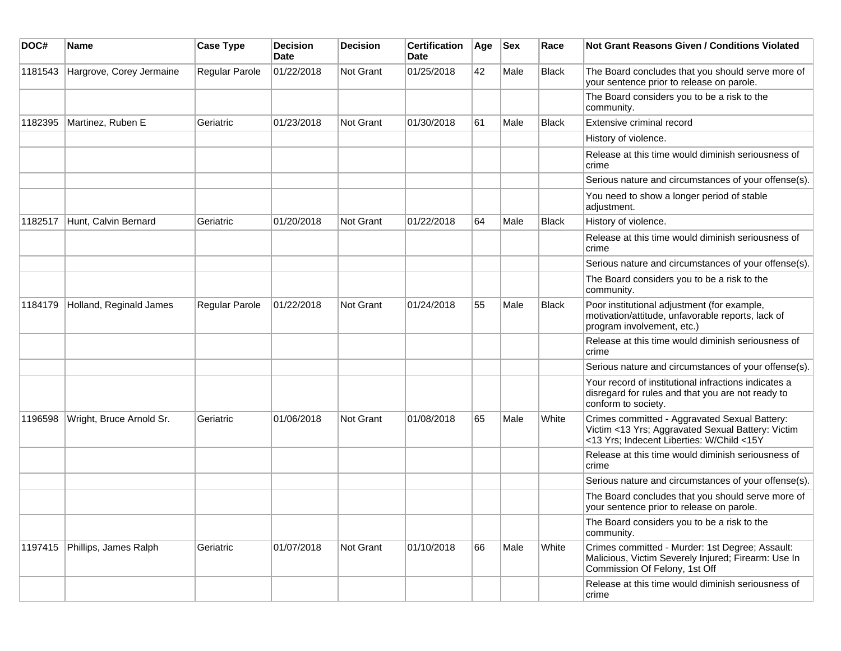| DOC#    | <b>Name</b>              | <b>Case Type</b> | <b>Decision</b><br><b>Date</b> | <b>Decision</b> | <b>Certification</b><br>Date | Age | <b>Sex</b> | Race         | <b>Not Grant Reasons Given / Conditions Violated</b>                                                                                            |
|---------|--------------------------|------------------|--------------------------------|-----------------|------------------------------|-----|------------|--------------|-------------------------------------------------------------------------------------------------------------------------------------------------|
| 1181543 | Hargrove, Corey Jermaine | Regular Parole   | 01/22/2018                     | Not Grant       | 01/25/2018                   | 42  | Male       | <b>Black</b> | The Board concludes that you should serve more of<br>your sentence prior to release on parole.                                                  |
|         |                          |                  |                                |                 |                              |     |            |              | The Board considers you to be a risk to the<br>community.                                                                                       |
| 1182395 | Martinez, Ruben E        | Geriatric        | 01/23/2018                     | Not Grant       | 01/30/2018                   | 61  | Male       | Black        | Extensive criminal record                                                                                                                       |
|         |                          |                  |                                |                 |                              |     |            |              | History of violence.                                                                                                                            |
|         |                          |                  |                                |                 |                              |     |            |              | Release at this time would diminish seriousness of<br>crime                                                                                     |
|         |                          |                  |                                |                 |                              |     |            |              | Serious nature and circumstances of your offense(s).                                                                                            |
|         |                          |                  |                                |                 |                              |     |            |              | You need to show a longer period of stable<br>adjustment.                                                                                       |
| 1182517 | Hunt, Calvin Bernard     | Geriatric        | 01/20/2018                     | Not Grant       | 01/22/2018                   | 64  | Male       | <b>Black</b> | History of violence.                                                                                                                            |
|         |                          |                  |                                |                 |                              |     |            |              | Release at this time would diminish seriousness of<br>crime                                                                                     |
|         |                          |                  |                                |                 |                              |     |            |              | Serious nature and circumstances of your offense(s).                                                                                            |
|         |                          |                  |                                |                 |                              |     |            |              | The Board considers you to be a risk to the<br>community.                                                                                       |
| 1184179 | Holland, Reginald James  | Regular Parole   | 01/22/2018                     | Not Grant       | 01/24/2018                   | 55  | Male       | Black        | Poor institutional adjustment (for example,<br>motivation/attitude, unfavorable reports, lack of<br>program involvement, etc.)                  |
|         |                          |                  |                                |                 |                              |     |            |              | Release at this time would diminish seriousness of<br>crime                                                                                     |
|         |                          |                  |                                |                 |                              |     |            |              | Serious nature and circumstances of your offense(s).                                                                                            |
|         |                          |                  |                                |                 |                              |     |            |              | Your record of institutional infractions indicates a<br>disregard for rules and that you are not ready to<br>conform to society.                |
| 1196598 | Wright, Bruce Arnold Sr. | Geriatric        | 01/06/2018                     | Not Grant       | 01/08/2018                   | 65  | Male       | White        | Crimes committed - Aggravated Sexual Battery:<br>Victim <13 Yrs; Aggravated Sexual Battery: Victim<br><13 Yrs; Indecent Liberties: W/Child <15Y |
|         |                          |                  |                                |                 |                              |     |            |              | Release at this time would diminish seriousness of<br>crime                                                                                     |
|         |                          |                  |                                |                 |                              |     |            |              | Serious nature and circumstances of your offense(s).                                                                                            |
|         |                          |                  |                                |                 |                              |     |            |              | The Board concludes that you should serve more of<br>your sentence prior to release on parole.                                                  |
|         |                          |                  |                                |                 |                              |     |            |              | The Board considers you to be a risk to the<br>community.                                                                                       |
| 1197415 | Phillips, James Ralph    | Geriatric        | 01/07/2018                     | Not Grant       | 01/10/2018                   | 66  | Male       | White        | Crimes committed - Murder: 1st Degree; Assault:<br>Malicious, Victim Severely Injured; Firearm: Use In<br>Commission Of Felony, 1st Off         |
|         |                          |                  |                                |                 |                              |     |            |              | Release at this time would diminish seriousness of<br>crime                                                                                     |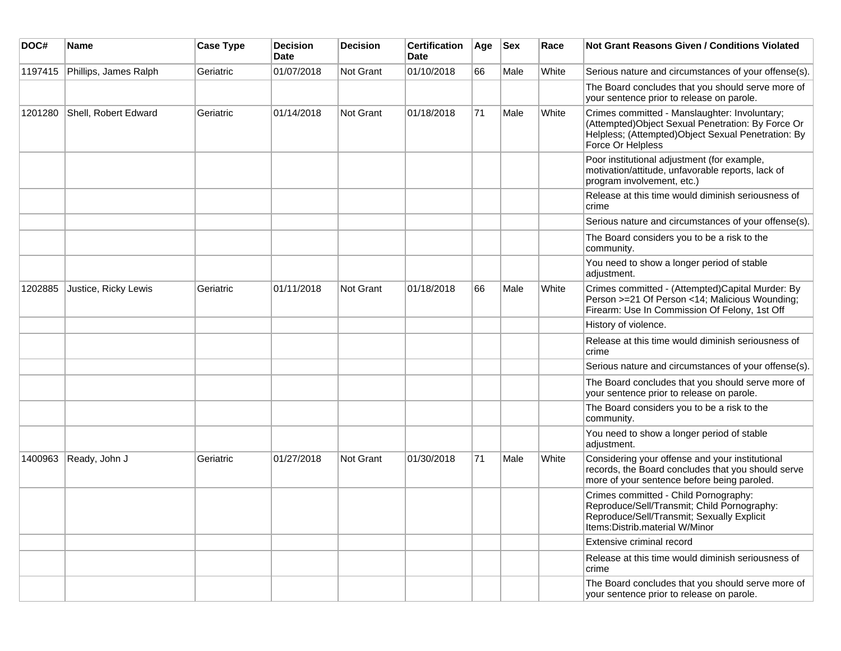| DOC#    | <b>Name</b>           | <b>Case Type</b> | <b>Decision</b><br><b>Date</b> | <b>Decision</b>  | <b>Certification</b><br><b>Date</b> | Age | <b>Sex</b> | Race  | <b>Not Grant Reasons Given / Conditions Violated</b>                                                                                                                           |
|---------|-----------------------|------------------|--------------------------------|------------------|-------------------------------------|-----|------------|-------|--------------------------------------------------------------------------------------------------------------------------------------------------------------------------------|
| 1197415 | Phillips, James Ralph | Geriatric        | 01/07/2018                     | <b>Not Grant</b> | 01/10/2018                          | 66  | Male       | White | Serious nature and circumstances of your offense(s).                                                                                                                           |
|         |                       |                  |                                |                  |                                     |     |            |       | The Board concludes that you should serve more of<br>your sentence prior to release on parole.                                                                                 |
| 1201280 | Shell, Robert Edward  | Geriatric        | 01/14/2018                     | <b>Not Grant</b> | 01/18/2018                          | 71  | Male       | White | Crimes committed - Manslaughter: Involuntary;<br>(Attempted) Object Sexual Penetration: By Force Or<br>Helpless; (Attempted)Object Sexual Penetration: By<br>Force Or Helpless |
|         |                       |                  |                                |                  |                                     |     |            |       | Poor institutional adjustment (for example,<br>motivation/attitude, unfavorable reports, lack of<br>program involvement, etc.)                                                 |
|         |                       |                  |                                |                  |                                     |     |            |       | Release at this time would diminish seriousness of<br>crime                                                                                                                    |
|         |                       |                  |                                |                  |                                     |     |            |       | Serious nature and circumstances of your offense(s).                                                                                                                           |
|         |                       |                  |                                |                  |                                     |     |            |       | The Board considers you to be a risk to the<br>community.                                                                                                                      |
|         |                       |                  |                                |                  |                                     |     |            |       | You need to show a longer period of stable<br>adjustment.                                                                                                                      |
| 1202885 | Justice, Ricky Lewis  | Geriatric        | 01/11/2018                     | Not Grant        | 01/18/2018                          | 66  | Male       | White | Crimes committed - (Attempted)Capital Murder: By<br>Person >=21 Of Person <14; Malicious Wounding;<br>Firearm: Use In Commission Of Felony, 1st Off                            |
|         |                       |                  |                                |                  |                                     |     |            |       | History of violence.                                                                                                                                                           |
|         |                       |                  |                                |                  |                                     |     |            |       | Release at this time would diminish seriousness of<br>crime                                                                                                                    |
|         |                       |                  |                                |                  |                                     |     |            |       | Serious nature and circumstances of your offense(s).                                                                                                                           |
|         |                       |                  |                                |                  |                                     |     |            |       | The Board concludes that you should serve more of<br>your sentence prior to release on parole.                                                                                 |
|         |                       |                  |                                |                  |                                     |     |            |       | The Board considers you to be a risk to the<br>community.                                                                                                                      |
|         |                       |                  |                                |                  |                                     |     |            |       | You need to show a longer period of stable<br>adjustment.                                                                                                                      |
| 1400963 | Ready, John J         | Geriatric        | 01/27/2018                     | Not Grant        | 01/30/2018                          | 71  | Male       | White | Considering your offense and your institutional<br>records, the Board concludes that you should serve<br>more of your sentence before being paroled.                           |
|         |                       |                  |                                |                  |                                     |     |            |       | Crimes committed - Child Pornography:<br>Reproduce/Sell/Transmit; Child Pornography:<br>Reproduce/Sell/Transmit; Sexually Explicit<br>Items: Distrib. material W/Minor         |
|         |                       |                  |                                |                  |                                     |     |            |       | Extensive criminal record                                                                                                                                                      |
|         |                       |                  |                                |                  |                                     |     |            |       | Release at this time would diminish seriousness of<br>crime                                                                                                                    |
|         |                       |                  |                                |                  |                                     |     |            |       | The Board concludes that you should serve more of<br>your sentence prior to release on parole.                                                                                 |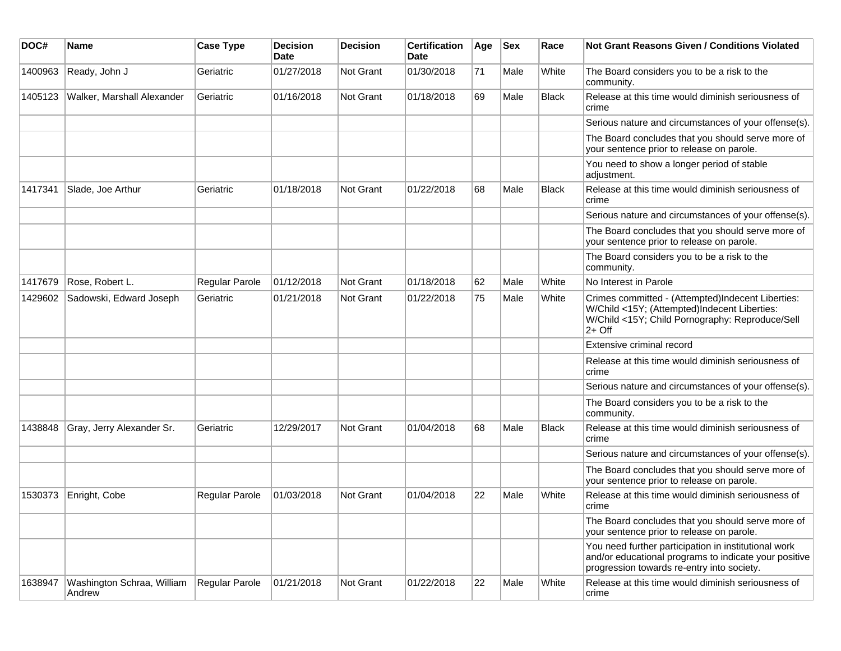| DOC#    | <b>Name</b>                          | <b>Case Type</b>      | <b>Decision</b><br>Date | <b>Decision</b> | <b>Certification</b><br><b>Date</b> | Age | <b>Sex</b> | Race         | Not Grant Reasons Given / Conditions Violated                                                                                                                    |
|---------|--------------------------------------|-----------------------|-------------------------|-----------------|-------------------------------------|-----|------------|--------------|------------------------------------------------------------------------------------------------------------------------------------------------------------------|
| 1400963 | Ready, John J                        | Geriatric             | 01/27/2018              | Not Grant       | 01/30/2018                          | 71  | Male       | White        | The Board considers you to be a risk to the<br>community.                                                                                                        |
| 1405123 | Walker, Marshall Alexander           | Geriatric             | 01/16/2018              | Not Grant       | 01/18/2018                          | 69  | Male       | <b>Black</b> | Release at this time would diminish seriousness of<br>crime                                                                                                      |
|         |                                      |                       |                         |                 |                                     |     |            |              | Serious nature and circumstances of your offense(s).                                                                                                             |
|         |                                      |                       |                         |                 |                                     |     |            |              | The Board concludes that you should serve more of<br>your sentence prior to release on parole.                                                                   |
|         |                                      |                       |                         |                 |                                     |     |            |              | You need to show a longer period of stable<br>adjustment.                                                                                                        |
| 1417341 | Slade, Joe Arthur                    | Geriatric             | 01/18/2018              | Not Grant       | 01/22/2018                          | 68  | Male       | <b>Black</b> | Release at this time would diminish seriousness of<br>crime                                                                                                      |
|         |                                      |                       |                         |                 |                                     |     |            |              | Serious nature and circumstances of your offense(s).                                                                                                             |
|         |                                      |                       |                         |                 |                                     |     |            |              | The Board concludes that you should serve more of<br>your sentence prior to release on parole.                                                                   |
|         |                                      |                       |                         |                 |                                     |     |            |              | The Board considers you to be a risk to the<br>community.                                                                                                        |
| 1417679 | Rose, Robert L.                      | Regular Parole        | 01/12/2018              | Not Grant       | 01/18/2018                          | 62  | Male       | White        | No Interest in Parole                                                                                                                                            |
| 1429602 | Sadowski, Edward Joseph              | Geriatric             | 01/21/2018              | Not Grant       | 01/22/2018                          | 75  | Male       | White        | Crimes committed - (Attempted)Indecent Liberties:<br>W/Child <15Y; (Attempted)Indecent Liberties:<br>W/Child <15Y; Child Pornography: Reproduce/Sell<br>$2+$ Off |
|         |                                      |                       |                         |                 |                                     |     |            |              | Extensive criminal record                                                                                                                                        |
|         |                                      |                       |                         |                 |                                     |     |            |              | Release at this time would diminish seriousness of<br>crime                                                                                                      |
|         |                                      |                       |                         |                 |                                     |     |            |              | Serious nature and circumstances of your offense(s).                                                                                                             |
|         |                                      |                       |                         |                 |                                     |     |            |              | The Board considers you to be a risk to the<br>community.                                                                                                        |
| 1438848 | Gray, Jerry Alexander Sr.            | Geriatric             | 12/29/2017              | Not Grant       | 01/04/2018                          | 68  | Male       | <b>Black</b> | Release at this time would diminish seriousness of<br>crime                                                                                                      |
|         |                                      |                       |                         |                 |                                     |     |            |              | Serious nature and circumstances of your offense(s).                                                                                                             |
|         |                                      |                       |                         |                 |                                     |     |            |              | The Board concludes that you should serve more of<br>your sentence prior to release on parole.                                                                   |
| 1530373 | Enright, Cobe                        | Regular Parole        | 01/03/2018              | Not Grant       | 01/04/2018                          | 22  | Male       | White        | Release at this time would diminish seriousness of<br>crime                                                                                                      |
|         |                                      |                       |                         |                 |                                     |     |            |              | The Board concludes that you should serve more of<br>your sentence prior to release on parole.                                                                   |
|         |                                      |                       |                         |                 |                                     |     |            |              | You need further participation in institutional work<br>and/or educational programs to indicate your positive<br>progression towards re-entry into society.      |
| 1638947 | Washington Schraa, William<br>Andrew | <b>Regular Parole</b> | 01/21/2018              | Not Grant       | 01/22/2018                          | 22  | Male       | White        | Release at this time would diminish seriousness of<br>crime                                                                                                      |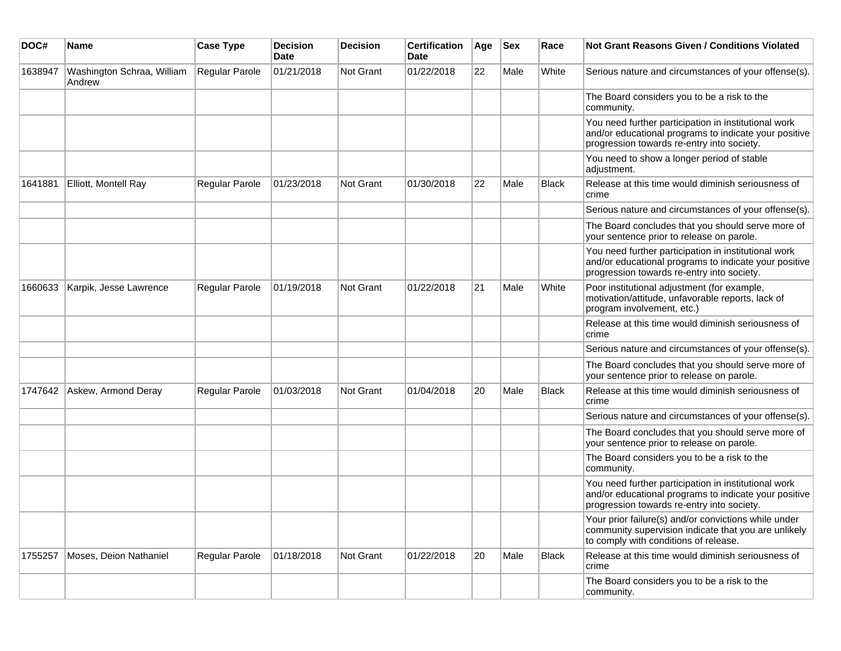| DOC#    | <b>Name</b>                          | <b>Case Type</b> | <b>Decision</b><br><b>Date</b> | <b>Decision</b> | <b>Certification</b><br>Date | Age | <b>Sex</b> | Race         | Not Grant Reasons Given / Conditions Violated                                                                                                               |
|---------|--------------------------------------|------------------|--------------------------------|-----------------|------------------------------|-----|------------|--------------|-------------------------------------------------------------------------------------------------------------------------------------------------------------|
| 1638947 | Washington Schraa, William<br>Andrew | Regular Parole   | 01/21/2018                     | Not Grant       | 01/22/2018                   | 22  | Male       | White        | Serious nature and circumstances of your offense(s).                                                                                                        |
|         |                                      |                  |                                |                 |                              |     |            |              | The Board considers you to be a risk to the<br>community.                                                                                                   |
|         |                                      |                  |                                |                 |                              |     |            |              | You need further participation in institutional work<br>and/or educational programs to indicate your positive<br>progression towards re-entry into society. |
|         |                                      |                  |                                |                 |                              |     |            |              | You need to show a longer period of stable<br>adjustment.                                                                                                   |
| 1641881 | Elliott, Montell Ray                 | Regular Parole   | 01/23/2018                     | Not Grant       | 01/30/2018                   | 22  | Male       | <b>Black</b> | Release at this time would diminish seriousness of<br>crime                                                                                                 |
|         |                                      |                  |                                |                 |                              |     |            |              | Serious nature and circumstances of your offense(s).                                                                                                        |
|         |                                      |                  |                                |                 |                              |     |            |              | The Board concludes that you should serve more of<br>your sentence prior to release on parole.                                                              |
|         |                                      |                  |                                |                 |                              |     |            |              | You need further participation in institutional work<br>and/or educational programs to indicate your positive<br>progression towards re-entry into society. |
| 1660633 | Karpik, Jesse Lawrence               | Regular Parole   | 01/19/2018                     | Not Grant       | 01/22/2018                   | 21  | Male       | White        | Poor institutional adjustment (for example,<br>motivation/attitude, unfavorable reports, lack of<br>program involvement, etc.)                              |
|         |                                      |                  |                                |                 |                              |     |            |              | Release at this time would diminish seriousness of<br>crime                                                                                                 |
|         |                                      |                  |                                |                 |                              |     |            |              | Serious nature and circumstances of your offense(s).                                                                                                        |
|         |                                      |                  |                                |                 |                              |     |            |              | The Board concludes that you should serve more of<br>your sentence prior to release on parole.                                                              |
| 1747642 | Askew, Armond Deray                  | Regular Parole   | 01/03/2018                     | Not Grant       | 01/04/2018                   | 20  | Male       | <b>Black</b> | Release at this time would diminish seriousness of<br>crime                                                                                                 |
|         |                                      |                  |                                |                 |                              |     |            |              | Serious nature and circumstances of your offense(s).                                                                                                        |
|         |                                      |                  |                                |                 |                              |     |            |              | The Board concludes that you should serve more of<br>your sentence prior to release on parole.                                                              |
|         |                                      |                  |                                |                 |                              |     |            |              | The Board considers you to be a risk to the<br>community.                                                                                                   |
|         |                                      |                  |                                |                 |                              |     |            |              | You need further participation in institutional work<br>and/or educational programs to indicate your positive<br>progression towards re-entry into society. |
|         |                                      |                  |                                |                 |                              |     |            |              | Your prior failure(s) and/or convictions while under<br>community supervision indicate that you are unlikely<br>to comply with conditions of release.       |
| 1755257 | Moses, Deion Nathaniel               | Regular Parole   | 01/18/2018                     | Not Grant       | 01/22/2018                   | 20  | Male       | Black        | Release at this time would diminish seriousness of<br>crime                                                                                                 |
|         |                                      |                  |                                |                 |                              |     |            |              | The Board considers you to be a risk to the<br>community.                                                                                                   |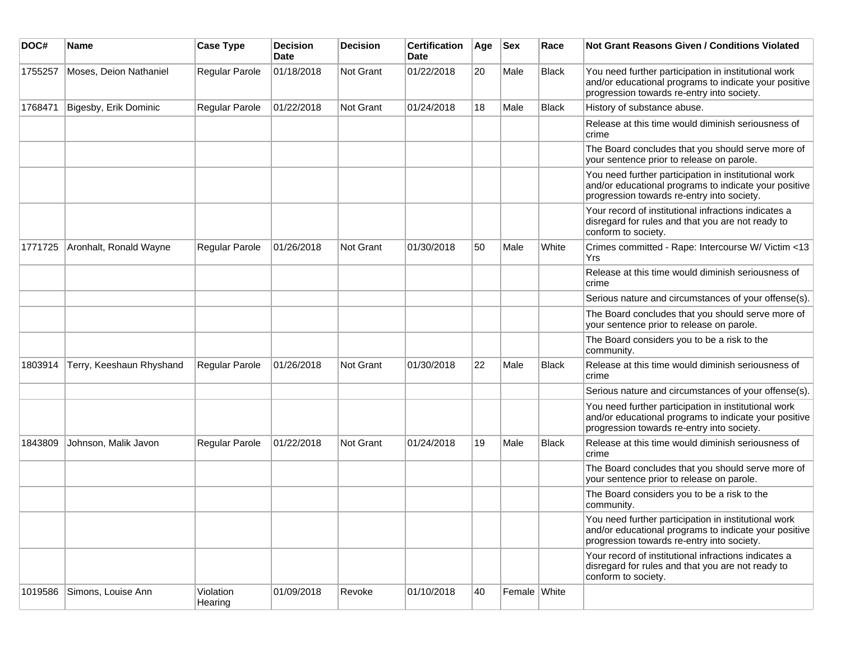| DOC#    | Name                     | <b>Case Type</b>     | <b>Decision</b><br><b>Date</b> | <b>Decision</b> | <b>Certification</b><br><b>Date</b> | Age | <b>Sex</b>   | Race         | <b>Not Grant Reasons Given / Conditions Violated</b>                                                                                                        |
|---------|--------------------------|----------------------|--------------------------------|-----------------|-------------------------------------|-----|--------------|--------------|-------------------------------------------------------------------------------------------------------------------------------------------------------------|
| 1755257 | Moses, Deion Nathaniel   | Regular Parole       | 01/18/2018                     | Not Grant       | 01/22/2018                          | 20  | Male         | <b>Black</b> | You need further participation in institutional work<br>and/or educational programs to indicate your positive<br>progression towards re-entry into society. |
| 1768471 | Bigesby, Erik Dominic    | Regular Parole       | 01/22/2018                     | Not Grant       | 01/24/2018                          | 18  | Male         | <b>Black</b> | History of substance abuse.                                                                                                                                 |
|         |                          |                      |                                |                 |                                     |     |              |              | Release at this time would diminish seriousness of<br>crime                                                                                                 |
|         |                          |                      |                                |                 |                                     |     |              |              | The Board concludes that you should serve more of<br>your sentence prior to release on parole.                                                              |
|         |                          |                      |                                |                 |                                     |     |              |              | You need further participation in institutional work<br>and/or educational programs to indicate your positive<br>progression towards re-entry into society. |
|         |                          |                      |                                |                 |                                     |     |              |              | Your record of institutional infractions indicates a<br>disregard for rules and that you are not ready to<br>conform to society.                            |
| 1771725 | Aronhalt, Ronald Wayne   | Regular Parole       | 01/26/2018                     | Not Grant       | 01/30/2018                          | 50  | Male         | White        | Crimes committed - Rape: Intercourse W/ Victim <13<br>Yrs                                                                                                   |
|         |                          |                      |                                |                 |                                     |     |              |              | Release at this time would diminish seriousness of<br>crime                                                                                                 |
|         |                          |                      |                                |                 |                                     |     |              |              | Serious nature and circumstances of your offense(s).                                                                                                        |
|         |                          |                      |                                |                 |                                     |     |              |              | The Board concludes that you should serve more of<br>your sentence prior to release on parole.                                                              |
|         |                          |                      |                                |                 |                                     |     |              |              | The Board considers you to be a risk to the<br>community.                                                                                                   |
| 1803914 | Terry, Keeshaun Rhyshand | Regular Parole       | 01/26/2018                     | Not Grant       | 01/30/2018                          | 22  | Male         | Black        | Release at this time would diminish seriousness of<br>crime                                                                                                 |
|         |                          |                      |                                |                 |                                     |     |              |              | Serious nature and circumstances of your offense(s).                                                                                                        |
|         |                          |                      |                                |                 |                                     |     |              |              | You need further participation in institutional work<br>and/or educational programs to indicate your positive<br>progression towards re-entry into society. |
| 1843809 | Johnson, Malik Javon     | Regular Parole       | 01/22/2018                     | Not Grant       | 01/24/2018                          | 19  | Male         | Black        | Release at this time would diminish seriousness of<br>crime                                                                                                 |
|         |                          |                      |                                |                 |                                     |     |              |              | The Board concludes that you should serve more of<br>your sentence prior to release on parole.                                                              |
|         |                          |                      |                                |                 |                                     |     |              |              | The Board considers you to be a risk to the<br>community.                                                                                                   |
|         |                          |                      |                                |                 |                                     |     |              |              | You need further participation in institutional work<br>and/or educational programs to indicate your positive<br>progression towards re-entry into society. |
|         |                          |                      |                                |                 |                                     |     |              |              | Your record of institutional infractions indicates a<br>disregard for rules and that you are not ready to<br>conform to society.                            |
| 1019586 | Simons, Louise Ann       | Violation<br>Hearing | 01/09/2018                     | Revoke          | 01/10/2018                          | 40  | Female White |              |                                                                                                                                                             |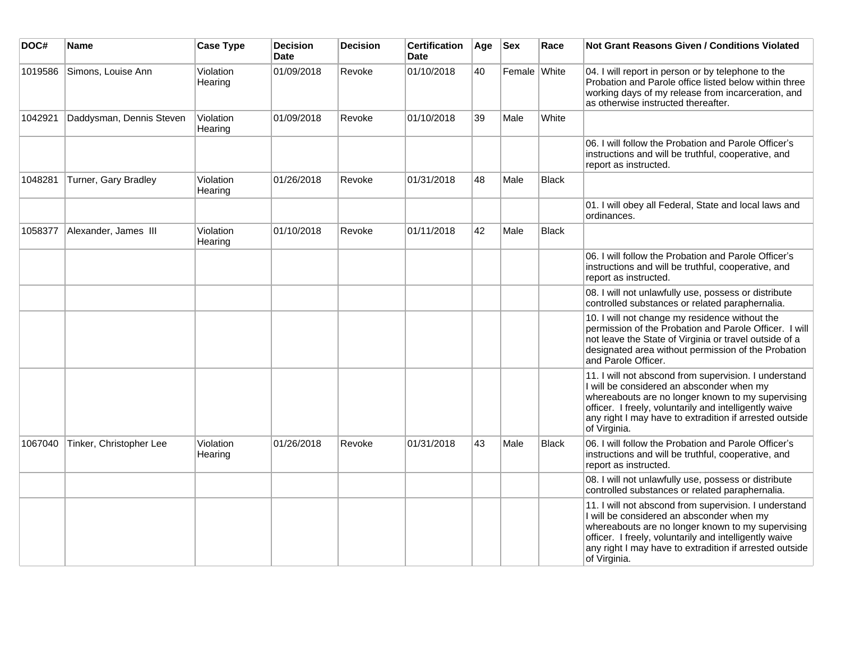| DOC#    | <b>Name</b>              | <b>Case Type</b>     | <b>Decision</b><br><b>Date</b> | <b>Decision</b> | <b>Certification</b><br>Date | Age | <b>Sex</b>   | Race         | Not Grant Reasons Given / Conditions Violated                                                                                                                                                                                                                                                |
|---------|--------------------------|----------------------|--------------------------------|-----------------|------------------------------|-----|--------------|--------------|----------------------------------------------------------------------------------------------------------------------------------------------------------------------------------------------------------------------------------------------------------------------------------------------|
| 1019586 | Simons, Louise Ann       | Violation<br>Hearing | 01/09/2018                     | Revoke          | 01/10/2018                   | 40  | Female White |              | 04. I will report in person or by telephone to the<br>Probation and Parole office listed below within three<br>working days of my release from incarceration, and<br>as otherwise instructed thereafter.                                                                                     |
| 1042921 | Daddysman, Dennis Steven | Violation<br>Hearing | 01/09/2018                     | Revoke          | 01/10/2018                   | 39  | Male         | White        |                                                                                                                                                                                                                                                                                              |
|         |                          |                      |                                |                 |                              |     |              |              | 06. I will follow the Probation and Parole Officer's<br>instructions and will be truthful, cooperative, and<br>report as instructed.                                                                                                                                                         |
| 1048281 | Turner, Gary Bradley     | Violation<br>Hearing | 01/26/2018                     | Revoke          | 01/31/2018                   | 48  | Male         | <b>Black</b> |                                                                                                                                                                                                                                                                                              |
|         |                          |                      |                                |                 |                              |     |              |              | 01. I will obey all Federal, State and local laws and<br>ordinances.                                                                                                                                                                                                                         |
| 1058377 | Alexander, James III     | Violation<br>Hearing | 01/10/2018                     | Revoke          | 01/11/2018                   | 42  | Male         | <b>Black</b> |                                                                                                                                                                                                                                                                                              |
|         |                          |                      |                                |                 |                              |     |              |              | 06. I will follow the Probation and Parole Officer's<br>instructions and will be truthful, cooperative, and<br>report as instructed.                                                                                                                                                         |
|         |                          |                      |                                |                 |                              |     |              |              | 08. I will not unlawfully use, possess or distribute<br>controlled substances or related paraphernalia.                                                                                                                                                                                      |
|         |                          |                      |                                |                 |                              |     |              |              | 10. I will not change my residence without the<br>permission of the Probation and Parole Officer. I will<br>not leave the State of Virginia or travel outside of a<br>designated area without permission of the Probation<br>and Parole Officer.                                             |
|         |                          |                      |                                |                 |                              |     |              |              | 11. I will not abscond from supervision. I understand<br>I will be considered an absconder when my<br>whereabouts are no longer known to my supervising<br>officer. I freely, voluntarily and intelligently waive<br>any right I may have to extradition if arrested outside<br>of Virginia. |
| 1067040 | Tinker, Christopher Lee  | Violation<br>Hearing | 01/26/2018                     | Revoke          | 01/31/2018                   | 43  | Male         | <b>Black</b> | 06. I will follow the Probation and Parole Officer's<br>instructions and will be truthful, cooperative, and<br>report as instructed.                                                                                                                                                         |
|         |                          |                      |                                |                 |                              |     |              |              | 08. I will not unlawfully use, possess or distribute<br>controlled substances or related paraphernalia.                                                                                                                                                                                      |
|         |                          |                      |                                |                 |                              |     |              |              | 11. I will not abscond from supervision. I understand<br>I will be considered an absconder when my<br>whereabouts are no longer known to my supervising<br>officer. I freely, voluntarily and intelligently waive<br>any right I may have to extradition if arrested outside<br>of Virginia. |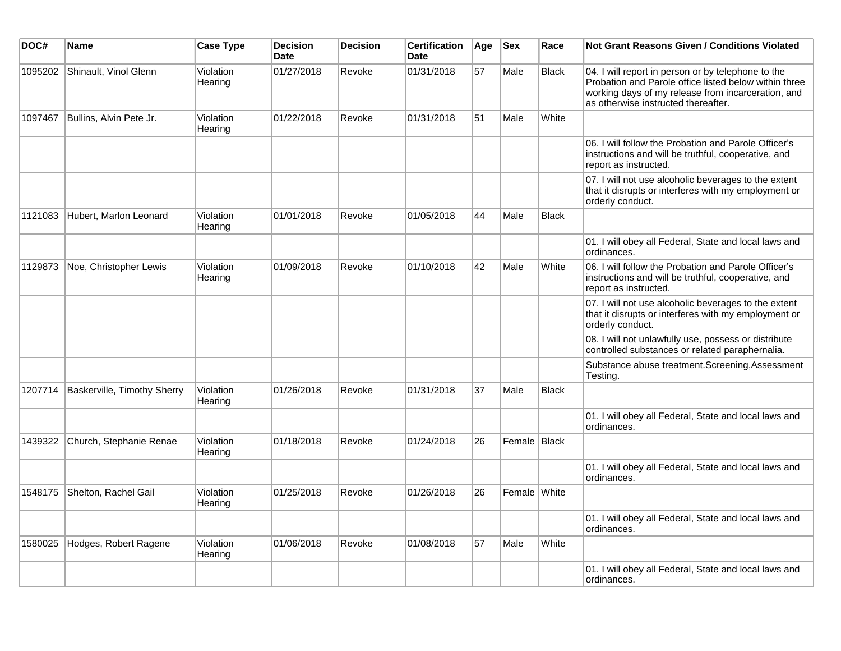| DOC#    | Name                        | <b>Case Type</b>     | <b>Decision</b><br><b>Date</b> | <b>Decision</b> | <b>Certification</b><br><b>Date</b> | Age | <b>Sex</b>   | Race         | Not Grant Reasons Given / Conditions Violated                                                                                                                                                            |
|---------|-----------------------------|----------------------|--------------------------------|-----------------|-------------------------------------|-----|--------------|--------------|----------------------------------------------------------------------------------------------------------------------------------------------------------------------------------------------------------|
| 1095202 | Shinault, Vinol Glenn       | Violation<br>Hearing | 01/27/2018                     | Revoke          | 01/31/2018                          | 57  | Male         | <b>Black</b> | 04. I will report in person or by telephone to the<br>Probation and Parole office listed below within three<br>working days of my release from incarceration, and<br>as otherwise instructed thereafter. |
| 1097467 | Bullins, Alvin Pete Jr.     | Violation<br>Hearing | 01/22/2018                     | Revoke          | 01/31/2018                          | 51  | Male         | White        |                                                                                                                                                                                                          |
|         |                             |                      |                                |                 |                                     |     |              |              | 06. I will follow the Probation and Parole Officer's<br>instructions and will be truthful, cooperative, and<br>report as instructed.                                                                     |
|         |                             |                      |                                |                 |                                     |     |              |              | 07. I will not use alcoholic beverages to the extent<br>that it disrupts or interferes with my employment or<br>orderly conduct.                                                                         |
| 1121083 | Hubert, Marlon Leonard      | Violation<br>Hearing | 01/01/2018                     | Revoke          | 01/05/2018                          | 44  | Male         | <b>Black</b> |                                                                                                                                                                                                          |
|         |                             |                      |                                |                 |                                     |     |              |              | 01. I will obey all Federal, State and local laws and<br>ordinances.                                                                                                                                     |
| 1129873 | Noe, Christopher Lewis      | Violation<br>Hearing | 01/09/2018                     | Revoke          | 01/10/2018                          | 42  | Male         | White        | 06. I will follow the Probation and Parole Officer's<br>instructions and will be truthful, cooperative, and<br>report as instructed.                                                                     |
|         |                             |                      |                                |                 |                                     |     |              |              | 07. I will not use alcoholic beverages to the extent<br>that it disrupts or interferes with my employment or<br>orderly conduct.                                                                         |
|         |                             |                      |                                |                 |                                     |     |              |              | 08. I will not unlawfully use, possess or distribute<br>controlled substances or related paraphernalia.                                                                                                  |
|         |                             |                      |                                |                 |                                     |     |              |              | Substance abuse treatment.Screening,Assessment<br>Testing.                                                                                                                                               |
| 1207714 | Baskerville, Timothy Sherry | Violation<br>Hearing | 01/26/2018                     | Revoke          | 01/31/2018                          | 37  | Male         | <b>Black</b> |                                                                                                                                                                                                          |
|         |                             |                      |                                |                 |                                     |     |              |              | 01. I will obey all Federal, State and local laws and<br>ordinances.                                                                                                                                     |
| 1439322 | Church, Stephanie Renae     | Violation<br>Hearing | 01/18/2018                     | Revoke          | 01/24/2018                          | 26  | Female Black |              |                                                                                                                                                                                                          |
|         |                             |                      |                                |                 |                                     |     |              |              | 01. I will obey all Federal, State and local laws and<br>ordinances.                                                                                                                                     |
| 1548175 | Shelton, Rachel Gail        | Violation<br>Hearing | 01/25/2018                     | Revoke          | 01/26/2018                          | 26  | Female White |              |                                                                                                                                                                                                          |
|         |                             |                      |                                |                 |                                     |     |              |              | 01. I will obey all Federal, State and local laws and<br>ordinances.                                                                                                                                     |
| 1580025 | Hodges, Robert Ragene       | Violation<br>Hearing | 01/06/2018                     | Revoke          | 01/08/2018                          | 57  | Male         | White        |                                                                                                                                                                                                          |
|         |                             |                      |                                |                 |                                     |     |              |              | 01. I will obey all Federal, State and local laws and<br>ordinances.                                                                                                                                     |